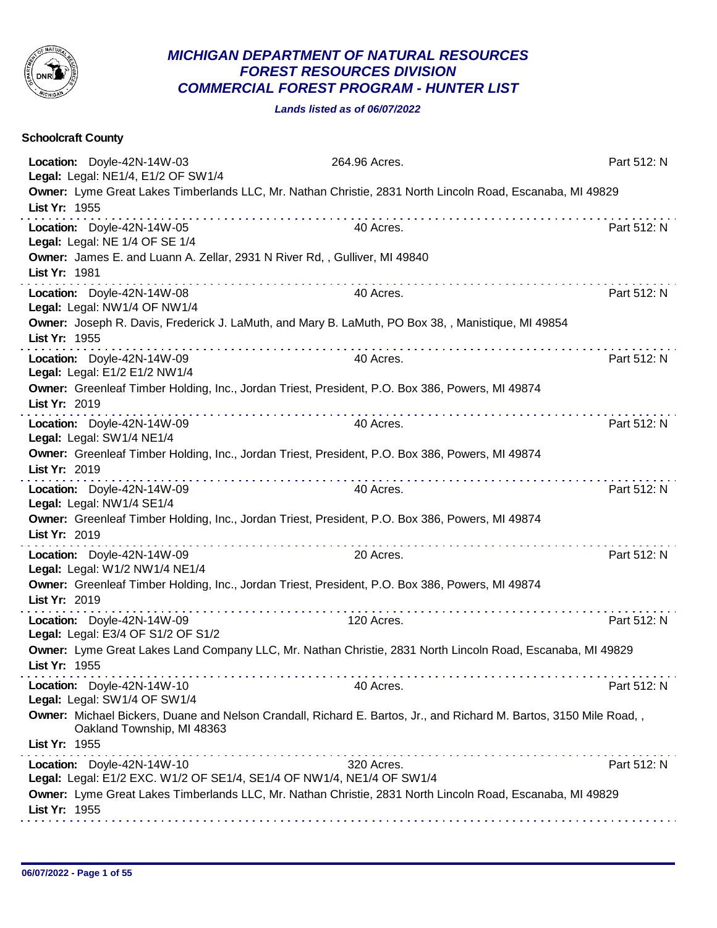

## *MICHIGAN DEPARTMENT OF NATURAL RESOURCES FOREST RESOURCES DIVISION COMMERCIAL FOREST PROGRAM - HUNTER LIST*

*Lands listed as of 06/07/2022*

| <b>Schoolcraft County</b>                                                                   |                                                                                                                    |             |
|---------------------------------------------------------------------------------------------|--------------------------------------------------------------------------------------------------------------------|-------------|
| Location: Doyle-42N-14W-03<br>Legal: Legal: NE1/4, E1/2 OF SW1/4                            | 264.96 Acres.                                                                                                      | Part 512: N |
| List Yr: 1955                                                                               | Owner: Lyme Great Lakes Timberlands LLC, Mr. Nathan Christie, 2831 North Lincoln Road, Escanaba, MI 49829          |             |
| Location: Doyle-42N-14W-05<br>Legal: Legal: NE 1/4 OF SE 1/4                                | 40 Acres.                                                                                                          | Part 512: N |
| Owner: James E. and Luann A. Zellar, 2931 N River Rd, , Gulliver, MI 49840<br>List Yr: 1981 |                                                                                                                    |             |
| Location: Doyle-42N-14W-08<br>Legal: Legal: NW1/4 OF NW1/4                                  | 40 Acres.                                                                                                          | Part 512: N |
| List Yr: 1955                                                                               | Owner: Joseph R. Davis, Frederick J. LaMuth, and Mary B. LaMuth, PO Box 38, , Manistique, MI 49854                 |             |
| Location: Doyle-42N-14W-09<br>Legal: Legal: E1/2 E1/2 NW1/4                                 | 40 Acres.                                                                                                          | Part 512: N |
| List Yr: 2019                                                                               | Owner: Greenleaf Timber Holding, Inc., Jordan Triest, President, P.O. Box 386, Powers, MI 49874                    |             |
| Location: Doyle-42N-14W-09<br>Legal: Legal: SW1/4 NE1/4                                     | 40 Acres.                                                                                                          | Part 512: N |
| List Yr: 2019                                                                               | Owner: Greenleaf Timber Holding, Inc., Jordan Triest, President, P.O. Box 386, Powers, MI 49874                    |             |
| Location: Doyle-42N-14W-09<br>Legal: Legal: NW1/4 SE1/4                                     | 40 Acres.                                                                                                          | Part 512: N |
| List Yr: 2019                                                                               | Owner: Greenleaf Timber Holding, Inc., Jordan Triest, President, P.O. Box 386, Powers, MI 49874                    |             |
| Location: Doyle-42N-14W-09<br>Legal: Legal: W1/2 NW1/4 NE1/4                                | 20 Acres.                                                                                                          | Part 512: N |
| List Yr: 2019                                                                               | Owner: Greenleaf Timber Holding, Inc., Jordan Triest, President, P.O. Box 386, Powers, MI 49874                    |             |
| Location: Doyle-42N-14W-09<br>Legal: Legal: E3/4 OF S1/2 OF S1/2                            | 120 Acres.                                                                                                         | Part 512: N |
| List Yr: 1955                                                                               | Owner: Lyme Great Lakes Land Company LLC, Mr. Nathan Christie, 2831 North Lincoln Road, Escanaba, MI 49829         |             |
| <u>.</u><br>Location: Doyle-42N-14W-10<br>Legal: Legal: SW1/4 OF SW1/4                      | 40 Acres.                                                                                                          | Part 512: N |
| Oakland Township, MI 48363<br>List Yr: 1955                                                 | Owner: Michael Bickers, Duane and Nelson Crandall, Richard E. Bartos, Jr., and Richard M. Bartos, 3150 Mile Road,, |             |
| Location: Doyle-42N-14W-10                                                                  | 320 Acres.                                                                                                         | Part 512: N |
| Legal: Legal: E1/2 EXC. W1/2 OF SE1/4, SE1/4 OF NW1/4, NE1/4 OF SW1/4<br>List Yr: 1955      | Owner: Lyme Great Lakes Timberlands LLC, Mr. Nathan Christie, 2831 North Lincoln Road, Escanaba, MI 49829          |             |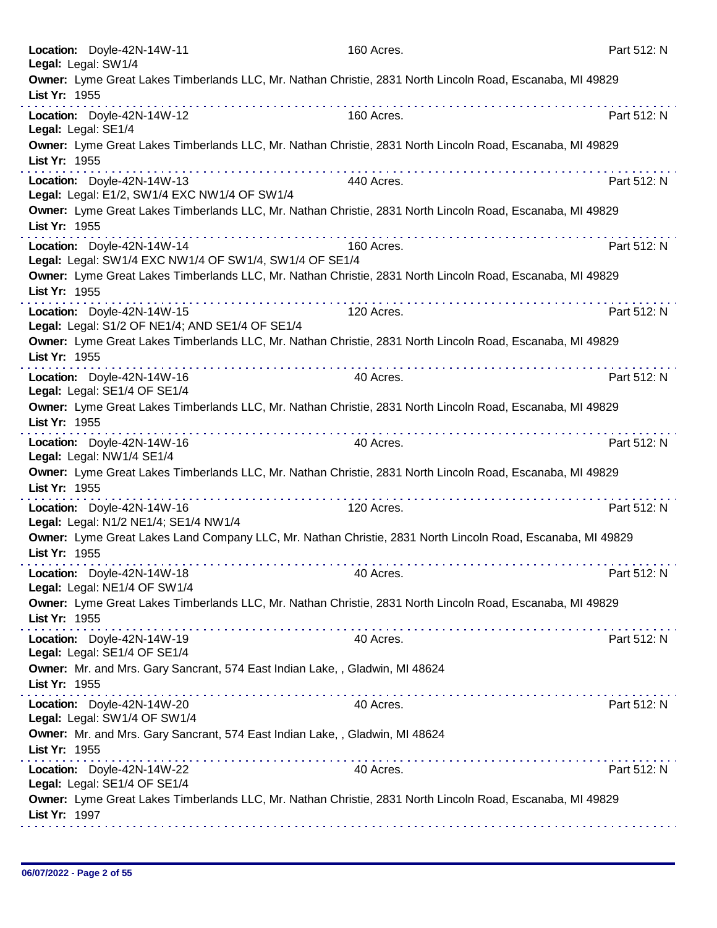| Location: Doyle-42N-14W-11<br>Legal: Legal: SW1/4                                                                                                                                                                                                                                                                                                                                                                                | 160 Acres.      | Part 512: N |
|----------------------------------------------------------------------------------------------------------------------------------------------------------------------------------------------------------------------------------------------------------------------------------------------------------------------------------------------------------------------------------------------------------------------------------|-----------------|-------------|
| Owner: Lyme Great Lakes Timberlands LLC, Mr. Nathan Christie, 2831 North Lincoln Road, Escanaba, MI 49829<br>List Yr: 1955                                                                                                                                                                                                                                                                                                       |                 |             |
| Location: Doyle-42N-14W-12<br>Legal: Legal: SE1/4                                                                                                                                                                                                                                                                                                                                                                                | 160 Acres.      | Part 512: N |
| Owner: Lyme Great Lakes Timberlands LLC, Mr. Nathan Christie, 2831 North Lincoln Road, Escanaba, MI 49829<br>List Yr: 1955                                                                                                                                                                                                                                                                                                       |                 |             |
| Location: Doyle-42N-14W-13<br>Legal: Legal: E1/2, SW1/4 EXC NW1/4 OF SW1/4                                                                                                                                                                                                                                                                                                                                                       | .<br>440 Acres. | Part 512: N |
| Owner: Lyme Great Lakes Timberlands LLC, Mr. Nathan Christie, 2831 North Lincoln Road, Escanaba, MI 49829<br>List Yr: 1955                                                                                                                                                                                                                                                                                                       |                 |             |
| .<br>Location: Doyle-42N-14W-14<br>Legal: Legal: SW1/4 EXC NW1/4 OF SW1/4, SW1/4 OF SE1/4                                                                                                                                                                                                                                                                                                                                        | 160 Acres.      | Part 512: N |
| Owner: Lyme Great Lakes Timberlands LLC, Mr. Nathan Christie, 2831 North Lincoln Road, Escanaba, MI 49829<br>List Yr: 1955                                                                                                                                                                                                                                                                                                       |                 |             |
| Location: Doyle-42N-14W-15<br>Legal: Legal: S1/2 OF NE1/4; AND SE1/4 OF SE1/4                                                                                                                                                                                                                                                                                                                                                    | 120 Acres.      | Part 512: N |
| Owner: Lyme Great Lakes Timberlands LLC, Mr. Nathan Christie, 2831 North Lincoln Road, Escanaba, MI 49829<br>List Yr: 1955                                                                                                                                                                                                                                                                                                       |                 |             |
| Location: Doyle-42N-14W-16<br>Legal: Legal: SE1/4 OF SE1/4                                                                                                                                                                                                                                                                                                                                                                       | 40 Acres.       | Part 512: N |
| Owner: Lyme Great Lakes Timberlands LLC, Mr. Nathan Christie, 2831 North Lincoln Road, Escanaba, MI 49829<br>List Yr: 1955                                                                                                                                                                                                                                                                                                       |                 |             |
| Location: Doyle-42N-14W-16<br>Legal: Legal: NW1/4 SE1/4                                                                                                                                                                                                                                                                                                                                                                          | 40 Acres.       | Part 512: N |
| Owner: Lyme Great Lakes Timberlands LLC, Mr. Nathan Christie, 2831 North Lincoln Road, Escanaba, MI 49829<br>List Yr: 1955                                                                                                                                                                                                                                                                                                       |                 |             |
| Location: Doyle-42N-14W-16<br>Legal: Legal: N1/2 NE1/4; SE1/4 NW1/4                                                                                                                                                                                                                                                                                                                                                              | .<br>120 Acres. | Part 512: N |
| Owner: Lyme Great Lakes Land Company LLC, Mr. Nathan Christie, 2831 North Lincoln Road, Escanaba, MI 49829<br>List Yr: 1955                                                                                                                                                                                                                                                                                                      |                 |             |
| Location: Doyle-42N-14W-18<br>Legal: Legal: NE1/4 OF SW1/4                                                                                                                                                                                                                                                                                                                                                                       | 40 Acres.       | Part 512: N |
| Owner: Lyme Great Lakes Timberlands LLC, Mr. Nathan Christie, 2831 North Lincoln Road, Escanaba, MI 49829<br>List Yr: 1955                                                                                                                                                                                                                                                                                                       |                 |             |
| $\label{eq:reduced} \begin{split} \mathbf{u}^{\prime} & = \mathbf{u}^{\prime} + \mathbf{u}^{\prime} + \mathbf{u}^{\prime} + \mathbf{u}^{\prime} + \mathbf{u}^{\prime} + \mathbf{u}^{\prime} + \mathbf{u}^{\prime} + \mathbf{u}^{\prime} + \mathbf{u}^{\prime} + \mathbf{u}^{\prime} + \mathbf{u}^{\prime} + \mathbf{u}^{\prime} + \mathbf{u}^{\prime} \end{split}$<br>Location: Doyle-42N-14W-19<br>Legal: Legal: SE1/4 OF SE1/4 | 40 Acres.       | Part 512: N |
| Owner: Mr. and Mrs. Gary Sancrant, 574 East Indian Lake,, Gladwin, MI 48624<br>List Yr: 1955                                                                                                                                                                                                                                                                                                                                     |                 |             |
| Location: Doyle-42N-14W-20<br>Legal: Legal: SW1/4 OF SW1/4                                                                                                                                                                                                                                                                                                                                                                       | 40 Acres.       | Part 512: N |
| Owner: Mr. and Mrs. Gary Sancrant, 574 East Indian Lake,, Gladwin, MI 48624<br>List Yr: 1955                                                                                                                                                                                                                                                                                                                                     |                 |             |
| Location: Doyle-42N-14W-22<br>Legal: Legal: SE1/4 OF SE1/4                                                                                                                                                                                                                                                                                                                                                                       | 40 Acres.       | Part 512: N |
| Owner: Lyme Great Lakes Timberlands LLC, Mr. Nathan Christie, 2831 North Lincoln Road, Escanaba, MI 49829<br>List Yr: 1997                                                                                                                                                                                                                                                                                                       |                 |             |
|                                                                                                                                                                                                                                                                                                                                                                                                                                  |                 |             |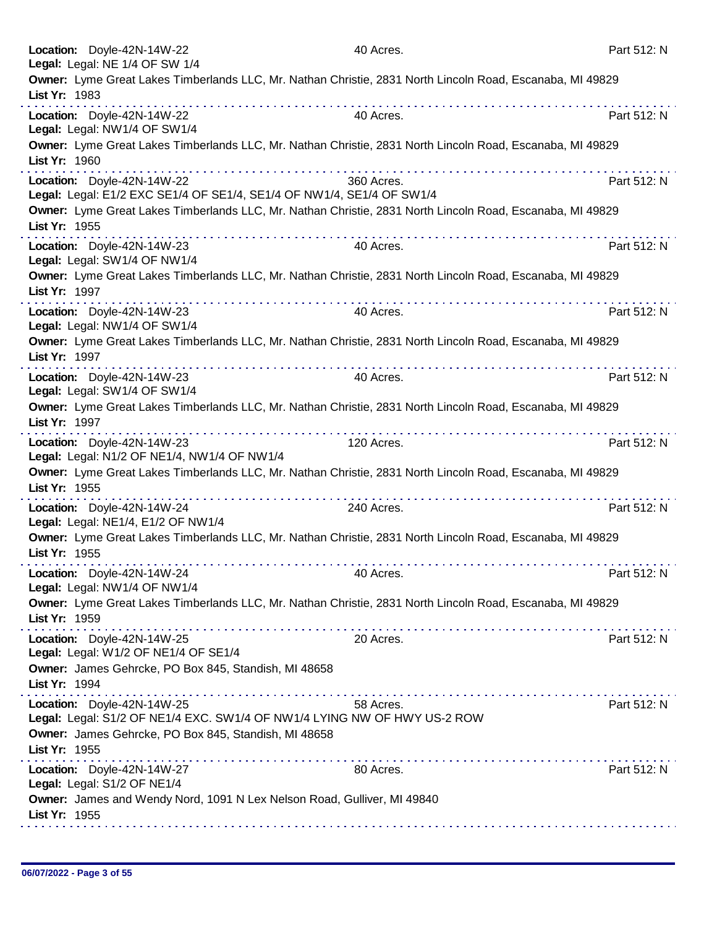| Location: Doyle-42N-14W-22<br>Legal: Legal: NE 1/4 OF SW 1/4              |                                                                          | 40 Acres.                                                                                                      | Part 512: N |
|---------------------------------------------------------------------------|--------------------------------------------------------------------------|----------------------------------------------------------------------------------------------------------------|-------------|
| List Yr: 1983                                                             |                                                                          | Owner: Lyme Great Lakes Timberlands LLC, Mr. Nathan Christie, 2831 North Lincoln Road, Escanaba, MI 49829      |             |
| Location: Doyle-42N-14W-22<br>Legal: Legal: NW1/4 OF SW1/4                |                                                                          | 40 Acres.                                                                                                      | Part 512: N |
| List Yr: 1960                                                             |                                                                          | Owner: Lyme Great Lakes Timberlands LLC, Mr. Nathan Christie, 2831 North Lincoln Road, Escanaba, MI 49829      |             |
| Location: Doyle-42N-14W-22                                                | Legal: Legal: E1/2 EXC SE1/4 OF SE1/4, SE1/4 OF NW1/4, SE1/4 OF SW1/4    | 360 Acres.                                                                                                     | Part 512: N |
| List Yr: 1955                                                             |                                                                          | Owner: Lyme Great Lakes Timberlands LLC, Mr. Nathan Christie, 2831 North Lincoln Road, Escanaba, MI 49829<br>. |             |
| Location: Doyle-42N-14W-23<br>Legal: Legal: SW1/4 OF NW1/4                |                                                                          | 40 Acres.                                                                                                      | Part 512: N |
| List Yr: 1997                                                             |                                                                          | Owner: Lyme Great Lakes Timberlands LLC, Mr. Nathan Christie, 2831 North Lincoln Road, Escanaba, MI 49829      |             |
| Location: Doyle-42N-14W-23<br>Legal: Legal: NW1/4 OF SW1/4                |                                                                          | 40 Acres.                                                                                                      | Part 512: N |
| List Yr: 1997                                                             |                                                                          | Owner: Lyme Great Lakes Timberlands LLC, Mr. Nathan Christie, 2831 North Lincoln Road, Escanaba, MI 49829      |             |
| Location: Doyle-42N-14W-23<br>Legal: Legal: SW1/4 OF SW1/4                |                                                                          | 40 Acres.                                                                                                      | Part 512: N |
| List Yr: 1997                                                             |                                                                          | Owner: Lyme Great Lakes Timberlands LLC, Mr. Nathan Christie, 2831 North Lincoln Road, Escanaba, MI 49829      |             |
| Location: Doyle-42N-14W-23<br>Legal: Legal: N1/2 OF NE1/4, NW1/4 OF NW1/4 |                                                                          | 120 Acres.                                                                                                     | Part 512: N |
| List Yr: 1955                                                             |                                                                          | Owner: Lyme Great Lakes Timberlands LLC, Mr. Nathan Christie, 2831 North Lincoln Road, Escanaba, MI 49829      |             |
| Location: Doyle-42N-14W-24<br>Legal: Legal: NE1/4, E1/2 OF NW1/4          |                                                                          | 240 Acres.                                                                                                     | Part 512: N |
| List Yr: 1955                                                             |                                                                          | Owner: Lyme Great Lakes Timberlands LLC, Mr. Nathan Christie, 2831 North Lincoln Road, Escanaba, MI 49829      |             |
| Location: Doyle-42N-14W-24<br>Legal: Legal: NW1/4 OF NW1/4                |                                                                          | 40 Acres.                                                                                                      | Part 512: N |
| List Yr: 1959                                                             |                                                                          | Owner: Lyme Great Lakes Timberlands LLC, Mr. Nathan Christie, 2831 North Lincoln Road, Escanaba, MI 49829      |             |
| Location: Doyle-42N-14W-25<br>Legal: Legal: W1/2 OF NE1/4 OF SE1/4        |                                                                          | 20 Acres.                                                                                                      | Part 512: N |
| List Yr: 1994                                                             | Owner: James Gehrcke, PO Box 845, Standish, MI 48658<br>.                |                                                                                                                |             |
| Location: Doyle-42N-14W-25                                                | Legal: Legal: S1/2 OF NE1/4 EXC. SW1/4 OF NW1/4 LYING NW OF HWY US-2 ROW | 58 Acres.                                                                                                      | Part 512: N |
| List Yr: 1955                                                             | Owner: James Gehrcke, PO Box 845, Standish, MI 48658                     |                                                                                                                |             |
| Location: Doyle-42N-14W-27<br>Legal: Legal: S1/2 OF NE1/4                 |                                                                          | 80 Acres.                                                                                                      | Part 512: N |
| List Yr: 1955                                                             | Owner: James and Wendy Nord, 1091 N Lex Nelson Road, Gulliver, MI 49840  |                                                                                                                |             |
|                                                                           |                                                                          |                                                                                                                |             |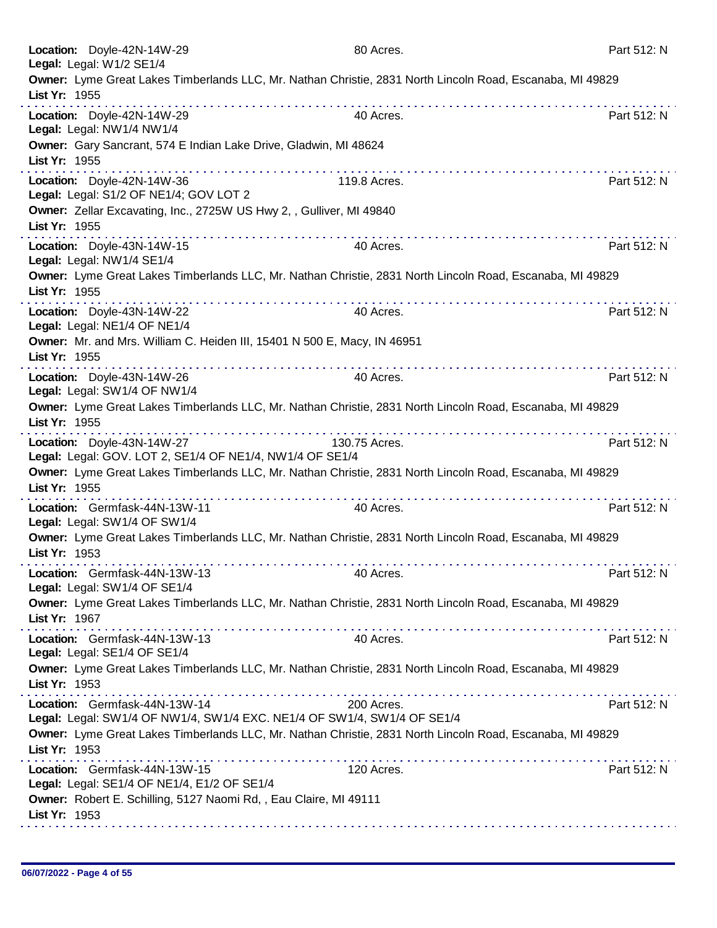| Location: Doyle-42N-14W-29<br>Legal: Legal: W1/2 SE1/4                                                                          | 80 Acres.     | Part 512: N |
|---------------------------------------------------------------------------------------------------------------------------------|---------------|-------------|
| Owner: Lyme Great Lakes Timberlands LLC, Mr. Nathan Christie, 2831 North Lincoln Road, Escanaba, MI 49829<br>List Yr: 1955      |               |             |
| Location: Doyle-42N-14W-29<br>Legal: Legal: NW1/4 NW1/4                                                                         | 40 Acres.     | Part 512: N |
| Owner: Gary Sancrant, 574 E Indian Lake Drive, Gladwin, MI 48624<br>List Yr: 1955                                               |               |             |
| Location: Doyle-42N-14W-36<br>Legal: Legal: S1/2 OF NE1/4; GOV LOT 2                                                            | 119.8 Acres.  | Part 512: N |
| Owner: Zellar Excavating, Inc., 2725W US Hwy 2, , Gulliver, MI 49840<br>List Yr: 1955                                           |               |             |
| Location: Doyle-43N-14W-15<br>Legal: Legal: NW1/4 SE1/4                                                                         | 40 Acres.     | Part 512: N |
| Owner: Lyme Great Lakes Timberlands LLC, Mr. Nathan Christie, 2831 North Lincoln Road, Escanaba, MI 49829<br>List Yr: 1955      |               |             |
| Location: Doyle-43N-14W-22<br>Legal: Legal: NE1/4 OF NE1/4                                                                      | 40 Acres.     | Part 512: N |
| Owner: Mr. and Mrs. William C. Heiden III, 15401 N 500 E, Macy, IN 46951<br>List Yr: 1955                                       |               |             |
| Location: Doyle-43N-14W-26<br>Legal: Legal: SW1/4 OF NW1/4                                                                      | 40 Acres.     | Part 512: N |
| Owner: Lyme Great Lakes Timberlands LLC, Mr. Nathan Christie, 2831 North Lincoln Road, Escanaba, MI 49829<br>List Yr: 1955<br>. |               |             |
| Location: Doyle-43N-14W-27<br>Legal: Legal: GOV. LOT 2, SE1/4 OF NE1/4, NW1/4 OF SE1/4                                          | 130.75 Acres. | Part 512: N |
| Owner: Lyme Great Lakes Timberlands LLC, Mr. Nathan Christie, 2831 North Lincoln Road, Escanaba, MI 49829<br>List Yr: 1955      |               |             |
| Location: Germfask-44N-13W-11<br>Legal: Legal: SW1/4 OF SW1/4                                                                   | 40 Acres.     | Part 512: N |
| Owner: Lyme Great Lakes Timberlands LLC, Mr. Nathan Christie, 2831 North Lincoln Road, Escanaba, MI 49829<br>List Yr: 1953      |               |             |
| Location: Germfask-44N-13W-13<br>Legal: Legal: SW1/4 OF SE1/4                                                                   | 40 Acres.     | Part 512: N |
| Owner: Lyme Great Lakes Timberlands LLC, Mr. Nathan Christie, 2831 North Lincoln Road, Escanaba, MI 49829<br>List Yr: 1967      |               |             |
| Location: Germfask-44N-13W-13<br>Legal: Legal: SE1/4 OF SE1/4                                                                   | 40 Acres.     | Part 512: N |
| Owner: Lyme Great Lakes Timberlands LLC, Mr. Nathan Christie, 2831 North Lincoln Road, Escanaba, MI 49829<br>List Yr: 1953      |               |             |
| Location: Germfask-44N-13W-14<br>Legal: Legal: SW1/4 OF NW1/4, SW1/4 EXC. NE1/4 OF SW1/4, SW1/4 OF SE1/4                        | 200 Acres.    | Part 512: N |
| Owner: Lyme Great Lakes Timberlands LLC, Mr. Nathan Christie, 2831 North Lincoln Road, Escanaba, MI 49829<br>List Yr: 1953      |               |             |
| Location: Germfask-44N-13W-15<br>Legal: Legal: SE1/4 OF NE1/4, E1/2 OF SE1/4                                                    | 120 Acres.    | Part 512: N |
| Owner: Robert E. Schilling, 5127 Naomi Rd, , Eau Claire, MI 49111<br>List Yr: 1953                                              |               |             |
|                                                                                                                                 |               |             |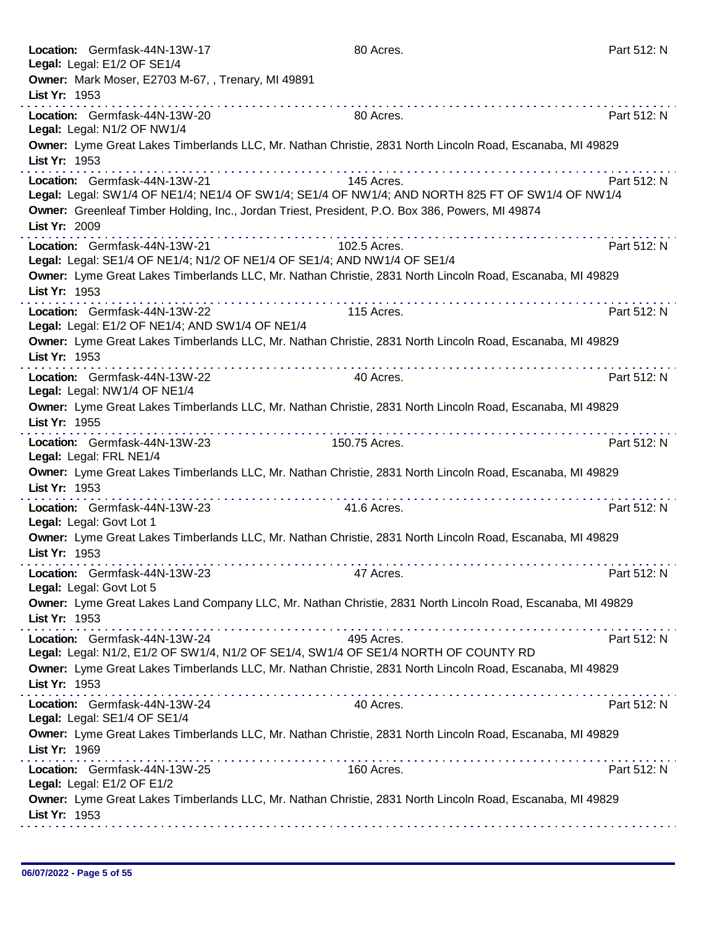|               | Location: Germfask-44N-13W-17<br>Legal: Legal: E1/2 OF SE1/4                     | 80 Acres.                                                                                                      | Part 512: N |
|---------------|----------------------------------------------------------------------------------|----------------------------------------------------------------------------------------------------------------|-------------|
|               | Owner: Mark Moser, E2703 M-67, , Trenary, MI 49891                               |                                                                                                                |             |
| List Yr: 1953 |                                                                                  |                                                                                                                |             |
|               | Location: Germfask-44N-13W-20<br>Legal: Legal: N1/2 OF NW1/4                     | 80 Acres.                                                                                                      | Part 512: N |
| List Yr: 1953 |                                                                                  | Owner: Lyme Great Lakes Timberlands LLC, Mr. Nathan Christie, 2831 North Lincoln Road, Escanaba, MI 49829      |             |
|               | Location: Germfask-44N-13W-21                                                    | 145 Acres.<br>Legal: Legal: SW1/4 OF NE1/4; NE1/4 OF SW1/4; SE1/4 OF NW1/4; AND NORTH 825 FT OF SW1/4 OF NW1/4 | Part 512: N |
| List Yr: 2009 |                                                                                  | Owner: Greenleaf Timber Holding, Inc., Jordan Triest, President, P.O. Box 386, Powers, MI 49874                |             |
|               | Location: Germfask-44N-13W-21                                                    | 102.5 Acres.<br>Legal: Legal: SE1/4 OF NE1/4; N1/2 OF NE1/4 OF SE1/4; AND NW1/4 OF SE1/4                       | Part 512: N |
| List Yr: 1953 |                                                                                  | Owner: Lyme Great Lakes Timberlands LLC, Mr. Nathan Christie, 2831 North Lincoln Road, Escanaba, MI 49829      |             |
|               | Location: Germfask-44N-13W-22<br>Legal: Legal: E1/2 OF NE1/4; AND SW1/4 OF NE1/4 | 115 Acres.                                                                                                     | Part 512: N |
| List Yr: 1953 |                                                                                  | Owner: Lyme Great Lakes Timberlands LLC, Mr. Nathan Christie, 2831 North Lincoln Road, Escanaba, MI 49829      |             |
|               | Location: Germfask-44N-13W-22<br>Legal: Legal: NW1/4 OF NE1/4                    | 40 Acres.                                                                                                      | Part 512: N |
| List Yr: 1955 |                                                                                  | Owner: Lyme Great Lakes Timberlands LLC, Mr. Nathan Christie, 2831 North Lincoln Road, Escanaba, MI 49829      |             |
|               | Location: Germfask-44N-13W-23<br>Legal: Legal: FRL NE1/4                         | .<br>150.75 Acres.                                                                                             | Part 512: N |
| List Yr: 1953 |                                                                                  | Owner: Lyme Great Lakes Timberlands LLC, Mr. Nathan Christie, 2831 North Lincoln Road, Escanaba, MI 49829      |             |
|               | Location: Germfask-44N-13W-23<br>Legal: Legal: Govt Lot 1                        | 41.6 Acres.                                                                                                    | Part 512: N |
| List Yr: 1953 |                                                                                  | Owner: Lyme Great Lakes Timberlands LLC, Mr. Nathan Christie, 2831 North Lincoln Road, Escanaba, MI 49829      |             |
|               | Location: Germfask-44N-13W-23<br>Legal: Legal: Govt Lot 5                        | 47 Acres.                                                                                                      | Part 512: N |
| List Yr: 1953 |                                                                                  | Owner: Lyme Great Lakes Land Company LLC, Mr. Nathan Christie, 2831 North Lincoln Road, Escanaba, MI 49829     |             |
|               | Location: Germfask-44N-13W-24                                                    | 495 Acres.<br>Legal: Legal: N1/2, E1/2 OF SW1/4, N1/2 OF SE1/4, SW1/4 OF SE1/4 NORTH OF COUNTY RD              | Part 512: N |
| List Yr: 1953 |                                                                                  | Owner: Lyme Great Lakes Timberlands LLC, Mr. Nathan Christie, 2831 North Lincoln Road, Escanaba, MI 49829      |             |
|               | Location: Germfask-44N-13W-24<br>Legal: Legal: SE1/4 OF SE1/4                    | 40 Acres.                                                                                                      | Part 512: N |
| List Yr: 1969 |                                                                                  | Owner: Lyme Great Lakes Timberlands LLC, Mr. Nathan Christie, 2831 North Lincoln Road, Escanaba, MI 49829      |             |
|               | Location: Germfask-44N-13W-25<br>Legal: Legal: E1/2 OF E1/2                      | 160 Acres.                                                                                                     | Part 512: N |
| List Yr: 1953 |                                                                                  | Owner: Lyme Great Lakes Timberlands LLC, Mr. Nathan Christie, 2831 North Lincoln Road, Escanaba, MI 49829      |             |
|               |                                                                                  |                                                                                                                |             |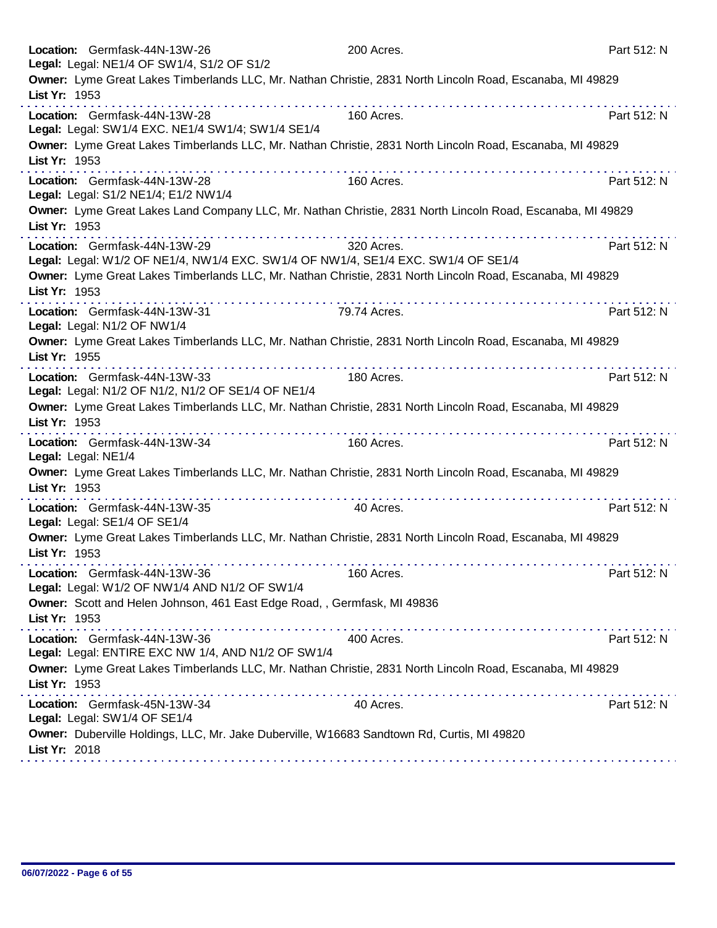| Location: Germfask-44N-13W-26<br>Legal: Legal: NE1/4 OF SW1/4, S1/2 OF S1/2                                                     | 200 Acres.   | Part 512: N |
|---------------------------------------------------------------------------------------------------------------------------------|--------------|-------------|
| Owner: Lyme Great Lakes Timberlands LLC, Mr. Nathan Christie, 2831 North Lincoln Road, Escanaba, MI 49829<br>List Yr: 1953      |              |             |
| <u>.</u><br>Location: Germfask-44N-13W-28<br>Legal: Legal: SW1/4 EXC. NE1/4 SW1/4; SW1/4 SE1/4                                  | 160 Acres.   | Part 512: N |
| Owner: Lyme Great Lakes Timberlands LLC, Mr. Nathan Christie, 2831 North Lincoln Road, Escanaba, MI 49829<br>List Yr: 1953      |              |             |
| Location: Germfask-44N-13W-28<br>Legal: Legal: S1/2 NE1/4; E1/2 NW1/4                                                           | 160 Acres.   | Part 512: N |
| Owner: Lyme Great Lakes Land Company LLC, Mr. Nathan Christie, 2831 North Lincoln Road, Escanaba, MI 49829<br>List Yr: 1953     |              |             |
| Location: Germfask-44N-13W-29<br>Legal: Legal: W1/2 OF NE1/4, NW1/4 EXC. SW1/4 OF NW1/4, SE1/4 EXC. SW1/4 OF SE1/4              | 320 Acres.   | Part 512: N |
| Owner: Lyme Great Lakes Timberlands LLC, Mr. Nathan Christie, 2831 North Lincoln Road, Escanaba, MI 49829<br>List Yr: 1953<br>. |              |             |
| Location: Germfask-44N-13W-31<br>Legal: Legal: N1/2 OF NW1/4                                                                    | 79.74 Acres. | Part 512: N |
| Owner: Lyme Great Lakes Timberlands LLC, Mr. Nathan Christie, 2831 North Lincoln Road, Escanaba, MI 49829<br>List Yr: 1955      |              |             |
| .<br>Location: Germfask-44N-13W-33<br>Legal: Legal: N1/2 OF N1/2, N1/2 OF SE1/4 OF NE1/4                                        | 180 Acres.   | Part 512: N |
| Owner: Lyme Great Lakes Timberlands LLC, Mr. Nathan Christie, 2831 North Lincoln Road, Escanaba, MI 49829<br>List Yr: 1953      |              |             |
| Location: Germfask-44N-13W-34<br>Legal: Legal: NE1/4                                                                            | 160 Acres.   | Part 512: N |
| Owner: Lyme Great Lakes Timberlands LLC, Mr. Nathan Christie, 2831 North Lincoln Road, Escanaba, MI 49829<br>List Yr: 1953<br>. |              |             |
| Location: Germfask-44N-13W-35<br>Legal: Legal: SE1/4 OF SE1/4                                                                   | 40 Acres.    | Part 512: N |
| Owner: Lyme Great Lakes Timberlands LLC, Mr. Nathan Christie, 2831 North Lincoln Road, Escanaba, MI 49829<br>List Yr: 1953      |              |             |
| Location: Germfask-44N-13W-36<br>Legal: Legal: W1/2 OF NW1/4 AND N1/2 OF SW1/4                                                  | 160 Acres.   | Part 512: N |
| Owner: Scott and Helen Johnson, 461 East Edge Road, , Germfask, MI 49836<br>List Yr: 1953                                       |              |             |
| Location: Germfask-44N-13W-36<br>Legal: Legal: ENTIRE EXC NW 1/4, AND N1/2 OF SW1/4                                             | 400 Acres.   | Part 512: N |
| Owner: Lyme Great Lakes Timberlands LLC, Mr. Nathan Christie, 2831 North Lincoln Road, Escanaba, MI 49829<br>List Yr: 1953      |              |             |
| Location: Germfask-45N-13W-34<br>Legal: Legal: SW1/4 OF SE1/4                                                                   | 40 Acres.    | Part 512: N |
| Owner: Duberville Holdings, LLC, Mr. Jake Duberville, W16683 Sandtown Rd, Curtis, MI 49820<br>List Yr: 2018                     |              |             |
|                                                                                                                                 |              |             |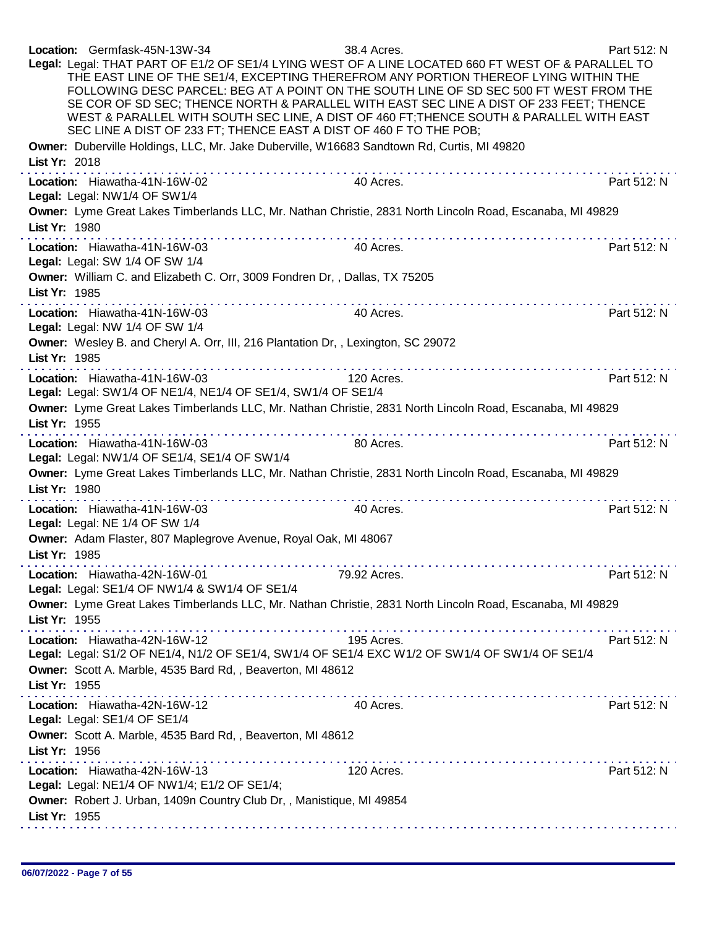| Location: Germfask-45N-13W-34<br>Legal: Legal: THAT PART OF E1/2 OF SE1/4 LYING WEST OF A LINE LOCATED 660 FT WEST OF & PARALLEL TO<br>SEC LINE A DIST OF 233 FT; THENCE EAST A DIST OF 460 F TO THE POB;<br>Owner: Duberville Holdings, LLC, Mr. Jake Duberville, W16683 Sandtown Rd, Curtis, MI 49820 | 38.4 Acres.<br>THE EAST LINE OF THE SE1/4, EXCEPTING THEREFROM ANY PORTION THEREOF LYING WITHIN THE<br>FOLLOWING DESC PARCEL: BEG AT A POINT ON THE SOUTH LINE OF SD SEC 500 FT WEST FROM THE<br>SE COR OF SD SEC; THENCE NORTH & PARALLEL WITH EAST SEC LINE A DIST OF 233 FEET; THENCE<br>WEST & PARALLEL WITH SOUTH SEC LINE, A DIST OF 460 FT; THENCE SOUTH & PARALLEL WITH EAST | Part 512: N |
|---------------------------------------------------------------------------------------------------------------------------------------------------------------------------------------------------------------------------------------------------------------------------------------------------------|--------------------------------------------------------------------------------------------------------------------------------------------------------------------------------------------------------------------------------------------------------------------------------------------------------------------------------------------------------------------------------------|-------------|
| List Yr: 2018                                                                                                                                                                                                                                                                                           |                                                                                                                                                                                                                                                                                                                                                                                      |             |
| Location: Hiawatha-41N-16W-02<br>Legal: Legal: NW1/4 OF SW1/4                                                                                                                                                                                                                                           | 40 Acres.                                                                                                                                                                                                                                                                                                                                                                            | Part 512: N |
| Owner: Lyme Great Lakes Timberlands LLC, Mr. Nathan Christie, 2831 North Lincoln Road, Escanaba, MI 49829<br>List Yr: 1980                                                                                                                                                                              |                                                                                                                                                                                                                                                                                                                                                                                      |             |
| Location: Hiawatha-41N-16W-03<br>Legal: Legal: SW 1/4 OF SW 1/4                                                                                                                                                                                                                                         | 40 Acres.                                                                                                                                                                                                                                                                                                                                                                            | Part 512: N |
| Owner: William C. and Elizabeth C. Orr, 3009 Fondren Dr,, Dallas, TX 75205<br>List Yr: 1985                                                                                                                                                                                                             |                                                                                                                                                                                                                                                                                                                                                                                      |             |
| Location: Hiawatha-41N-16W-03<br>Legal: Legal: NW 1/4 OF SW 1/4                                                                                                                                                                                                                                         | 40 Acres.                                                                                                                                                                                                                                                                                                                                                                            | Part 512: N |
| Owner: Wesley B. and Cheryl A. Orr, III, 216 Plantation Dr, , Lexington, SC 29072<br>List Yr: 1985                                                                                                                                                                                                      |                                                                                                                                                                                                                                                                                                                                                                                      |             |
| Location: Hiawatha-41N-16W-03<br>Legal: Legal: SW1/4 OF NE1/4, NE1/4 OF SE1/4, SW1/4 OF SE1/4                                                                                                                                                                                                           | 120 Acres.                                                                                                                                                                                                                                                                                                                                                                           | Part 512: N |
| Owner: Lyme Great Lakes Timberlands LLC, Mr. Nathan Christie, 2831 North Lincoln Road, Escanaba, MI 49829<br>List Yr: 1955                                                                                                                                                                              |                                                                                                                                                                                                                                                                                                                                                                                      |             |
| Location: Hiawatha-41N-16W-03<br>Legal: Legal: NW1/4 OF SE1/4, SE1/4 OF SW1/4                                                                                                                                                                                                                           | 80 Acres.                                                                                                                                                                                                                                                                                                                                                                            | Part 512: N |
| Owner: Lyme Great Lakes Timberlands LLC, Mr. Nathan Christie, 2831 North Lincoln Road, Escanaba, MI 49829<br>List Yr: 1980                                                                                                                                                                              |                                                                                                                                                                                                                                                                                                                                                                                      |             |
| Location: Hiawatha-41N-16W-03<br>Legal: Legal: NE 1/4 OF SW 1/4                                                                                                                                                                                                                                         | 40 Acres.                                                                                                                                                                                                                                                                                                                                                                            | Part 512: N |
| Owner: Adam Flaster, 807 Maplegrove Avenue, Royal Oak, MI 48067<br>List Yr: 1985                                                                                                                                                                                                                        |                                                                                                                                                                                                                                                                                                                                                                                      |             |
| .<br>Location: Hiawatha-42N-16W-01<br>Legal: Legal: SE1/4 OF NW1/4 & SW1/4 OF SE1/4                                                                                                                                                                                                                     | .<br>79.92 Acres.                                                                                                                                                                                                                                                                                                                                                                    | Part 512: N |
| Owner: Lyme Great Lakes Timberlands LLC, Mr. Nathan Christie, 2831 North Lincoln Road, Escanaba, MI 49829<br>List Yr: 1955                                                                                                                                                                              |                                                                                                                                                                                                                                                                                                                                                                                      |             |
| Location: Hiawatha-42N-16W-12<br>Legal: Legal: S1/2 OF NE1/4, N1/2 OF SE1/4, SW1/4 OF SE1/4 EXC W1/2 OF SW1/4 OF SW1/4 OF SE1/4<br>Owner: Scott A. Marble, 4535 Bard Rd, , Beaverton, MI 48612<br>List Yr: 1955                                                                                         | 195 Acres.                                                                                                                                                                                                                                                                                                                                                                           | Part 512: N |
| Location: Hiawatha-42N-16W-12<br>Legal: Legal: SE1/4 OF SE1/4<br>Owner: Scott A. Marble, 4535 Bard Rd, , Beaverton, MI 48612                                                                                                                                                                            | 40 Acres.                                                                                                                                                                                                                                                                                                                                                                            | Part 512: N |
| List Yr: 1956                                                                                                                                                                                                                                                                                           |                                                                                                                                                                                                                                                                                                                                                                                      |             |
| Location: Hiawatha-42N-16W-13<br>Legal: Legal: NE1/4 OF NW1/4; E1/2 OF SE1/4;                                                                                                                                                                                                                           | 120 Acres.                                                                                                                                                                                                                                                                                                                                                                           | Part 512: N |
| Owner: Robert J. Urban, 1409n Country Club Dr, , Manistique, MI 49854<br>List Yr: 1955                                                                                                                                                                                                                  |                                                                                                                                                                                                                                                                                                                                                                                      |             |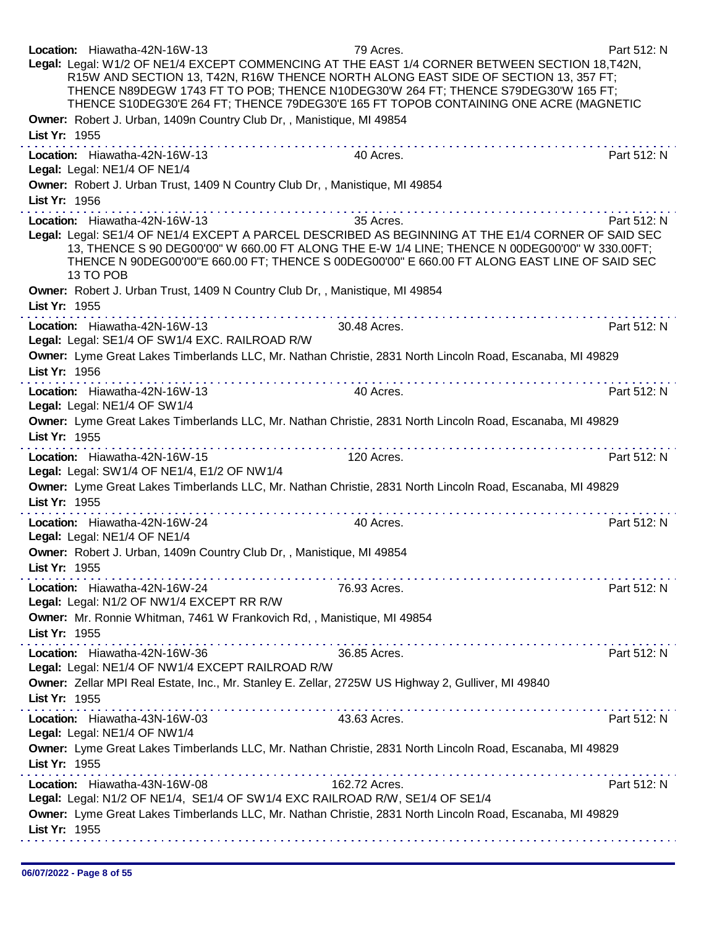| Location: Hiawatha-42N-16W-13<br>Legal: Legal: W1/2 OF NE1/4 EXCEPT COMMENCING AT THE EAST 1/4 CORNER BETWEEN SECTION 18, T42N,<br>R15W AND SECTION 13, T42N, R16W THENCE NORTH ALONG EAST SIDE OF SECTION 13, 357 FT;<br>THENCE N89DEGW 1743 FT TO POB; THENCE N10DEG30'W 264 FT; THENCE S79DEG30'W 165 FT;<br>THENCE S10DEG30'E 264 FT; THENCE 79DEG30'E 165 FT TOPOB CONTAINING ONE ACRE (MAGNETIC<br>Owner: Robert J. Urban, 1409n Country Club Dr,, Manistique, MI 49854                                                                             | 79 Acres.     | Part 512: N |
|-----------------------------------------------------------------------------------------------------------------------------------------------------------------------------------------------------------------------------------------------------------------------------------------------------------------------------------------------------------------------------------------------------------------------------------------------------------------------------------------------------------------------------------------------------------|---------------|-------------|
| List Yr: 1955                                                                                                                                                                                                                                                                                                                                                                                                                                                                                                                                             |               |             |
| Location: Hiawatha-42N-16W-13<br>Legal: Legal: NE1/4 OF NE1/4                                                                                                                                                                                                                                                                                                                                                                                                                                                                                             | 40 Acres.     | Part 512: N |
| Owner: Robert J. Urban Trust, 1409 N Country Club Dr, , Manistique, MI 49854<br>List Yr: 1956                                                                                                                                                                                                                                                                                                                                                                                                                                                             |               |             |
| Location: Hiawatha-42N-16W-13<br>Legal: Legal: SE1/4 OF NE1/4 EXCEPT A PARCEL DESCRIBED AS BEGINNING AT THE E1/4 CORNER OF SAID SEC<br>13, THENCE S 90 DEG00'00" W 660.00 FT ALONG THE E-W 1/4 LINE; THENCE N 00DEG00'00" W 330.00FT;<br>THENCE N 90DEG00'00"E 660.00 FT; THENCE S 00DEG00'00" E 660.00 FT ALONG EAST LINE OF SAID SEC<br>13 TO POB                                                                                                                                                                                                       | 35 Acres.     | Part 512: N |
| Owner: Robert J. Urban Trust, 1409 N Country Club Dr,, Manistique, MI 49854<br>List Yr: 1955<br>$\label{eq:2.1} \begin{array}{lllllllllllllllllllll} \mathbf{1}_{\mathbf{1}} & \mathbf{1}_{\mathbf{1}} & \mathbf{1}_{\mathbf{1}} & \mathbf{1}_{\mathbf{1}} & \mathbf{1}_{\mathbf{1}} & \mathbf{1}_{\mathbf{1}} & \mathbf{1}_{\mathbf{1}} & \mathbf{1}_{\mathbf{1}} & \mathbf{1}_{\mathbf{1}} & \mathbf{1}_{\mathbf{1}} & \mathbf{1}_{\mathbf{1}} & \mathbf{1}_{\mathbf{1}} & \mathbf{1}_{\mathbf{1}} & \mathbf{1}_{\mathbf{1}} & \mathbf{1}_{\mathbf{1}}$ |               |             |
| Location: Hiawatha-42N-16W-13<br>Legal: Legal: SE1/4 OF SW1/4 EXC. RAILROAD R/W                                                                                                                                                                                                                                                                                                                                                                                                                                                                           | 30.48 Acres.  | Part 512: N |
| Owner: Lyme Great Lakes Timberlands LLC, Mr. Nathan Christie, 2831 North Lincoln Road, Escanaba, MI 49829<br>List Yr: 1956                                                                                                                                                                                                                                                                                                                                                                                                                                |               |             |
| Location: Hiawatha-42N-16W-13<br>Legal: Legal: NE1/4 OF SW1/4                                                                                                                                                                                                                                                                                                                                                                                                                                                                                             | 40 Acres.     | Part 512: N |
| Owner: Lyme Great Lakes Timberlands LLC, Mr. Nathan Christie, 2831 North Lincoln Road, Escanaba, MI 49829<br>List Yr: 1955                                                                                                                                                                                                                                                                                                                                                                                                                                |               |             |
| . <b>.</b><br>Location: Hiawatha-42N-16W-15<br>Legal: Legal: SW1/4 OF NE1/4, E1/2 OF NW1/4                                                                                                                                                                                                                                                                                                                                                                                                                                                                | 120 Acres.    | Part 512: N |
| Owner: Lyme Great Lakes Timberlands LLC, Mr. Nathan Christie, 2831 North Lincoln Road, Escanaba, MI 49829<br>List Yr: 1955                                                                                                                                                                                                                                                                                                                                                                                                                                |               |             |
| Location: Hiawatha-42N-16W-24<br>Legal: Legal: NE1/4 OF NE1/4                                                                                                                                                                                                                                                                                                                                                                                                                                                                                             | 40 Acres.     | Part 512: N |
| Owner: Robert J. Urban, 1409n Country Club Dr, , Manistique, MI 49854<br>List Yr: 1955                                                                                                                                                                                                                                                                                                                                                                                                                                                                    |               |             |
| Location: Hiawatha-42N-16W-24<br>Legal: Legal: N1/2 OF NW1/4 EXCEPT RR R/W                                                                                                                                                                                                                                                                                                                                                                                                                                                                                | 76.93 Acres.  | Part 512: N |
| Owner: Mr. Ronnie Whitman, 7461 W Frankovich Rd, , Manistique, MI 49854<br>List Yr: 1955                                                                                                                                                                                                                                                                                                                                                                                                                                                                  |               |             |
| Location: Hiawatha-42N-16W-36<br>Legal: Legal: NE1/4 OF NW1/4 EXCEPT RAILROAD R/W                                                                                                                                                                                                                                                                                                                                                                                                                                                                         | 36.85 Acres.  | Part 512: N |
| Owner: Zellar MPI Real Estate, Inc., Mr. Stanley E. Zellar, 2725W US Highway 2, Gulliver, MI 49840<br>List Yr: 1955                                                                                                                                                                                                                                                                                                                                                                                                                                       |               |             |
| Location: Hiawatha-43N-16W-03<br>Legal: Legal: NE1/4 OF NW1/4                                                                                                                                                                                                                                                                                                                                                                                                                                                                                             | 43.63 Acres.  | Part 512: N |
| Owner: Lyme Great Lakes Timberlands LLC, Mr. Nathan Christie, 2831 North Lincoln Road, Escanaba, MI 49829<br>List Yr: 1955                                                                                                                                                                                                                                                                                                                                                                                                                                |               |             |
| Location: Hiawatha-43N-16W-08<br>Legal: Legal: N1/2 OF NE1/4, SE1/4 OF SW1/4 EXC RAILROAD R/W, SE1/4 OF SE1/4                                                                                                                                                                                                                                                                                                                                                                                                                                             | 162.72 Acres. | Part 512: N |
| Owner: Lyme Great Lakes Timberlands LLC, Mr. Nathan Christie, 2831 North Lincoln Road, Escanaba, MI 49829<br>List Yr: 1955                                                                                                                                                                                                                                                                                                                                                                                                                                |               |             |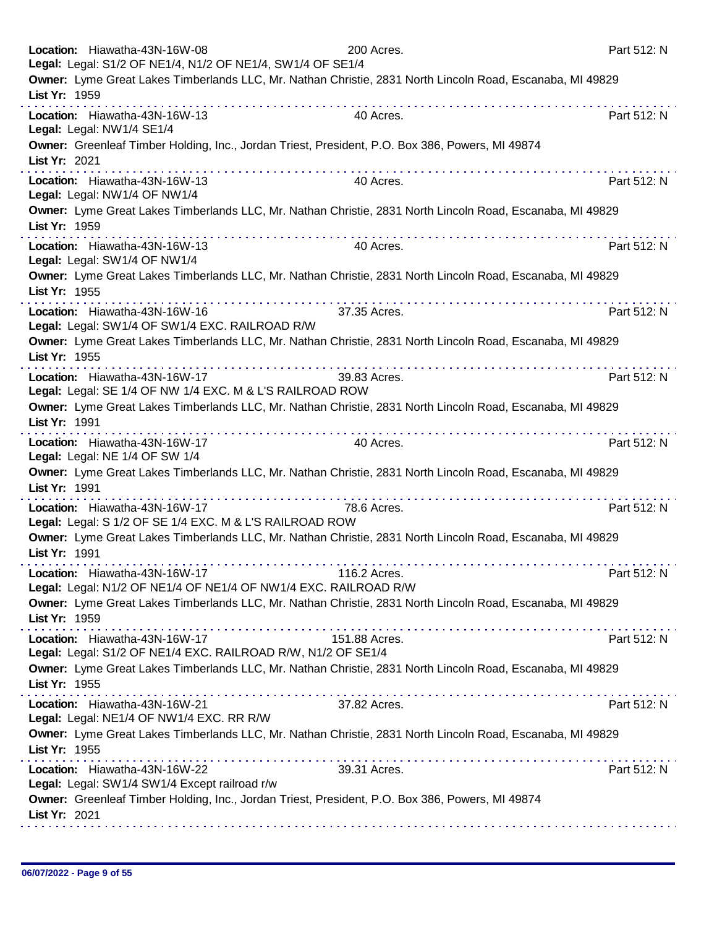| Location: Hiawatha-43N-16W-08<br>Legal: Legal: S1/2 OF NE1/4, N1/2 OF NE1/4, SW1/4 OF SE1/4      | 200 Acres.                                                                                                     | Part 512: N |
|--------------------------------------------------------------------------------------------------|----------------------------------------------------------------------------------------------------------------|-------------|
| List Yr: 1959                                                                                    | Owner: Lyme Great Lakes Timberlands LLC, Mr. Nathan Christie, 2831 North Lincoln Road, Escanaba, MI 49829      |             |
| Location: Hiawatha-43N-16W-13<br>Legal: Legal: NW1/4 SE1/4                                       | 40 Acres.                                                                                                      | Part 512: N |
| List Yr: 2021                                                                                    | Owner: Greenleaf Timber Holding, Inc., Jordan Triest, President, P.O. Box 386, Powers, MI 49874                |             |
| Location: Hiawatha-43N-16W-13<br>Legal: Legal: NW1/4 OF NW1/4                                    | 40 Acres.                                                                                                      | Part 512: N |
| List Yr: 1959                                                                                    | Owner: Lyme Great Lakes Timberlands LLC, Mr. Nathan Christie, 2831 North Lincoln Road, Escanaba, MI 49829      |             |
| Location: Hiawatha-43N-16W-13<br>Legal: Legal: SW1/4 OF NW1/4                                    | 40 Acres.                                                                                                      | Part 512: N |
| List Yr: 1955                                                                                    | Owner: Lyme Great Lakes Timberlands LLC, Mr. Nathan Christie, 2831 North Lincoln Road, Escanaba, MI 49829      |             |
| Location: Hiawatha-43N-16W-16<br>Legal: Legal: SW1/4 OF SW1/4 EXC. RAILROAD R/W                  | 37.35 Acres.                                                                                                   | Part 512: N |
| List Yr: 1955                                                                                    | Owner: Lyme Great Lakes Timberlands LLC, Mr. Nathan Christie, 2831 North Lincoln Road, Escanaba, MI 49829      |             |
| Location: Hiawatha-43N-16W-17<br>Legal: Legal: SE 1/4 OF NW 1/4 EXC. M & L'S RAILROAD ROW        | 39.83 Acres.                                                                                                   | Part 512: N |
| List Yr: 1991                                                                                    | Owner: Lyme Great Lakes Timberlands LLC, Mr. Nathan Christie, 2831 North Lincoln Road, Escanaba, MI 49829<br>. |             |
| Location: Hiawatha-43N-16W-17<br>Legal: Legal: NE 1/4 OF SW 1/4                                  | 40 Acres.                                                                                                      | Part 512: N |
| List Yr: 1991                                                                                    | Owner: Lyme Great Lakes Timberlands LLC, Mr. Nathan Christie, 2831 North Lincoln Road, Escanaba, MI 49829      |             |
| Location: Hiawatha-43N-16W-17<br>Legal: Legal: S 1/2 OF SE 1/4 EXC. M & L'S RAILROAD ROW         | 78.6 Acres.                                                                                                    | Part 512: N |
| List Yr: 1991                                                                                    | Owner: Lyme Great Lakes Timberlands LLC, Mr. Nathan Christie, 2831 North Lincoln Road, Escanaba, MI 49829      |             |
| Location: Hiawatha-43N-16W-17<br>Legal: Legal: N1/2 OF NE1/4 OF NE1/4 OF NW1/4 EXC. RAILROAD R/W | 116.2 Acres.                                                                                                   | Part 512: N |
| List Yr: 1959                                                                                    | Owner: Lyme Great Lakes Timberlands LLC, Mr. Nathan Christie, 2831 North Lincoln Road, Escanaba, MI 49829      |             |
| Location: Hiawatha-43N-16W-17<br>Legal: Legal: S1/2 OF NE1/4 EXC. RAILROAD R/W, N1/2 OF SE1/4    | 151.88 Acres.                                                                                                  | Part 512: N |
| List Yr: 1955                                                                                    | Owner: Lyme Great Lakes Timberlands LLC, Mr. Nathan Christie, 2831 North Lincoln Road, Escanaba, MI 49829      |             |
| Location: Hiawatha-43N-16W-21<br>Legal: Legal: NE1/4 OF NW1/4 EXC. RR R/W                        | 37.82 Acres.                                                                                                   | Part 512: N |
| List Yr: 1955                                                                                    | Owner: Lyme Great Lakes Timberlands LLC, Mr. Nathan Christie, 2831 North Lincoln Road, Escanaba, MI 49829<br>. |             |
| Location: Hiawatha-43N-16W-22<br>Legal: Legal: SW1/4 SW1/4 Except railroad r/w                   | 39.31 Acres.                                                                                                   | Part 512: N |
| List Yr: 2021                                                                                    | Owner: Greenleaf Timber Holding, Inc., Jordan Triest, President, P.O. Box 386, Powers, MI 49874                |             |
|                                                                                                  |                                                                                                                |             |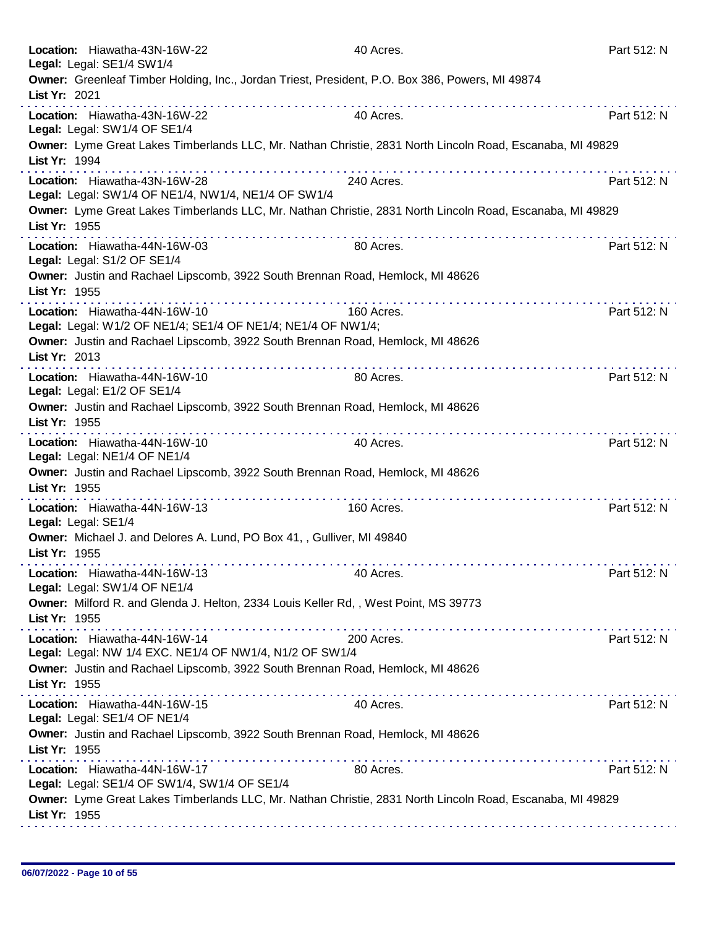| Location: Hiawatha-43N-16W-22<br>Legal: Legal: SE1/4 SW1/4                                    | 40 Acres.                                                                                                 | Part 512: N |
|-----------------------------------------------------------------------------------------------|-----------------------------------------------------------------------------------------------------------|-------------|
| List Yr: 2021                                                                                 | Owner: Greenleaf Timber Holding, Inc., Jordan Triest, President, P.O. Box 386, Powers, MI 49874           |             |
| Location: Hiawatha-43N-16W-22<br>Legal: Legal: SW1/4 OF SE1/4                                 | 40 Acres.                                                                                                 | Part 512: N |
| List Yr: 1994                                                                                 | Owner: Lyme Great Lakes Timberlands LLC, Mr. Nathan Christie, 2831 North Lincoln Road, Escanaba, MI 49829 |             |
| Location: Hiawatha-43N-16W-28<br>Legal: Legal: SW1/4 OF NE1/4, NW1/4, NE1/4 OF SW1/4          | 240 Acres.                                                                                                | Part 512: N |
| List Yr: 1955                                                                                 | Owner: Lyme Great Lakes Timberlands LLC, Mr. Nathan Christie, 2831 North Lincoln Road, Escanaba, MI 49829 |             |
| Location: Hiawatha-44N-16W-03<br>Legal: Legal: S1/2 OF SE1/4                                  | .<br>80 Acres.                                                                                            | Part 512: N |
| List Yr: 1955                                                                                 | Owner: Justin and Rachael Lipscomb, 3922 South Brennan Road, Hemlock, MI 48626                            |             |
| Location: Hiawatha-44N-16W-10<br>Legal: Legal: W1/2 OF NE1/4; SE1/4 OF NE1/4; NE1/4 OF NW1/4; | 160 Acres.                                                                                                | Part 512: N |
| List Yr: 2013                                                                                 | Owner: Justin and Rachael Lipscomb, 3922 South Brennan Road, Hemlock, MI 48626                            |             |
| Location: Hiawatha-44N-16W-10<br>Legal: Legal: E1/2 OF SE1/4                                  | 80 Acres.                                                                                                 | Part 512: N |
| List Yr: 1955                                                                                 | Owner: Justin and Rachael Lipscomb, 3922 South Brennan Road, Hemlock, MI 48626                            |             |
| Location: Hiawatha-44N-16W-10<br>Legal: Legal: NE1/4 OF NE1/4                                 | 40 Acres.                                                                                                 | Part 512: N |
| List Yr: 1955                                                                                 | Owner: Justin and Rachael Lipscomb, 3922 South Brennan Road, Hemlock, MI 48626                            |             |
| Location: Hiawatha-44N-16W-13<br>Legal: Legal: SE1/4                                          | 160 Acres.                                                                                                | Part 512: N |
| Owner: Michael J. and Delores A. Lund, PO Box 41, , Gulliver, MI 49840<br>List Yr: 1955       |                                                                                                           |             |
| Location: Hiawatha-44N-16W-13<br>Legal: Legal: SW1/4 OF NE1/4                                 | 40 Acres.                                                                                                 | Part 512: N |
| List Yr: 1955                                                                                 | Owner: Milford R. and Glenda J. Helton, 2334 Louis Keller Rd,, West Point, MS 39773                       |             |
| Location: Hiawatha-44N-16W-14<br>Legal: Legal: NW 1/4 EXC. NE1/4 OF NW1/4, N1/2 OF SW1/4      | 200 Acres.                                                                                                | Part 512: N |
| List Yr: 1955                                                                                 | Owner: Justin and Rachael Lipscomb, 3922 South Brennan Road, Hemlock, MI 48626                            |             |
| Location: Hiawatha-44N-16W-15<br>Legal: Legal: SE1/4 OF NE1/4                                 | 40 Acres.                                                                                                 | Part 512: N |
| List Yr: 1955                                                                                 | Owner: Justin and Rachael Lipscomb, 3922 South Brennan Road, Hemlock, MI 48626                            |             |
| Location: Hiawatha-44N-16W-17<br>Legal: Legal: SE1/4 OF SW1/4, SW1/4 OF SE1/4                 | 80 Acres.                                                                                                 | Part 512: N |
| List Yr: 1955                                                                                 | Owner: Lyme Great Lakes Timberlands LLC, Mr. Nathan Christie, 2831 North Lincoln Road, Escanaba, MI 49829 |             |
|                                                                                               |                                                                                                           |             |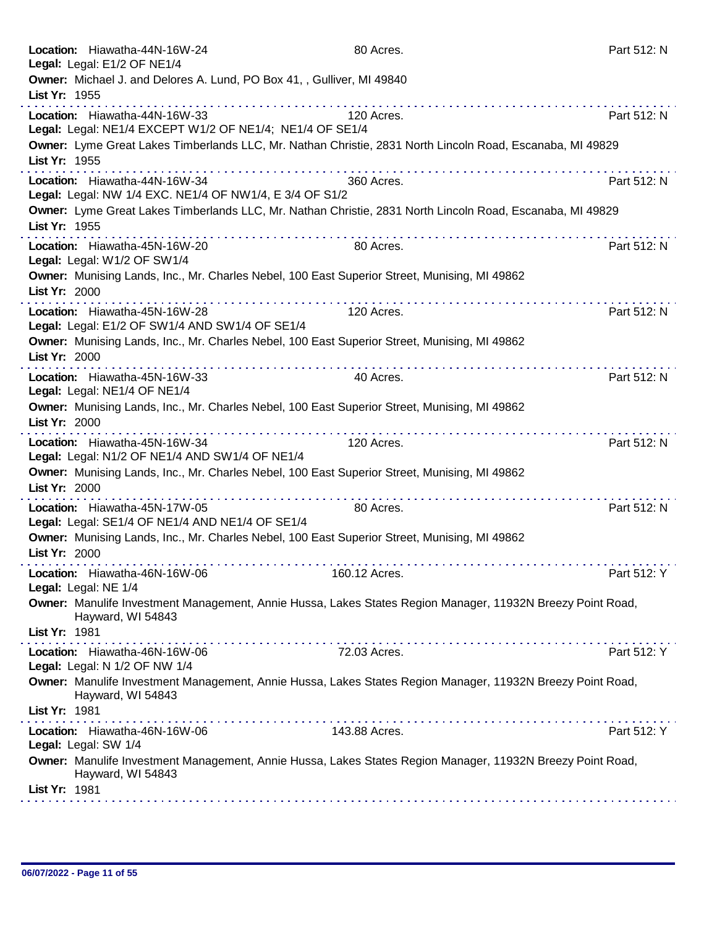| Location: Hiawatha-44N-16W-24<br>Legal: Legal: E1/2 OF NE1/4                                                                    | 80 Acres.            | Part 512: N |
|---------------------------------------------------------------------------------------------------------------------------------|----------------------|-------------|
| Owner: Michael J. and Delores A. Lund, PO Box 41, , Gulliver, MI 49840<br>List Yr: 1955                                         |                      |             |
| Location: Hiawatha-44N-16W-33                                                                                                   | 120 Acres.           | Part 512: N |
| Legal: Legal: NE1/4 EXCEPT W1/2 OF NE1/4; NE1/4 OF SE1/4                                                                        |                      |             |
| Owner: Lyme Great Lakes Timberlands LLC, Mr. Nathan Christie, 2831 North Lincoln Road, Escanaba, MI 49829<br>List Yr: 1955      |                      |             |
|                                                                                                                                 |                      |             |
| Location: Hiawatha-44N-16W-34<br>Legal: Legal: NW 1/4 EXC. NE1/4 OF NW1/4, E 3/4 OF S1/2                                        | 360 Acres.           | Part 512: N |
| Owner: Lyme Great Lakes Timberlands LLC, Mr. Nathan Christie, 2831 North Lincoln Road, Escanaba, MI 49829                       |                      |             |
| List Yr: 1955                                                                                                                   |                      |             |
| Location: Hiawatha-45N-16W-20<br>Legal: Legal: W1/2 OF SW1/4                                                                    | 80 Acres.            | Part 512: N |
| Owner: Munising Lands, Inc., Mr. Charles Nebel, 100 East Superior Street, Munising, MI 49862<br>List Yr: 2000                   | .                    |             |
| Location: Hiawatha-45N-16W-28<br>Legal: Legal: E1/2 OF SW1/4 AND SW1/4 OF SE1/4                                                 | 120 Acres.           | Part 512: N |
| Owner: Munising Lands, Inc., Mr. Charles Nebel, 100 East Superior Street, Munising, MI 49862<br>List Yr: 2000<br>. <b>.</b>     |                      |             |
| Location: Hiawatha-45N-16W-33<br>Legal: Legal: NE1/4 OF NE1/4                                                                   | 40 Acres.            | Part 512: N |
| Owner: Munising Lands, Inc., Mr. Charles Nebel, 100 East Superior Street, Munising, MI 49862<br>List Yr: 2000                   |                      |             |
| Location: Hiawatha-45N-16W-34<br>Legal: Legal: N1/2 OF NE1/4 AND SW1/4 OF NE1/4                                                 | 120 Acres.           | Part 512: N |
| Owner: Munising Lands, Inc., Mr. Charles Nebel, 100 East Superior Street, Munising, MI 49862<br>List Yr: 2000                   | and and and analysis |             |
| Location: Hiawatha-45N-17W-05<br>Legal: Legal: SE1/4 OF NE1/4 AND NE1/4 OF SE1/4                                                | 80 Acres.            | Part 512: N |
| Owner: Munising Lands, Inc., Mr. Charles Nebel, 100 East Superior Street, Munising, MI 49862<br>List Yr: 2000                   |                      |             |
| Location: Hiawatha-46N-16W-06<br>Legal: Legal: NE 1/4                                                                           | 160.12 Acres.        | Part 512: Y |
| Owner: Manulife Investment Management, Annie Hussa, Lakes States Region Manager, 11932N Breezy Point Road,<br>Hayward, WI 54843 |                      |             |
| List Yr: 1981                                                                                                                   |                      |             |
| Location: Hiawatha-46N-16W-06<br>Legal: Legal: N 1/2 OF NW 1/4                                                                  | 72.03 Acres.         | Part 512: Y |
| Owner: Manulife Investment Management, Annie Hussa, Lakes States Region Manager, 11932N Breezy Point Road,<br>Hayward, WI 54843 |                      |             |
| List Yr: 1981                                                                                                                   |                      |             |
| Location: Hiawatha-46N-16W-06<br>Legal: Legal: SW 1/4                                                                           | 143.88 Acres.        | Part 512: Y |
| Owner: Manulife Investment Management, Annie Hussa, Lakes States Region Manager, 11932N Breezy Point Road,<br>Hayward, WI 54843 |                      |             |
| List Yr: 1981                                                                                                                   |                      |             |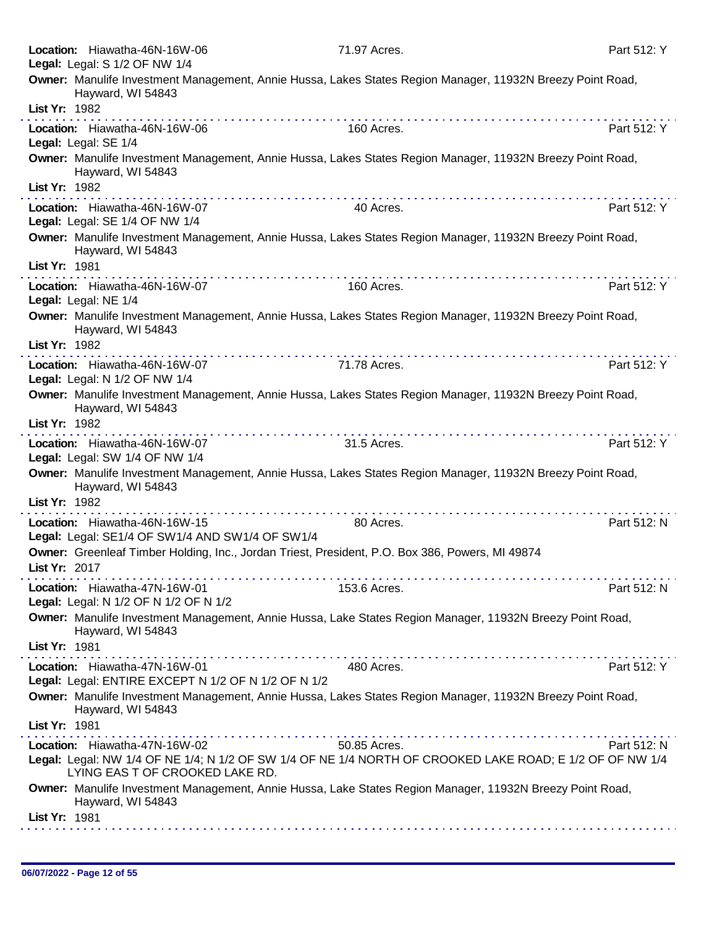|               | Location: Hiawatha-46N-16W-06<br>Legal: Legal: S 1/2 OF NW 1/4                       | 71.97 Acres.                                                                                               | Part 512: Y |
|---------------|--------------------------------------------------------------------------------------|------------------------------------------------------------------------------------------------------------|-------------|
|               |                                                                                      | Owner: Manulife Investment Management, Annie Hussa, Lakes States Region Manager, 11932N Breezy Point Road, |             |
| List Yr: 1982 | Hayward, WI 54843                                                                    |                                                                                                            |             |
|               | Location: Hiawatha-46N-16W-06<br>Legal: Legal: SE 1/4                                | 160 Acres.                                                                                                 | Part 512: Y |
|               | Hayward, WI 54843                                                                    | Owner: Manulife Investment Management, Annie Hussa, Lakes States Region Manager, 11932N Breezy Point Road, |             |
| List Yr: 1982 |                                                                                      |                                                                                                            |             |
|               | Location: Hiawatha-46N-16W-07<br>Legal: Legal: SE 1/4 OF NW 1/4                      | 40 Acres.                                                                                                  | Part 512: Y |
|               | Hayward, WI 54843                                                                    | Owner: Manulife Investment Management, Annie Hussa, Lakes States Region Manager, 11932N Breezy Point Road, |             |
| List Yr: 1981 |                                                                                      |                                                                                                            |             |
|               | Location: Hiawatha-46N-16W-07<br>Legal: Legal: NE 1/4                                | 160 Acres.                                                                                                 | Part 512: Y |
|               | Hayward, WI 54843                                                                    | Owner: Manulife Investment Management, Annie Hussa, Lakes States Region Manager, 11932N Breezy Point Road, |             |
| List Yr: 1982 |                                                                                      |                                                                                                            |             |
|               | Location: Hiawatha-46N-16W-07<br>Legal: Legal: N 1/2 OF NW 1/4                       | 71.78 Acres.                                                                                               | Part 512: Y |
|               | Hayward, WI 54843                                                                    | Owner: Manulife Investment Management, Annie Hussa, Lakes States Region Manager, 11932N Breezy Point Road, |             |
| List Yr: 1982 |                                                                                      |                                                                                                            |             |
|               | Location: Hiawatha-46N-16W-07<br>Legal: Legal: SW 1/4 OF NW 1/4                      | 31.5 Acres.                                                                                                | Part 512: Y |
|               | Hayward, WI 54843                                                                    | Owner: Manulife Investment Management, Annie Hussa, Lakes States Region Manager, 11932N Breezy Point Road, |             |
| List Yr: 1982 |                                                                                      |                                                                                                            |             |
|               | Location: Hiawatha-46N-16W-15<br>Legal: Legal: SE1/4 OF SW1/4 AND SW1/4 OF SW1/4     | 80 Acres.                                                                                                  | Part 512: N |
| List Yr: 2017 |                                                                                      | Owner: Greenleaf Timber Holding, Inc., Jordan Triest, President, P.O. Box 386, Powers, MI 49874            |             |
|               | Location: Hiawatha-47N-16W-01<br>Legal: Legal: N 1/2 OF N 1/2 OF N 1/2               | 153.6 Acres.                                                                                               | Part 512: N |
|               | Hayward, WI 54843                                                                    | Owner: Manulife Investment Management, Annie Hussa, Lake States Region Manager, 11932N Breezy Point Road,  |             |
| List Yr: 1981 |                                                                                      |                                                                                                            |             |
|               | Location: Hiawatha-47N-16W-01<br>Legal: Legal: ENTIRE EXCEPT N 1/2 OF N 1/2 OF N 1/2 | 480 Acres.                                                                                                 | Part 512: Y |
|               | Hayward, WI 54843                                                                    | Owner: Manulife Investment Management, Annie Hussa, Lakes States Region Manager, 11932N Breezy Point Road, |             |
| List Yr: 1981 |                                                                                      |                                                                                                            |             |
|               | Location: Hiawatha-47N-16W-02 50.85 Acres.                                           | Legal: Legal: NW 1/4 OF NE 1/4; N 1/2 OF SW 1/4 OF NE 1/4 NORTH OF CROOKED LAKE ROAD; E 1/2 OF OF NW 1/4   | Part 512: N |
|               | LYING EAS T OF CROOKED LAKE RD.                                                      | Owner: Manulife Investment Management, Annie Hussa, Lake States Region Manager, 11932N Breezy Point Road,  |             |
| List Yr: 1981 | Hayward, WI 54843                                                                    |                                                                                                            |             |
|               |                                                                                      |                                                                                                            |             |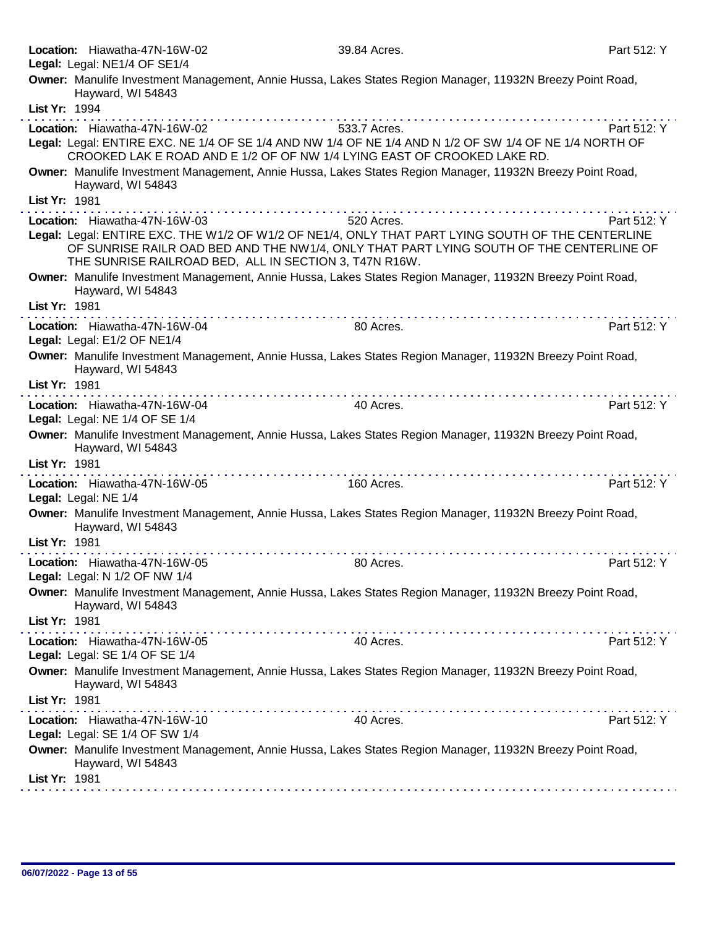|               | Location: Hiawatha-47N-16W-02<br>Legal: Legal: NE1/4 OF SE1/4                                                                                                                                                                                                                                                                                                                                                                     | 39.84 Acres.                       | Part 512: Y |
|---------------|-----------------------------------------------------------------------------------------------------------------------------------------------------------------------------------------------------------------------------------------------------------------------------------------------------------------------------------------------------------------------------------------------------------------------------------|------------------------------------|-------------|
|               | Owner: Manulife Investment Management, Annie Hussa, Lakes States Region Manager, 11932N Breezy Point Road,<br>Hayward, WI 54843                                                                                                                                                                                                                                                                                                   |                                    |             |
| List Yr: 1994 |                                                                                                                                                                                                                                                                                                                                                                                                                                   | and a series of the company of the |             |
|               | Location: Hiawatha-47N-16W-02<br>Legal: Legal: ENTIRE EXC. NE 1/4 OF SE 1/4 AND NW 1/4 OF NE 1/4 AND N 1/2 OF SW 1/4 OF NE 1/4 NORTH OF<br>CROOKED LAK E ROAD AND E 1/2 OF OF NW 1/4 LYING EAST OF CROOKED LAKE RD.                                                                                                                                                                                                               | 533.7 Acres.                       | Part 512: Y |
|               | Owner: Manulife Investment Management, Annie Hussa, Lakes States Region Manager, 11932N Breezy Point Road,<br>Hayward, WI 54843                                                                                                                                                                                                                                                                                                   |                                    |             |
| List Yr: 1981 |                                                                                                                                                                                                                                                                                                                                                                                                                                   |                                    |             |
|               | Location: Hiawatha-47N-16W-03                                                                                                                                                                                                                                                                                                                                                                                                     | 520 Acres.                         | Part 512: Y |
|               | Legal: Legal: ENTIRE EXC. THE W1/2 OF W1/2 OF NE1/4, ONLY THAT PART LYING SOUTH OF THE CENTERLINE<br>OF SUNRISE RAILR OAD BED AND THE NW1/4, ONLY THAT PART LYING SOUTH OF THE CENTERLINE OF<br>THE SUNRISE RAILROAD BED, ALL IN SECTION 3, T47N R16W.                                                                                                                                                                            |                                    |             |
|               | Owner: Manulife Investment Management, Annie Hussa, Lakes States Region Manager, 11932N Breezy Point Road,<br>Hayward, WI 54843                                                                                                                                                                                                                                                                                                   |                                    |             |
| List Yr: 1981 |                                                                                                                                                                                                                                                                                                                                                                                                                                   |                                    |             |
|               | Location: Hiawatha-47N-16W-04<br>Legal: Legal: E1/2 OF NE1/4                                                                                                                                                                                                                                                                                                                                                                      | 80 Acres.                          | Part 512: Y |
|               | Owner: Manulife Investment Management, Annie Hussa, Lakes States Region Manager, 11932N Breezy Point Road,<br>Hayward, WI 54843                                                                                                                                                                                                                                                                                                   |                                    |             |
| List Yr: 1981 |                                                                                                                                                                                                                                                                                                                                                                                                                                   |                                    |             |
|               | Location: Hiawatha-47N-16W-04<br>Legal: Legal: NE 1/4 OF SE 1/4                                                                                                                                                                                                                                                                                                                                                                   | 40 Acres.                          | Part 512: Y |
|               | Owner: Manulife Investment Management, Annie Hussa, Lakes States Region Manager, 11932N Breezy Point Road,<br>Hayward, WI 54843                                                                                                                                                                                                                                                                                                   |                                    |             |
| List Yr: 1981 | $\label{eq:2.1} \begin{array}{lllllllllllllllllllll} \hline \textbf{1} & \textbf{1} & \textbf{1} & \textbf{1} & \textbf{1} & \textbf{1} & \textbf{1} & \textbf{1} & \textbf{1} & \textbf{1} & \textbf{1} & \textbf{1} & \textbf{1} & \textbf{1} & \textbf{1} & \textbf{1} & \textbf{1} & \textbf{1} & \textbf{1} & \textbf{1} & \textbf{1} & \textbf{1} & \textbf{1} & \textbf{1} & \textbf{1} & \textbf{1} & \textbf{1} & \text$ |                                    |             |
|               | Location: Hiawatha-47N-16W-05<br>Legal: Legal: NE 1/4                                                                                                                                                                                                                                                                                                                                                                             | 160 Acres.                         | Part 512: Y |
|               | Owner: Manulife Investment Management, Annie Hussa, Lakes States Region Manager, 11932N Breezy Point Road,<br>Hayward, WI 54843                                                                                                                                                                                                                                                                                                   |                                    |             |
| List Yr: 1981 |                                                                                                                                                                                                                                                                                                                                                                                                                                   |                                    |             |
|               | Location: Hiawatha-47N-16W-05<br>Legal: Legal: N 1/2 OF NW 1/4                                                                                                                                                                                                                                                                                                                                                                    | 80 Acres.                          | Part 512: Y |
|               | Owner: Manulife Investment Management, Annie Hussa, Lakes States Region Manager, 11932N Breezy Point Road,<br>Hayward, WI 54843                                                                                                                                                                                                                                                                                                   |                                    |             |
| List Yr: 1981 |                                                                                                                                                                                                                                                                                                                                                                                                                                   |                                    |             |
|               | Location: Hiawatha-47N-16W-05<br>Legal: Legal: SE 1/4 OF SE 1/4                                                                                                                                                                                                                                                                                                                                                                   | 40 Acres.                          | Part 512: Y |
|               | Owner: Manulife Investment Management, Annie Hussa, Lakes States Region Manager, 11932N Breezy Point Road,<br>Hayward, WI 54843                                                                                                                                                                                                                                                                                                   |                                    |             |
| List Yr: 1981 |                                                                                                                                                                                                                                                                                                                                                                                                                                   |                                    |             |
|               | Location: Hiawatha-47N-16W-10<br>Legal: Legal: SE 1/4 OF SW 1/4                                                                                                                                                                                                                                                                                                                                                                   | 40 Acres.                          | Part 512: Y |
|               | Owner: Manulife Investment Management, Annie Hussa, Lakes States Region Manager, 11932N Breezy Point Road,<br>Hayward, WI 54843                                                                                                                                                                                                                                                                                                   |                                    |             |
| List Yr: 1981 |                                                                                                                                                                                                                                                                                                                                                                                                                                   |                                    |             |
|               |                                                                                                                                                                                                                                                                                                                                                                                                                                   |                                    |             |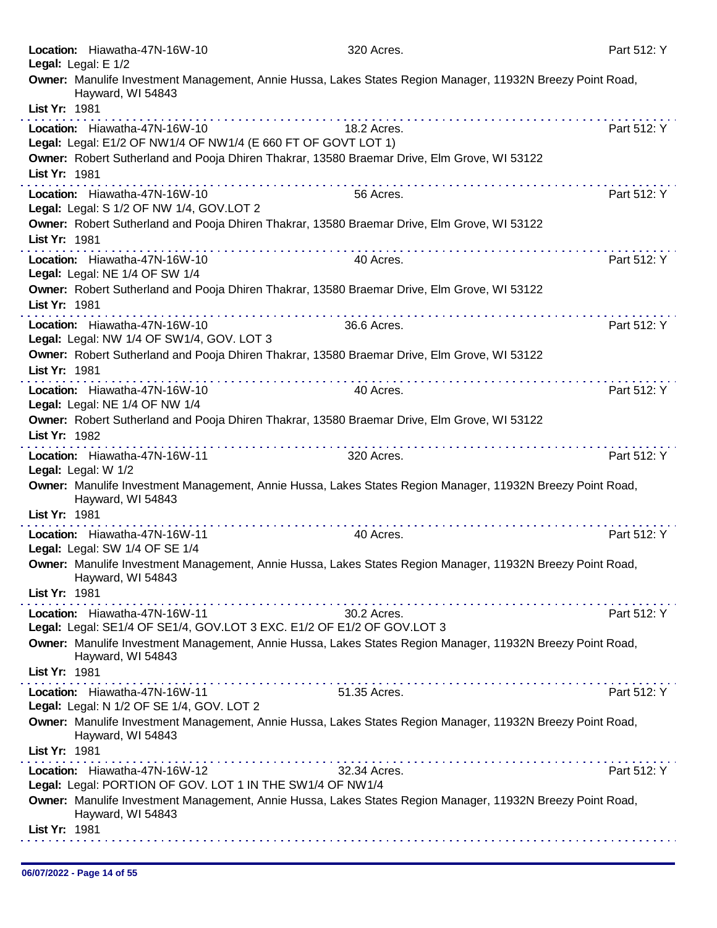| Location: Hiawatha-47N-16W-10<br>Legal: Legal: E 1/2                                                                                                               | 320 Acres.                                                                                                                                                                                                                                                                                                                                                                                                                                                | Part 512: Y |
|--------------------------------------------------------------------------------------------------------------------------------------------------------------------|-----------------------------------------------------------------------------------------------------------------------------------------------------------------------------------------------------------------------------------------------------------------------------------------------------------------------------------------------------------------------------------------------------------------------------------------------------------|-------------|
| Owner: Manulife Investment Management, Annie Hussa, Lakes States Region Manager, 11932N Breezy Point Road,<br>Hayward, WI 54843<br>List Yr: 1981                   |                                                                                                                                                                                                                                                                                                                                                                                                                                                           |             |
| Location: Hiawatha-47N-16W-10<br>Legal: Legal: E1/2 OF NW1/4 OF NW1/4 (E 660 FT OF GOVT LOT 1)                                                                     | 18.2 Acres.                                                                                                                                                                                                                                                                                                                                                                                                                                               | Part 512: Y |
| Owner: Robert Sutherland and Pooja Dhiren Thakrar, 13580 Braemar Drive, Elm Grove, WI 53122<br>List Yr: 1981                                                       | $\mathcal{L}^{\mathcal{A}}(\mathcal{A}^{\mathcal{A}}(\mathcal{A}^{\mathcal{A}}(\mathcal{A}^{\mathcal{A}}(\mathcal{A}^{\mathcal{A}}(\mathcal{A}^{\mathcal{A}}(\mathcal{A}^{\mathcal{A}}(\mathcal{A}^{\mathcal{A}}(\mathcal{A}^{\mathcal{A}}(\mathcal{A}^{\mathcal{A}}(\mathcal{A}^{\mathcal{A}}(\mathcal{A}^{\mathcal{A}}(\mathcal{A}^{\mathcal{A}}(\mathcal{A}^{\mathcal{A}}(\mathcal{A}^{\mathcal{A}}(\mathcal{A}^{\mathcal{A}}(\mathcal{A}^{\mathcal{A$ |             |
| Location: Hiawatha-47N-16W-10<br>Legal: Legal: S 1/2 OF NW 1/4, GOV.LOT 2                                                                                          | 56 Acres.                                                                                                                                                                                                                                                                                                                                                                                                                                                 | Part 512: Y |
| Owner: Robert Sutherland and Pooja Dhiren Thakrar, 13580 Braemar Drive, Elm Grove, WI 53122<br>List Yr: 1981                                                       |                                                                                                                                                                                                                                                                                                                                                                                                                                                           |             |
| Location: Hiawatha-47N-16W-10<br>Legal: Legal: NE 1/4 OF SW 1/4                                                                                                    | 40 Acres.                                                                                                                                                                                                                                                                                                                                                                                                                                                 | Part 512: Y |
| Owner: Robert Sutherland and Pooja Dhiren Thakrar, 13580 Braemar Drive, Elm Grove, WI 53122<br>List Yr: 1981                                                       |                                                                                                                                                                                                                                                                                                                                                                                                                                                           |             |
| Location: Hiawatha-47N-16W-10<br>Legal: Legal: NW 1/4 OF SW1/4, GOV. LOT 3                                                                                         | 36.6 Acres.                                                                                                                                                                                                                                                                                                                                                                                                                                               | Part 512: Y |
| Owner: Robert Sutherland and Pooja Dhiren Thakrar, 13580 Braemar Drive, Elm Grove, WI 53122<br>List Yr: 1981                                                       |                                                                                                                                                                                                                                                                                                                                                                                                                                                           |             |
| Location: Hiawatha-47N-16W-10<br>Legal: Legal: NE 1/4 OF NW 1/4<br>Owner: Robert Sutherland and Pooja Dhiren Thakrar, 13580 Braemar Drive, Elm Grove, WI 53122     | 40 Acres.                                                                                                                                                                                                                                                                                                                                                                                                                                                 | Part 512: Y |
| List Yr: 1982                                                                                                                                                      |                                                                                                                                                                                                                                                                                                                                                                                                                                                           |             |
| Location: Hiawatha-47N-16W-11<br>Legal: Legal: W 1/2<br>Owner: Manulife Investment Management, Annie Hussa, Lakes States Region Manager, 11932N Breezy Point Road, | 320 Acres.                                                                                                                                                                                                                                                                                                                                                                                                                                                | Part 512: Y |
| Hayward, WI 54843<br>List Yr: 1981                                                                                                                                 |                                                                                                                                                                                                                                                                                                                                                                                                                                                           |             |
| Location: Hiawatha-47N-16W-11<br>Legal: Legal: SW 1/4 OF SE 1/4                                                                                                    | .<br>40 Acres.                                                                                                                                                                                                                                                                                                                                                                                                                                            | Part 512: Y |
| Owner: Manulife Investment Management, Annie Hussa, Lakes States Region Manager, 11932N Breezy Point Road,<br>Hayward, WI 54843<br>List Yr: 1981                   |                                                                                                                                                                                                                                                                                                                                                                                                                                                           |             |
| Location: Hiawatha-47N-16W-11<br>Legal: Legal: SE1/4 OF SE1/4, GOV.LOT 3 EXC. E1/2 OF E1/2 OF GOV.LOT 3                                                            | 30.2 Acres.                                                                                                                                                                                                                                                                                                                                                                                                                                               | Part 512: Y |
| Owner: Manulife Investment Management, Annie Hussa, Lakes States Region Manager, 11932N Breezy Point Road,<br>Hayward, WI 54843                                    |                                                                                                                                                                                                                                                                                                                                                                                                                                                           |             |
| List Yr: 1981<br>Location: Hiawatha-47N-16W-11                                                                                                                     | 51.35 Acres.                                                                                                                                                                                                                                                                                                                                                                                                                                              | Part 512: Y |
| Legal: Legal: N 1/2 OF SE 1/4, GOV. LOT 2                                                                                                                          |                                                                                                                                                                                                                                                                                                                                                                                                                                                           |             |
| Owner: Manulife Investment Management, Annie Hussa, Lakes States Region Manager, 11932N Breezy Point Road,<br>Hayward, WI 54843<br>List Yr: 1981                   |                                                                                                                                                                                                                                                                                                                                                                                                                                                           |             |
| Location: Hiawatha-47N-16W-12<br>Legal: Legal: PORTION OF GOV. LOT 1 IN THE SW1/4 OF NW1/4                                                                         | .<br>32.34 Acres.                                                                                                                                                                                                                                                                                                                                                                                                                                         | Part 512: Y |
| Owner: Manulife Investment Management, Annie Hussa, Lakes States Region Manager, 11932N Breezy Point Road,<br>Hayward, WI 54843                                    |                                                                                                                                                                                                                                                                                                                                                                                                                                                           |             |
| List Yr: 1981                                                                                                                                                      |                                                                                                                                                                                                                                                                                                                                                                                                                                                           |             |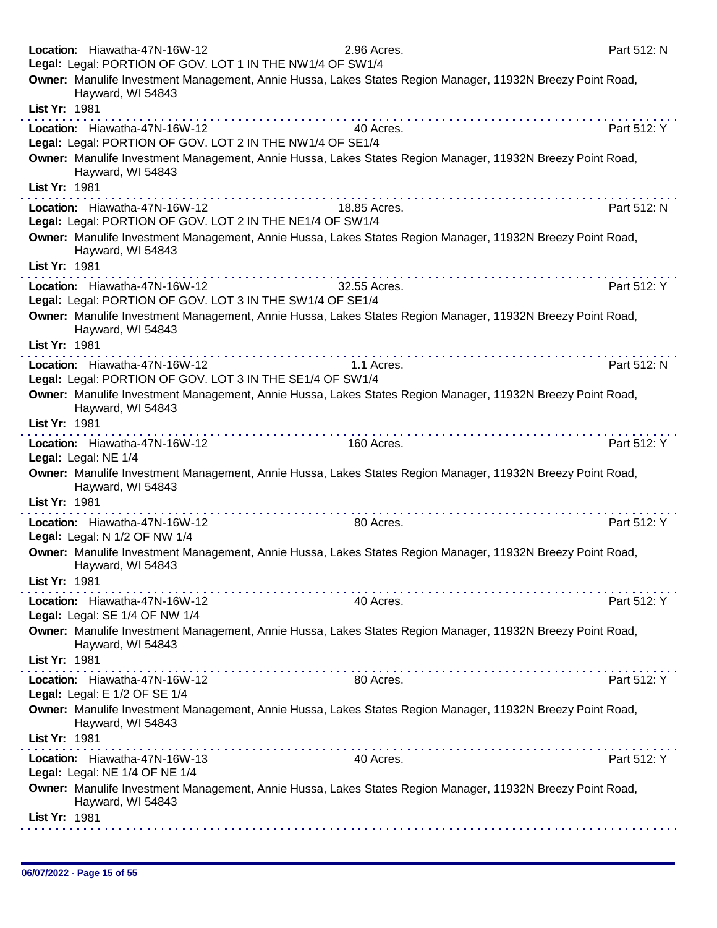|               | Location: Hiawatha-47N-16W-12                                                              | 2.96 Acres.                                                                                                | Part 512: N |
|---------------|--------------------------------------------------------------------------------------------|------------------------------------------------------------------------------------------------------------|-------------|
|               | Legal: Legal: PORTION OF GOV. LOT 1 IN THE NW1/4 OF SW1/4                                  |                                                                                                            |             |
|               | Hayward, WI 54843                                                                          | Owner: Manulife Investment Management, Annie Hussa, Lakes States Region Manager, 11932N Breezy Point Road, |             |
| List Yr: 1981 |                                                                                            |                                                                                                            |             |
|               | Location: Hiawatha-47N-16W-12<br>Legal: Legal: PORTION OF GOV. LOT 2 IN THE NW1/4 OF SE1/4 | 40 Acres.                                                                                                  | Part 512: Y |
|               |                                                                                            | Owner: Manulife Investment Management, Annie Hussa, Lakes States Region Manager, 11932N Breezy Point Road, |             |
|               | Hayward, WI 54843                                                                          |                                                                                                            |             |
| List Yr: 1981 |                                                                                            |                                                                                                            |             |
|               | Location: Hiawatha-47N-16W-12<br>Legal: Legal: PORTION OF GOV. LOT 2 IN THE NE1/4 OF SW1/4 | 18.85 Acres.                                                                                               | Part 512: N |
|               |                                                                                            |                                                                                                            |             |
|               | Hayward, WI 54843                                                                          | Owner: Manulife Investment Management, Annie Hussa, Lakes States Region Manager, 11932N Breezy Point Road, |             |
| List Yr: 1981 |                                                                                            |                                                                                                            |             |
|               | Location: Hiawatha-47N-16W-12                                                              | 32.55 Acres.                                                                                               | Part 512: Y |
|               | Legal: Legal: PORTION OF GOV. LOT 3 IN THE SW1/4 OF SE1/4                                  |                                                                                                            |             |
|               |                                                                                            | Owner: Manulife Investment Management, Annie Hussa, Lakes States Region Manager, 11932N Breezy Point Road, |             |
| List Yr: 1981 | Hayward, WI 54843                                                                          |                                                                                                            |             |
|               |                                                                                            |                                                                                                            |             |
|               | Location: Hiawatha-47N-16W-12                                                              | 1.1 Acres.                                                                                                 | Part 512: N |
|               | Legal: Legal: PORTION OF GOV. LOT 3 IN THE SE1/4 OF SW1/4                                  |                                                                                                            |             |
|               | Hayward, WI 54843                                                                          | Owner: Manulife Investment Management, Annie Hussa, Lakes States Region Manager, 11932N Breezy Point Road, |             |
| List Yr: 1981 |                                                                                            |                                                                                                            |             |
|               | Location: Hiawatha-47N-16W-12<br>Legal: Legal: NE 1/4                                      | 160 Acres.                                                                                                 | Part 512: Y |
|               | Hayward, WI 54843                                                                          | Owner: Manulife Investment Management, Annie Hussa, Lakes States Region Manager, 11932N Breezy Point Road, |             |
| List Yr: 1981 |                                                                                            |                                                                                                            |             |
|               | Location: Hiawatha-47N-16W-12                                                              | 80 Acres.                                                                                                  | Part 512: Y |
|               | Legal: Legal: N 1/2 OF NW 1/4                                                              |                                                                                                            |             |
|               | Hayward, WI 54843                                                                          | Owner: Manulife Investment Management, Annie Hussa, Lakes States Region Manager, 11932N Breezy Point Road, |             |
| List Yr: 1981 |                                                                                            |                                                                                                            |             |
|               | Location: Hiawatha-47N-16W-12<br>Legal: Legal: SE 1/4 OF NW 1/4                            | 40 Acres.                                                                                                  | Part 512: Y |
|               |                                                                                            | Owner: Manulife Investment Management, Annie Hussa, Lakes States Region Manager, 11932N Breezy Point Road, |             |
|               | Hayward, WI 54843                                                                          |                                                                                                            |             |
| List Yr: 1981 |                                                                                            |                                                                                                            |             |
|               | Location: Hiawatha-47N-16W-12                                                              | 80 Acres.                                                                                                  | Part 512: Y |
|               | Legal: Legal: E 1/2 OF SE 1/4                                                              |                                                                                                            |             |
|               | Hayward, WI 54843                                                                          | Owner: Manulife Investment Management, Annie Hussa, Lakes States Region Manager, 11932N Breezy Point Road, |             |
| List Yr: 1981 |                                                                                            |                                                                                                            |             |
|               | Location: Hiawatha-47N-16W-13                                                              | 40 Acres.                                                                                                  | Part 512: Y |
|               | Legal: Legal: NE 1/4 OF NE 1/4                                                             |                                                                                                            |             |
|               | Hayward, WI 54843                                                                          | Owner: Manulife Investment Management, Annie Hussa, Lakes States Region Manager, 11932N Breezy Point Road, |             |
| List Yr: 1981 |                                                                                            |                                                                                                            |             |
|               |                                                                                            |                                                                                                            |             |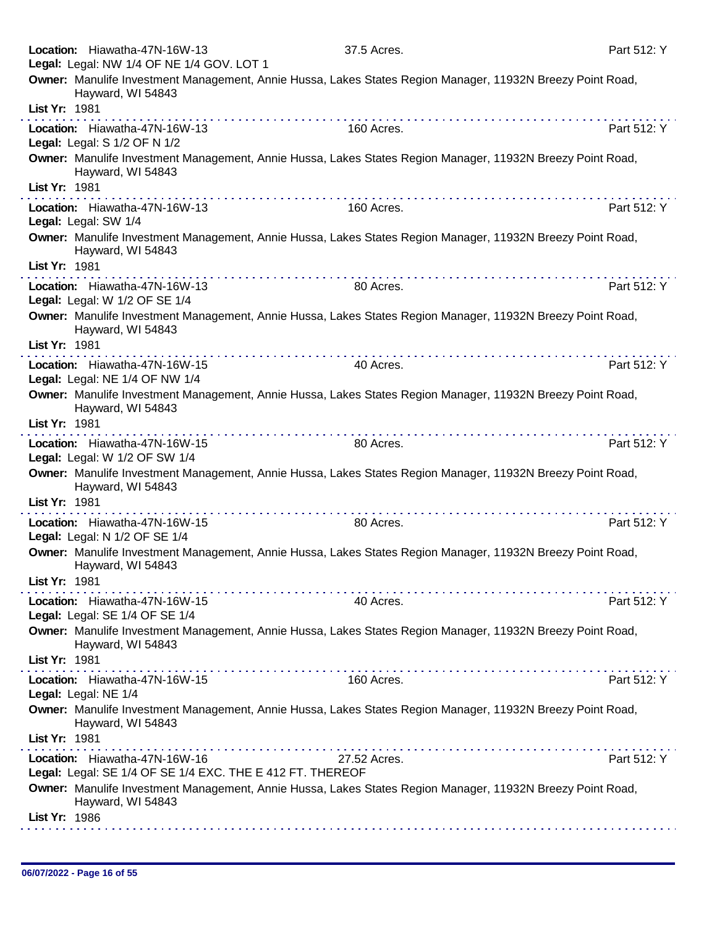|               | Location: Hiawatha-47N-16W-13                                                              | 37.5 Acres.                                                                                                | Part 512: Y |
|---------------|--------------------------------------------------------------------------------------------|------------------------------------------------------------------------------------------------------------|-------------|
|               | Legal: Legal: NW 1/4 OF NE 1/4 GOV. LOT 1                                                  |                                                                                                            |             |
|               | Hayward, WI 54843                                                                          | Owner: Manulife Investment Management, Annie Hussa, Lakes States Region Manager, 11932N Breezy Point Road, |             |
| List Yr: 1981 |                                                                                            |                                                                                                            |             |
|               | Location: Hiawatha-47N-16W-13<br>Legal: Legal: S 1/2 OF N 1/2                              | 160 Acres.                                                                                                 | Part 512: Y |
|               | Hayward, WI 54843                                                                          | Owner: Manulife Investment Management, Annie Hussa, Lakes States Region Manager, 11932N Breezy Point Road, |             |
| List Yr: 1981 |                                                                                            |                                                                                                            |             |
|               | Location: Hiawatha-47N-16W-13<br>Legal: Legal: SW 1/4                                      | 160 Acres.                                                                                                 | Part 512: Y |
|               | Hayward, WI 54843                                                                          | Owner: Manulife Investment Management, Annie Hussa, Lakes States Region Manager, 11932N Breezy Point Road, |             |
| List Yr: 1981 |                                                                                            | .                                                                                                          |             |
|               | Location: Hiawatha-47N-16W-13<br>Legal: Legal: W 1/2 OF SE 1/4                             | 80 Acres.                                                                                                  | Part 512: Y |
|               | Hayward, WI 54843                                                                          | Owner: Manulife Investment Management, Annie Hussa, Lakes States Region Manager, 11932N Breezy Point Road, |             |
| List Yr: 1981 |                                                                                            |                                                                                                            |             |
|               | Location: Hiawatha-47N-16W-15                                                              | 40 Acres.                                                                                                  | Part 512: Y |
|               | Legal: Legal: NE 1/4 OF NW 1/4                                                             |                                                                                                            |             |
|               | Hayward, WI 54843                                                                          | Owner: Manulife Investment Management, Annie Hussa, Lakes States Region Manager, 11932N Breezy Point Road, |             |
| List Yr: 1981 |                                                                                            |                                                                                                            |             |
|               | Location: Hiawatha-47N-16W-15<br>Legal: Legal: W 1/2 OF SW 1/4                             | 80 Acres.                                                                                                  | Part 512: Y |
|               | Hayward, WI 54843                                                                          | Owner: Manulife Investment Management, Annie Hussa, Lakes States Region Manager, 11932N Breezy Point Road, |             |
| List Yr: 1981 |                                                                                            |                                                                                                            |             |
|               | Location: Hiawatha-47N-16W-15<br>Legal: Legal: N 1/2 OF SE 1/4                             | 80 Acres.                                                                                                  | Part 512: Y |
|               | Hayward, WI 54843                                                                          | Owner: Manulife Investment Management, Annie Hussa, Lakes States Region Manager, 11932N Breezy Point Road, |             |
| List Yr: 1981 |                                                                                            | .                                                                                                          |             |
|               | Location: Hiawatha-47N-16W-15<br>Legal: Legal: SE 1/4 OF SE 1/4                            | 40 Acres.                                                                                                  | Part 512: Y |
|               | Hayward, WI 54843                                                                          | Owner: Manulife Investment Management, Annie Hussa, Lakes States Region Manager, 11932N Breezy Point Road, |             |
| List Yr: 1981 |                                                                                            | . <b>.</b>                                                                                                 |             |
|               | Location: Hiawatha-47N-16W-15<br>Legal: Legal: NE 1/4                                      | 160 Acres.                                                                                                 | Part 512: Y |
|               | Hayward, WI 54843                                                                          | Owner: Manulife Investment Management, Annie Hussa, Lakes States Region Manager, 11932N Breezy Point Road, |             |
| List Yr: 1981 |                                                                                            |                                                                                                            |             |
|               | Location: Hiawatha-47N-16W-16<br>Legal: Legal: SE 1/4 OF SE 1/4 EXC. THE E 412 FT. THEREOF | 27.52 Acres.                                                                                               | Part 512: Y |
|               | Hayward, WI 54843                                                                          | Owner: Manulife Investment Management, Annie Hussa, Lakes States Region Manager, 11932N Breezy Point Road, |             |
| List Yr: 1986 |                                                                                            |                                                                                                            |             |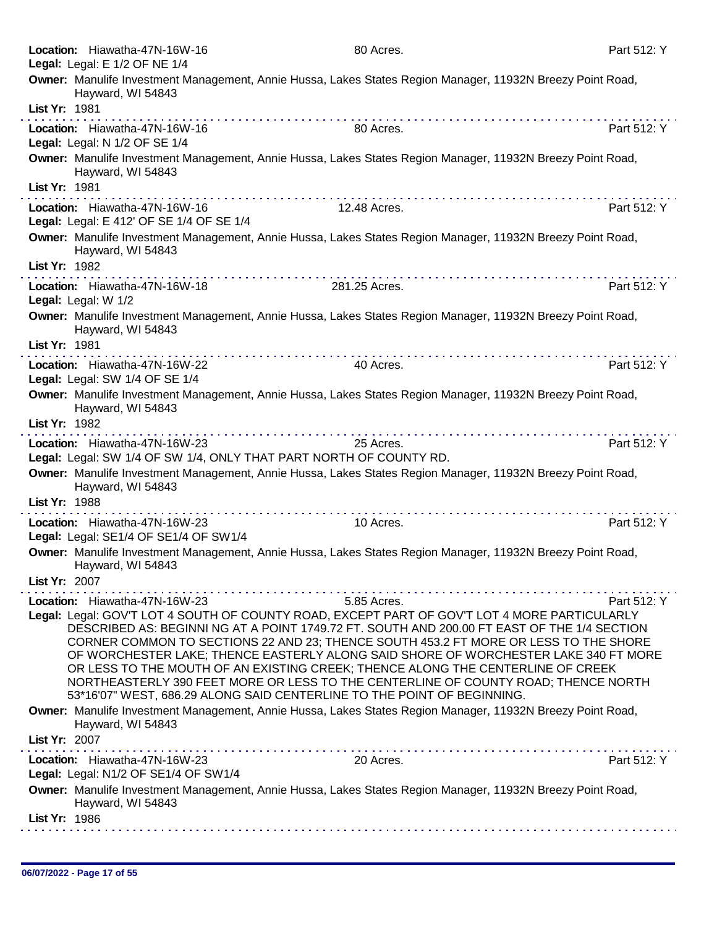| Location: Hiawatha-47N-16W-16<br>Legal: Legal: E 1/2 OF NE 1/4                                      | 80 Acres.                                                                                                                                                                                                                                                                                                                                                                                                                                                                                                                                                                                                                                     | Part 512: Y |
|-----------------------------------------------------------------------------------------------------|-----------------------------------------------------------------------------------------------------------------------------------------------------------------------------------------------------------------------------------------------------------------------------------------------------------------------------------------------------------------------------------------------------------------------------------------------------------------------------------------------------------------------------------------------------------------------------------------------------------------------------------------------|-------------|
| Hayward, WI 54843                                                                                   | Owner: Manulife Investment Management, Annie Hussa, Lakes States Region Manager, 11932N Breezy Point Road,                                                                                                                                                                                                                                                                                                                                                                                                                                                                                                                                    |             |
| List Yr: 1981                                                                                       | $\mathcal{L}^{\mathcal{A}}(\mathcal{A}^{\mathcal{A}}(\mathcal{A}^{\mathcal{A}}(\mathcal{A}^{\mathcal{A}}(\mathcal{A}^{\mathcal{A}}(\mathcal{A}^{\mathcal{A}}(\mathcal{A}^{\mathcal{A}}(\mathcal{A}^{\mathcal{A}}(\mathcal{A}^{\mathcal{A}}(\mathcal{A}^{\mathcal{A}}(\mathcal{A}^{\mathcal{A}}(\mathcal{A}^{\mathcal{A}}(\mathcal{A}^{\mathcal{A}}(\mathcal{A}^{\mathcal{A}}(\mathcal{A}^{\mathcal{A}}(\mathcal{A}^{\mathcal{A}}(\mathcal{A}^{\mathcal{A$                                                                                                                                                                                     |             |
| Location: Hiawatha-47N-16W-16<br>Legal: Legal: N 1/2 OF SE 1/4                                      | 80 Acres.                                                                                                                                                                                                                                                                                                                                                                                                                                                                                                                                                                                                                                     | Part 512: Y |
| Hayward, WI 54843                                                                                   | Owner: Manulife Investment Management, Annie Hussa, Lakes States Region Manager, 11932N Breezy Point Road,                                                                                                                                                                                                                                                                                                                                                                                                                                                                                                                                    |             |
| List Yr: 1981                                                                                       | .                                                                                                                                                                                                                                                                                                                                                                                                                                                                                                                                                                                                                                             |             |
| Location: Hiawatha-47N-16W-16<br>Legal: Legal: E 412' OF SE 1/4 OF SE 1/4                           | 12.48 Acres.                                                                                                                                                                                                                                                                                                                                                                                                                                                                                                                                                                                                                                  | Part 512: Y |
| Hayward, WI 54843<br>List Yr: 1982                                                                  | Owner: Manulife Investment Management, Annie Hussa, Lakes States Region Manager, 11932N Breezy Point Road,                                                                                                                                                                                                                                                                                                                                                                                                                                                                                                                                    |             |
| Location: Hiawatha-47N-16W-18                                                                       | 281.25 Acres.                                                                                                                                                                                                                                                                                                                                                                                                                                                                                                                                                                                                                                 | Part 512: Y |
| Legal: Legal: W 1/2                                                                                 |                                                                                                                                                                                                                                                                                                                                                                                                                                                                                                                                                                                                                                               |             |
| Hayward, WI 54843                                                                                   | Owner: Manulife Investment Management, Annie Hussa, Lakes States Region Manager, 11932N Breezy Point Road,                                                                                                                                                                                                                                                                                                                                                                                                                                                                                                                                    |             |
| List Yr: 1981                                                                                       | $\label{eq:2.1} \begin{array}{lllllllllllllllllllll} \mathbf{1}_{\mathbf{1}} & \mathbf{1}_{\mathbf{1}} & \mathbf{1}_{\mathbf{1}} & \mathbf{1}_{\mathbf{1}} & \mathbf{1}_{\mathbf{1}} & \mathbf{1}_{\mathbf{1}} & \mathbf{1}_{\mathbf{1}} & \mathbf{1}_{\mathbf{1}} & \mathbf{1}_{\mathbf{1}} & \mathbf{1}_{\mathbf{1}} & \mathbf{1}_{\mathbf{1}} & \mathbf{1}_{\mathbf{1}} & \mathbf{1}_{\mathbf{1}} & \mathbf{1}_{\mathbf{1}} & \mathbf{1}_{\mathbf{1}}$                                                                                                                                                                                     |             |
| Location: Hiawatha-47N-16W-22<br>Legal: Legal: SW 1/4 OF SE 1/4                                     | 40 Acres.                                                                                                                                                                                                                                                                                                                                                                                                                                                                                                                                                                                                                                     | Part 512: Y |
| Hayward, WI 54843                                                                                   | Owner: Manulife Investment Management, Annie Hussa, Lakes States Region Manager, 11932N Breezy Point Road,                                                                                                                                                                                                                                                                                                                                                                                                                                                                                                                                    |             |
| List Yr: 1982                                                                                       | .                                                                                                                                                                                                                                                                                                                                                                                                                                                                                                                                                                                                                                             |             |
| Location: Hiawatha-47N-16W-23<br>Legal: Legal: SW 1/4 OF SW 1/4, ONLY THAT PART NORTH OF COUNTY RD. | 25 Acres.                                                                                                                                                                                                                                                                                                                                                                                                                                                                                                                                                                                                                                     | Part 512: Y |
| Hayward, WI 54843                                                                                   | Owner: Manulife Investment Management, Annie Hussa, Lakes States Region Manager, 11932N Breezy Point Road,                                                                                                                                                                                                                                                                                                                                                                                                                                                                                                                                    |             |
| List Yr: 1988                                                                                       |                                                                                                                                                                                                                                                                                                                                                                                                                                                                                                                                                                                                                                               |             |
| Location: Hiawatha-47N-16W-23<br>Legal: Legal: SE1/4 OF SE1/4 OF SW1/4                              | 10 Acres.                                                                                                                                                                                                                                                                                                                                                                                                                                                                                                                                                                                                                                     | Part 512: Y |
| Hayward, WI 54843                                                                                   | Owner: Manulife Investment Management, Annie Hussa, Lakes States Region Manager, 11932N Breezy Point Road,                                                                                                                                                                                                                                                                                                                                                                                                                                                                                                                                    |             |
| List Yr: 2007                                                                                       |                                                                                                                                                                                                                                                                                                                                                                                                                                                                                                                                                                                                                                               |             |
| Location: Hiawatha-47N-16W-23                                                                       | 5.85 Acres.<br>Legal: Legal: GOV'T LOT 4 SOUTH OF COUNTY ROAD, EXCEPT PART OF GOV'T LOT 4 MORE PARTICULARLY<br>DESCRIBED AS: BEGINNI NG AT A POINT 1749.72 FT. SOUTH AND 200.00 FT EAST OF THE 1/4 SECTION<br>CORNER COMMON TO SECTIONS 22 AND 23; THENCE SOUTH 453.2 FT MORE OR LESS TO THE SHORE<br>OF WORCHESTER LAKE; THENCE EASTERLY ALONG SAID SHORE OF WORCHESTER LAKE 340 FT MORE<br>OR LESS TO THE MOUTH OF AN EXISTING CREEK; THENCE ALONG THE CENTERLINE OF CREEK<br>NORTHEASTERLY 390 FEET MORE OR LESS TO THE CENTERLINE OF COUNTY ROAD; THENCE NORTH<br>53*16'07" WEST, 686.29 ALONG SAID CENTERLINE TO THE POINT OF BEGINNING. | Part 512: Y |
| Hayward, WI 54843<br>List Yr: 2007                                                                  | Owner: Manulife Investment Management, Annie Hussa, Lakes States Region Manager, 11932N Breezy Point Road,                                                                                                                                                                                                                                                                                                                                                                                                                                                                                                                                    |             |
| Location: Hiawatha-47N-16W-23                                                                       | 20 Acres.                                                                                                                                                                                                                                                                                                                                                                                                                                                                                                                                                                                                                                     | Part 512: Y |
| Legal: Legal: N1/2 OF SE1/4 OF SW1/4                                                                |                                                                                                                                                                                                                                                                                                                                                                                                                                                                                                                                                                                                                                               |             |
| Hayward, WI 54843                                                                                   | Owner: Manulife Investment Management, Annie Hussa, Lakes States Region Manager, 11932N Breezy Point Road,                                                                                                                                                                                                                                                                                                                                                                                                                                                                                                                                    |             |
| List Yr: 1986<br>.                                                                                  | <u>.</u>                                                                                                                                                                                                                                                                                                                                                                                                                                                                                                                                                                                                                                      |             |
|                                                                                                     |                                                                                                                                                                                                                                                                                                                                                                                                                                                                                                                                                                                                                                               |             |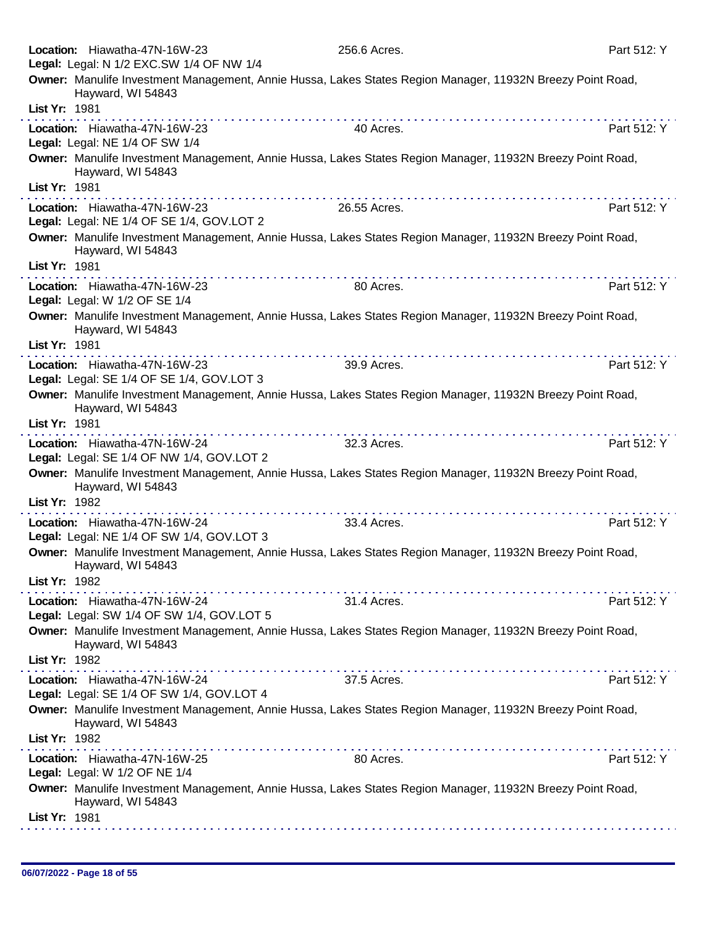| Location: Hiawatha-47N-16W-23                                                                                                   | 256.6 Acres. | Part 512: Y |
|---------------------------------------------------------------------------------------------------------------------------------|--------------|-------------|
| Legal: Legal: N 1/2 EXC.SW 1/4 OF NW 1/4                                                                                        |              |             |
| Owner: Manulife Investment Management, Annie Hussa, Lakes States Region Manager, 11932N Breezy Point Road,<br>Hayward, WI 54843 |              |             |
| List Yr: 1981                                                                                                                   |              |             |
| Location: Hiawatha-47N-16W-23<br>Legal: Legal: NE 1/4 OF SW 1/4                                                                 | 40 Acres.    | Part 512: Y |
| Owner: Manulife Investment Management, Annie Hussa, Lakes States Region Manager, 11932N Breezy Point Road,<br>Hayward, WI 54843 |              |             |
| List Yr: 1981                                                                                                                   |              |             |
| Location: Hiawatha-47N-16W-23                                                                                                   | 26.55 Acres. | Part 512: Y |
| Legal: Legal: NE 1/4 OF SE 1/4, GOV.LOT 2                                                                                       |              |             |
|                                                                                                                                 |              |             |
| Owner: Manulife Investment Management, Annie Hussa, Lakes States Region Manager, 11932N Breezy Point Road,<br>Hayward, WI 54843 |              |             |
| List Yr: 1981                                                                                                                   |              |             |
| Location: Hiawatha-47N-16W-23<br>Legal: Legal: W 1/2 OF SE 1/4                                                                  | 80 Acres.    | Part 512: Y |
| Owner: Manulife Investment Management, Annie Hussa, Lakes States Region Manager, 11932N Breezy Point Road,                      |              |             |
| Hayward, WI 54843                                                                                                               |              |             |
| List Yr: 1981                                                                                                                   |              |             |
| Location: Hiawatha-47N-16W-23                                                                                                   | 39.9 Acres.  | Part 512: Y |
| Legal: Legal: SE 1/4 OF SE 1/4, GOV.LOT 3                                                                                       |              |             |
| Owner: Manulife Investment Management, Annie Hussa, Lakes States Region Manager, 11932N Breezy Point Road,<br>Hayward, WI 54843 |              |             |
| List Yr: 1981                                                                                                                   |              |             |
| Location: Hiawatha-47N-16W-24                                                                                                   | 32.3 Acres.  | Part 512: Y |
| Legal: Legal: SE 1/4 OF NW 1/4, GOV.LOT 2                                                                                       |              |             |
| Owner: Manulife Investment Management, Annie Hussa, Lakes States Region Manager, 11932N Breezy Point Road,                      |              |             |
| Hayward, WI 54843                                                                                                               |              |             |
| List Yr: 1982                                                                                                                   |              |             |
| .<br>Location: Hiawatha-47N-16W-24                                                                                              | 33.4 Acres.  | Part 512: Y |
| Legal: Legal: NE 1/4 OF SW 1/4, GOV.LOT 3                                                                                       |              |             |
| Owner: Manulife Investment Management, Annie Hussa, Lakes States Region Manager, 11932N Breezy Point Road,<br>Hayward, WI 54843 |              |             |
| List Yr: 1982                                                                                                                   |              |             |
|                                                                                                                                 | .            |             |
| Location: Hiawatha-47N-16W-24                                                                                                   | 31.4 Acres.  | Part 512: Y |
| Legal: Legal: SW 1/4 OF SW 1/4, GOV.LOT 5                                                                                       |              |             |
| Owner: Manulife Investment Management, Annie Hussa, Lakes States Region Manager, 11932N Breezy Point Road,                      |              |             |
| Hayward, WI 54843<br>List Yr: 1982                                                                                              |              |             |
|                                                                                                                                 |              |             |
| Location: Hiawatha-47N-16W-24<br>Legal: Legal: SE 1/4 OF SW 1/4, GOV.LOT 4                                                      | 37.5 Acres.  | Part 512: Y |
| Owner: Manulife Investment Management, Annie Hussa, Lakes States Region Manager, 11932N Breezy Point Road,<br>Hayward, WI 54843 |              |             |
| List Yr: 1982                                                                                                                   |              |             |
| Location: Hiawatha-47N-16W-25                                                                                                   | 80 Acres.    | Part 512: Y |
| Legal: Legal: W 1/2 OF NE 1/4                                                                                                   |              |             |
| Owner: Manulife Investment Management, Annie Hussa, Lakes States Region Manager, 11932N Breezy Point Road,<br>Hayward, WI 54843 |              |             |
| List Yr: 1981                                                                                                                   |              |             |
|                                                                                                                                 |              |             |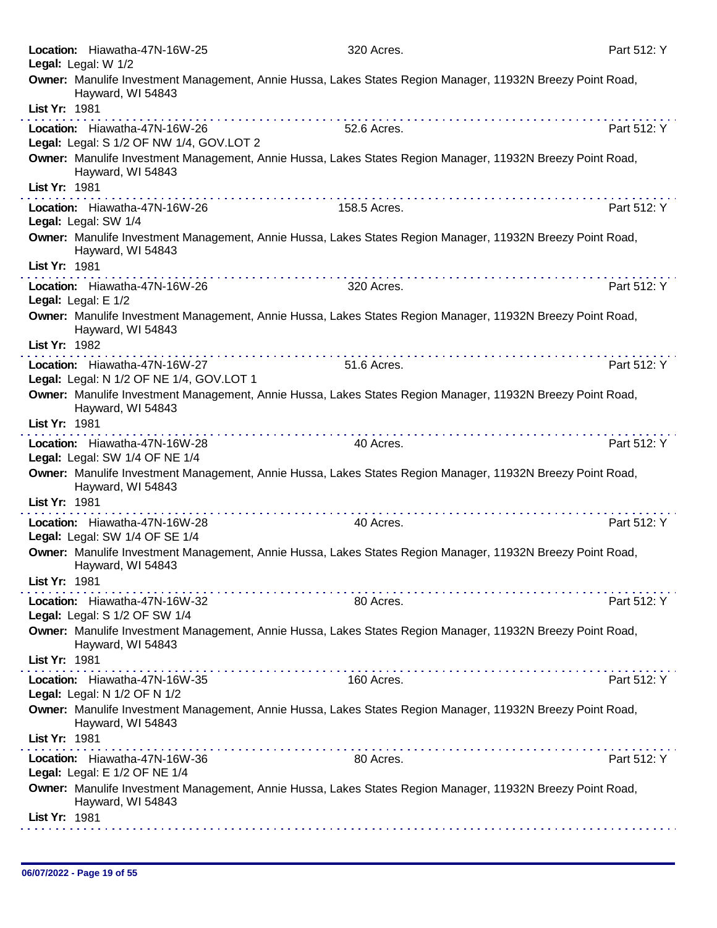| Location: Hiawatha-47N-16W-25<br>Legal: Legal: W 1/2                      | 320 Acres.                                                                                                                                                                                                                                                                                                                                                                                                                                                   | Part 512: Y |
|---------------------------------------------------------------------------|--------------------------------------------------------------------------------------------------------------------------------------------------------------------------------------------------------------------------------------------------------------------------------------------------------------------------------------------------------------------------------------------------------------------------------------------------------------|-------------|
| Hayward, WI 54843                                                         | Owner: Manulife Investment Management, Annie Hussa, Lakes States Region Manager, 11932N Breezy Point Road,                                                                                                                                                                                                                                                                                                                                                   |             |
| List Yr: 1981                                                             |                                                                                                                                                                                                                                                                                                                                                                                                                                                              |             |
| Location: Hiawatha-47N-16W-26<br>Legal: Legal: S 1/2 OF NW 1/4, GOV.LOT 2 | 52.6 Acres.                                                                                                                                                                                                                                                                                                                                                                                                                                                  | Part 512: Y |
| Hayward, WI 54843                                                         | Owner: Manulife Investment Management, Annie Hussa, Lakes States Region Manager, 11932N Breezy Point Road,                                                                                                                                                                                                                                                                                                                                                   |             |
| List Yr: 1981                                                             | $\mathcal{L}^{\mathcal{A}}(\mathcal{A},\mathcal{A},\mathcal{A},\mathcal{A},\mathcal{A},\mathcal{A},\mathcal{A},\mathcal{A},\mathcal{A},\mathcal{A},\mathcal{A},\mathcal{A},\mathcal{A},\mathcal{A},\mathcal{A},\mathcal{A},\mathcal{A},\mathcal{A},\mathcal{A},\mathcal{A},\mathcal{A},\mathcal{A},\mathcal{A},\mathcal{A},\mathcal{A},\mathcal{A},\mathcal{A},\mathcal{A},\mathcal{A},\mathcal{A},\mathcal{A},\mathcal{A},\mathcal{A},\mathcal{A},\mathcal$ |             |
| Location: Hiawatha-47N-16W-26<br>Legal: Legal: SW 1/4                     | 158.5 Acres.                                                                                                                                                                                                                                                                                                                                                                                                                                                 | Part 512: Y |
| Hayward, WI 54843                                                         | Owner: Manulife Investment Management, Annie Hussa, Lakes States Region Manager, 11932N Breezy Point Road,                                                                                                                                                                                                                                                                                                                                                   |             |
| List Yr: 1981                                                             |                                                                                                                                                                                                                                                                                                                                                                                                                                                              |             |
| Location: Hiawatha-47N-16W-26<br>Legal: Legal: E 1/2                      | 320 Acres.                                                                                                                                                                                                                                                                                                                                                                                                                                                   | Part 512: Y |
| Hayward, WI 54843<br>List Yr: 1982                                        | Owner: Manulife Investment Management, Annie Hussa, Lakes States Region Manager, 11932N Breezy Point Road,                                                                                                                                                                                                                                                                                                                                                   |             |
|                                                                           | .                                                                                                                                                                                                                                                                                                                                                                                                                                                            |             |
| Location: Hiawatha-47N-16W-27<br>Legal: Legal: N 1/2 OF NE 1/4, GOV.LOT 1 | 51.6 Acres.                                                                                                                                                                                                                                                                                                                                                                                                                                                  | Part 512: Y |
|                                                                           | Owner: Manulife Investment Management, Annie Hussa, Lakes States Region Manager, 11932N Breezy Point Road,                                                                                                                                                                                                                                                                                                                                                   |             |
| Hayward, WI 54843<br>List Yr: 1981                                        |                                                                                                                                                                                                                                                                                                                                                                                                                                                              |             |
| Location: Hiawatha-47N-16W-28                                             | 40 Acres.                                                                                                                                                                                                                                                                                                                                                                                                                                                    | Part 512: Y |
| Legal: Legal: SW 1/4 OF NE 1/4                                            |                                                                                                                                                                                                                                                                                                                                                                                                                                                              |             |
| Hayward, WI 54843                                                         | Owner: Manulife Investment Management, Annie Hussa, Lakes States Region Manager, 11932N Breezy Point Road,                                                                                                                                                                                                                                                                                                                                                   |             |
| List Yr: 1981                                                             |                                                                                                                                                                                                                                                                                                                                                                                                                                                              |             |
| Location: Hiawatha-47N-16W-28<br>Legal: Legal: SW 1/4 OF SE 1/4           | 40 Acres.                                                                                                                                                                                                                                                                                                                                                                                                                                                    | Part 512: Y |
| Hayward, WI 54843<br>List Yr: 1981                                        | Owner: Manulife Investment Management, Annie Hussa, Lakes States Region Manager, 11932N Breezy Point Road,                                                                                                                                                                                                                                                                                                                                                   |             |
|                                                                           | .                                                                                                                                                                                                                                                                                                                                                                                                                                                            |             |
| Location: Hiawatha-47N-16W-32<br>Legal: Legal: S 1/2 OF SW 1/4            | 80 Acres.                                                                                                                                                                                                                                                                                                                                                                                                                                                    | Part 512: Y |
| Hayward, WI 54843                                                         | Owner: Manulife Investment Management, Annie Hussa, Lakes States Region Manager, 11932N Breezy Point Road,                                                                                                                                                                                                                                                                                                                                                   |             |
| List Yr: 1981                                                             | $\mathcal{L}^{\mathcal{A}}(\mathcal{A}^{\mathcal{A}}(\mathcal{A}^{\mathcal{A}}(\mathcal{A}^{\mathcal{A}}(\mathcal{A}^{\mathcal{A}}(\mathcal{A}^{\mathcal{A}}(\mathcal{A}^{\mathcal{A}}(\mathcal{A}^{\mathcal{A}}(\mathcal{A}^{\mathcal{A}}(\mathcal{A}^{\mathcal{A}}(\mathcal{A}^{\mathcal{A}}(\mathcal{A}^{\mathcal{A}}(\mathcal{A}^{\mathcal{A}}(\mathcal{A}^{\mathcal{A}}(\mathcal{A}^{\mathcal{A}}(\mathcal{A}^{\mathcal{A}}(\mathcal{A}^{\mathcal{A$    |             |
| Location: Hiawatha-47N-16W-35<br>Legal: Legal: N 1/2 OF N 1/2             | 160 Acres.                                                                                                                                                                                                                                                                                                                                                                                                                                                   | Part 512: Y |
| Hayward, WI 54843                                                         | Owner: Manulife Investment Management, Annie Hussa, Lakes States Region Manager, 11932N Breezy Point Road,                                                                                                                                                                                                                                                                                                                                                   |             |
| List Yr: 1981                                                             | $\label{eq:2.1} \begin{array}{lllllllllllllllllllll} \hline \textbf{1} & \textbf{1} & \textbf{1} & \textbf{1} & \textbf{1} & \textbf{1} & \textbf{1} & \textbf{1} & \textbf{1} & \textbf{1} & \textbf{1} & \textbf{1} & \textbf{1} & \textbf{1} & \textbf{1} & \textbf{1} & \textbf{1} & \textbf{1} & \textbf{1} & \textbf{1} & \textbf{1} & \textbf{1} & \textbf{1} & \textbf{1} & \textbf{1} & \textbf{1} & \textbf{1} & \text$                            |             |
| Location: Hiawatha-47N-16W-36<br>Legal: Legal: E 1/2 OF NE 1/4            | 80 Acres.                                                                                                                                                                                                                                                                                                                                                                                                                                                    | Part 512: Y |
| Hayward, WI 54843                                                         | Owner: Manulife Investment Management, Annie Hussa, Lakes States Region Manager, 11932N Breezy Point Road,                                                                                                                                                                                                                                                                                                                                                   |             |
| List Yr: 1981                                                             |                                                                                                                                                                                                                                                                                                                                                                                                                                                              |             |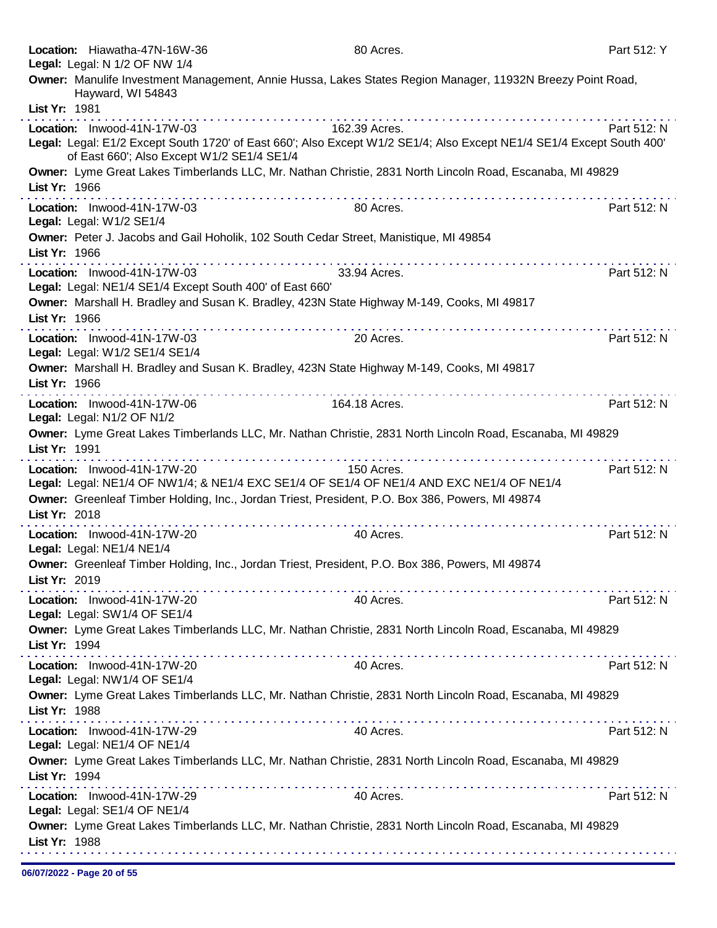|               | Location: Hiawatha-47N-16W-36<br>Legal: Legal: N 1/2 OF NW 1/4                                                          | 80 Acres.                                                                                                             | Part 512: Y |
|---------------|-------------------------------------------------------------------------------------------------------------------------|-----------------------------------------------------------------------------------------------------------------------|-------------|
| List Yr: 1981 | Hayward, WI 54843                                                                                                       | Owner: Manulife Investment Management, Annie Hussa, Lakes States Region Manager, 11932N Breezy Point Road,            |             |
|               | Location: Inwood-41N-17W-03                                                                                             | 162.39 Acres.                                                                                                         | Part 512: N |
|               | of East 660'; Also Except W1/2 SE1/4 SE1/4                                                                              | Legal: Legal: E1/2 Except South 1720' of East 660'; Also Except W1/2 SE1/4; Also Except NE1/4 SE1/4 Except South 400' |             |
| List Yr: 1966 |                                                                                                                         | Owner: Lyme Great Lakes Timberlands LLC, Mr. Nathan Christie, 2831 North Lincoln Road, Escanaba, MI 49829             |             |
|               | Location: Inwood-41N-17W-03<br>Legal: Legal: W1/2 SE1/4                                                                 | 80 Acres.                                                                                                             | Part 512: N |
| List Yr: 1966 | Owner: Peter J. Jacobs and Gail Hoholik, 102 South Cedar Street, Manistique, MI 49854                                   |                                                                                                                       |             |
|               | Location: Inwood-41N-17W-03<br>Legal: Legal: NE1/4 SE1/4 Except South 400' of East 660'                                 | .<br>33.94 Acres.                                                                                                     | Part 512: N |
| List Yr: 1966 | Owner: Marshall H. Bradley and Susan K. Bradley, 423N State Highway M-149, Cooks, MI 49817                              |                                                                                                                       |             |
|               | Location: Inwood-41N-17W-03<br>Legal: Legal: W1/2 SE1/4 SE1/4                                                           | 20 Acres.                                                                                                             | Part 512: N |
| List Yr: 1966 | Owner: Marshall H. Bradley and Susan K. Bradley, 423N State Highway M-149, Cooks, MI 49817                              |                                                                                                                       |             |
|               | Location: Inwood-41N-17W-06<br>Legal: Legal: N1/2 OF N1/2                                                               | 164.18 Acres.                                                                                                         | Part 512: N |
| List Yr: 1991 |                                                                                                                         | Owner: Lyme Great Lakes Timberlands LLC, Mr. Nathan Christie, 2831 North Lincoln Road, Escanaba, MI 49829             |             |
|               | Location: Inwood-41N-17W-20<br>Legal: Legal: NE1/4 OF NW1/4; & NE1/4 EXC SE1/4 OF SE1/4 OF NE1/4 AND EXC NE1/4 OF NE1/4 | 150 Acres.                                                                                                            | Part 512: N |
| List Yr: 2018 | Owner: Greenleaf Timber Holding, Inc., Jordan Triest, President, P.O. Box 386, Powers, MI 49874                         |                                                                                                                       |             |
|               | Location: Inwood-41N-17W-20<br>Legal: Legal: NE1/4 NE1/4                                                                | 40 Acres.                                                                                                             | Part 512: N |
| List Yr: 2019 | Owner: Greenleaf Timber Holding, Inc., Jordan Triest, President, P.O. Box 386, Powers, MI 49874                         |                                                                                                                       |             |
|               | Location: Inwood-41N-17W-20<br>Legal: Legal: SW1/4 OF SE1/4                                                             | 40 Acres.                                                                                                             | Part 512: N |
| List Yr: 1994 |                                                                                                                         | Owner: Lyme Great Lakes Timberlands LLC, Mr. Nathan Christie, 2831 North Lincoln Road, Escanaba, MI 49829             |             |
|               | Location: Inwood-41N-17W-20<br>Legal: Legal: NW1/4 OF SE1/4                                                             | 40 Acres.                                                                                                             | Part 512: N |
| List Yr: 1988 |                                                                                                                         | Owner: Lyme Great Lakes Timberlands LLC, Mr. Nathan Christie, 2831 North Lincoln Road, Escanaba, MI 49829             |             |
|               | Location: Inwood-41N-17W-29<br>Legal: Legal: NE1/4 OF NE1/4                                                             | 40 Acres.                                                                                                             | Part 512: N |
| List Yr: 1994 |                                                                                                                         | Owner: Lyme Great Lakes Timberlands LLC, Mr. Nathan Christie, 2831 North Lincoln Road, Escanaba, MI 49829             |             |
|               | Location: Inwood-41N-17W-29<br>Legal: Legal: SE1/4 OF NE1/4                                                             | 40 Acres.                                                                                                             | Part 512: N |
| List Yr: 1988 |                                                                                                                         | Owner: Lyme Great Lakes Timberlands LLC, Mr. Nathan Christie, 2831 North Lincoln Road, Escanaba, MI 49829             |             |
|               |                                                                                                                         |                                                                                                                       |             |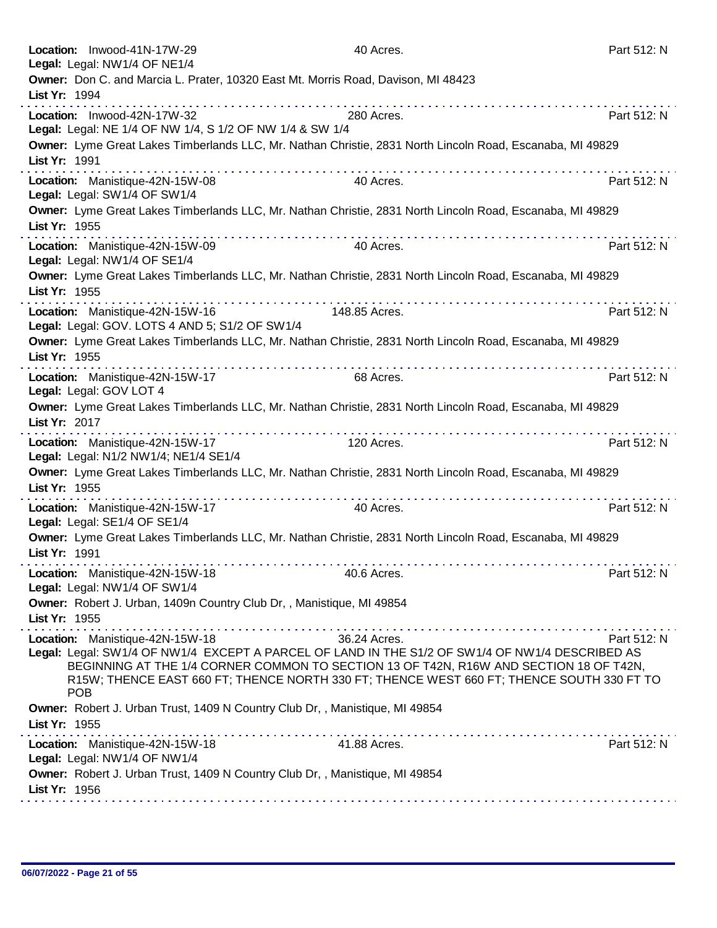| Location: Inwood-41N-17W-29                                                                               | 40 Acres.                                                                                 | Part 512: N |
|-----------------------------------------------------------------------------------------------------------|-------------------------------------------------------------------------------------------|-------------|
| Legal: Legal: NW1/4 OF NE1/4                                                                              |                                                                                           |             |
| Owner: Don C. and Marcia L. Prater, 10320 East Mt. Morris Road, Davison, MI 48423                         |                                                                                           |             |
| List Yr: 1994                                                                                             |                                                                                           |             |
| Location: Inwood-42N-17W-32                                                                               | 280 Acres.                                                                                | Part 512: N |
| Legal: Legal: NE 1/4 OF NW 1/4, S 1/2 OF NW 1/4 & SW 1/4                                                  |                                                                                           |             |
| Owner: Lyme Great Lakes Timberlands LLC, Mr. Nathan Christie, 2831 North Lincoln Road, Escanaba, MI 49829 |                                                                                           |             |
| List Yr: 1991                                                                                             |                                                                                           |             |
|                                                                                                           |                                                                                           |             |
| Location: Manistique-42N-15W-08<br>Legal: Legal: SW1/4 OF SW1/4                                           | 40 Acres.                                                                                 | Part 512: N |
| Owner: Lyme Great Lakes Timberlands LLC, Mr. Nathan Christie, 2831 North Lincoln Road, Escanaba, MI 49829 |                                                                                           |             |
| List Yr: 1955                                                                                             |                                                                                           |             |
|                                                                                                           |                                                                                           |             |
| Location: Manistique-42N-15W-09                                                                           | 40 Acres.                                                                                 | Part 512: N |
| Legal: Legal: NW1/4 OF SE1/4                                                                              |                                                                                           |             |
| Owner: Lyme Great Lakes Timberlands LLC, Mr. Nathan Christie, 2831 North Lincoln Road, Escanaba, MI 49829 |                                                                                           |             |
| List Yr: 1955                                                                                             |                                                                                           |             |
| Location: Manistique-42N-15W-16                                                                           | 148.85 Acres.                                                                             | Part 512: N |
| Legal: Legal: GOV. LOTS 4 AND 5; S1/2 OF SW1/4                                                            |                                                                                           |             |
| Owner: Lyme Great Lakes Timberlands LLC, Mr. Nathan Christie, 2831 North Lincoln Road, Escanaba, MI 49829 |                                                                                           |             |
| List Yr: 1955                                                                                             |                                                                                           |             |
|                                                                                                           |                                                                                           |             |
| Location: Manistique-42N-15W-17                                                                           | 68 Acres.                                                                                 | Part 512: N |
| Legal: Legal: GOV LOT 4                                                                                   |                                                                                           |             |
| Owner: Lyme Great Lakes Timberlands LLC, Mr. Nathan Christie, 2831 North Lincoln Road, Escanaba, MI 49829 |                                                                                           |             |
| List Yr: 2017                                                                                             |                                                                                           |             |
| Location: Manistique-42N-15W-17                                                                           | 120 Acres.                                                                                | Part 512: N |
| Legal: Legal: N1/2 NW1/4; NE1/4 SE1/4                                                                     |                                                                                           |             |
| Owner: Lyme Great Lakes Timberlands LLC, Mr. Nathan Christie, 2831 North Lincoln Road, Escanaba, MI 49829 |                                                                                           |             |
| List Yr: 1955                                                                                             | <u>a la sera a la sera a la sera a la</u> s                                               |             |
| Location: Manistique-42N-15W-17                                                                           | 40 Acres.                                                                                 | Part 512: N |
| Legal: Legal: SE1/4 OF SE1/4                                                                              |                                                                                           |             |
| Owner: Lyme Great Lakes Timberlands LLC, Mr. Nathan Christie, 2831 North Lincoln Road, Escanaba, MI 49829 |                                                                                           |             |
| List Yr: 1991                                                                                             |                                                                                           |             |
|                                                                                                           |                                                                                           |             |
| Location: Manistique-42N-15W-18<br>Legal: Legal: NW1/4 OF SW1/4                                           | 40.6 Acres.                                                                               | Part 512: N |
|                                                                                                           |                                                                                           |             |
| Owner: Robert J. Urban, 1409n Country Club Dr,, Manistique, MI 49854                                      |                                                                                           |             |
| List Yr: 1955                                                                                             |                                                                                           |             |
| Location: Manistique-42N-15W-18                                                                           | 36.24 Acres.                                                                              | Part 512: N |
| Legal: Legal: SW1/4 OF NW1/4 EXCEPT A PARCEL OF LAND IN THE S1/2 OF SW1/4 OF NW1/4 DESCRIBED AS           |                                                                                           |             |
|                                                                                                           | BEGINNING AT THE 1/4 CORNER COMMON TO SECTION 13 OF T42N, R16W AND SECTION 18 OF T42N,    |             |
|                                                                                                           | R15W; THENCE EAST 660 FT; THENCE NORTH 330 FT; THENCE WEST 660 FT; THENCE SOUTH 330 FT TO |             |
| <b>POB</b>                                                                                                |                                                                                           |             |
| Owner: Robert J. Urban Trust, 1409 N Country Club Dr,, Manistique, MI 49854                               |                                                                                           |             |
| List Yr: 1955                                                                                             |                                                                                           |             |
| Location: Manistique-42N-15W-18                                                                           | 41.88 Acres.                                                                              | Part 512: N |
| Legal: Legal: NW1/4 OF NW1/4                                                                              |                                                                                           |             |
| Owner: Robert J. Urban Trust, 1409 N Country Club Dr,, Manistique, MI 49854                               |                                                                                           |             |
| List Yr: 1956                                                                                             |                                                                                           |             |
|                                                                                                           |                                                                                           |             |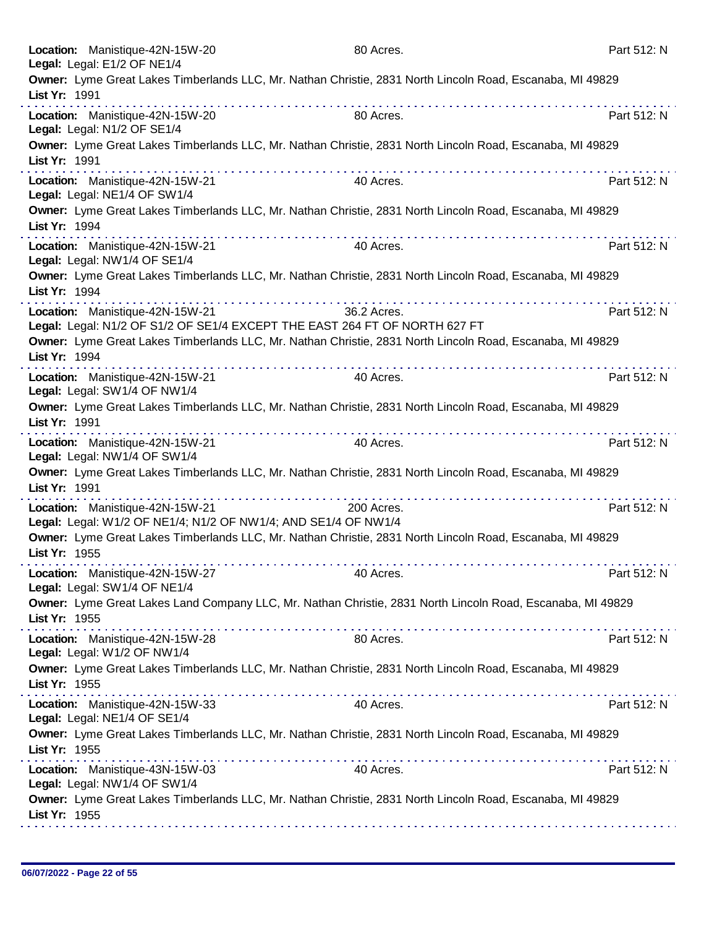|               | Location: Manistique-42N-15W-20<br>Legal: Legal: E1/2 OF NE1/4                                                                                                                                                                                                                                                                              | 80 Acres.   | Part 512: N |
|---------------|---------------------------------------------------------------------------------------------------------------------------------------------------------------------------------------------------------------------------------------------------------------------------------------------------------------------------------------------|-------------|-------------|
| List Yr: 1991 | Owner: Lyme Great Lakes Timberlands LLC, Mr. Nathan Christie, 2831 North Lincoln Road, Escanaba, MI 49829                                                                                                                                                                                                                                   |             |             |
|               | Location: Manistique-42N-15W-20<br>Legal: Legal: N1/2 OF SE1/4                                                                                                                                                                                                                                                                              | 80 Acres.   | Part 512: N |
| List Yr: 1991 | Owner: Lyme Great Lakes Timberlands LLC, Mr. Nathan Christie, 2831 North Lincoln Road, Escanaba, MI 49829<br>.                                                                                                                                                                                                                              |             |             |
|               | Location: Manistique-42N-15W-21<br>Legal: Legal: NE1/4 OF SW1/4                                                                                                                                                                                                                                                                             | 40 Acres.   | Part 512: N |
| List Yr: 1994 | Owner: Lyme Great Lakes Timberlands LLC, Mr. Nathan Christie, 2831 North Lincoln Road, Escanaba, MI 49829                                                                                                                                                                                                                                   |             |             |
|               | Location: Manistique-42N-15W-21<br>Legal: Legal: NW1/4 OF SE1/4                                                                                                                                                                                                                                                                             | 40 Acres.   | Part 512: N |
| List Yr: 1994 | Owner: Lyme Great Lakes Timberlands LLC, Mr. Nathan Christie, 2831 North Lincoln Road, Escanaba, MI 49829                                                                                                                                                                                                                                   |             |             |
|               | Location: Manistique-42N-15W-21<br>Legal: Legal: N1/2 OF S1/2 OF SE1/4 EXCEPT THE EAST 264 FT OF NORTH 627 FT                                                                                                                                                                                                                               | 36.2 Acres. | Part 512: N |
| List Yr: 1994 | Owner: Lyme Great Lakes Timberlands LLC, Mr. Nathan Christie, 2831 North Lincoln Road, Escanaba, MI 49829                                                                                                                                                                                                                                   |             |             |
|               | Location: Manistique-42N-15W-21<br>Legal: Legal: SW1/4 OF NW1/4                                                                                                                                                                                                                                                                             | 40 Acres.   | Part 512: N |
| List Yr: 1991 | Owner: Lyme Great Lakes Timberlands LLC, Mr. Nathan Christie, 2831 North Lincoln Road, Escanaba, MI 49829<br>the second complete state in the second complete state of the second complete state of the second complete state of the second complete state of the second complete state of the second complete state of the second complete |             |             |
|               | Location: Manistique-42N-15W-21<br>Legal: Legal: NW1/4 OF SW1/4                                                                                                                                                                                                                                                                             | 40 Acres.   | Part 512: N |
| List Yr: 1991 | Owner: Lyme Great Lakes Timberlands LLC, Mr. Nathan Christie, 2831 North Lincoln Road, Escanaba, MI 49829                                                                                                                                                                                                                                   |             |             |
|               | Location: Manistique-42N-15W-21<br>Legal: Legal: W1/2 OF NE1/4; N1/2 OF NW1/4; AND SE1/4 OF NW1/4                                                                                                                                                                                                                                           | 200 Acres.  | Part 512: N |
| List Yr: 1955 | Owner: Lyme Great Lakes Timberlands LLC, Mr. Nathan Christie, 2831 North Lincoln Road, Escanaba, MI 49829                                                                                                                                                                                                                                   |             |             |
|               | Location: Manistique-42N-15W-27<br>Legal: Legal: SW1/4 OF NE1/4                                                                                                                                                                                                                                                                             | 40 Acres.   | Part 512: N |
| List Yr: 1955 | Owner: Lyme Great Lakes Land Company LLC, Mr. Nathan Christie, 2831 North Lincoln Road, Escanaba, MI 49829                                                                                                                                                                                                                                  |             |             |
|               | Location: Manistique-42N-15W-28<br>Legal: Legal: W1/2 OF NW1/4                                                                                                                                                                                                                                                                              | 80 Acres.   | Part 512: N |
| List Yr: 1955 | Owner: Lyme Great Lakes Timberlands LLC, Mr. Nathan Christie, 2831 North Lincoln Road, Escanaba, MI 49829                                                                                                                                                                                                                                   |             |             |
|               | Location: Manistique-42N-15W-33<br>Legal: Legal: NE1/4 OF SE1/4                                                                                                                                                                                                                                                                             | 40 Acres.   | Part 512: N |
| List Yr: 1955 | Owner: Lyme Great Lakes Timberlands LLC, Mr. Nathan Christie, 2831 North Lincoln Road, Escanaba, MI 49829                                                                                                                                                                                                                                   |             |             |
|               | Location: Manistique-43N-15W-03<br>Legal: Legal: NW1/4 OF SW1/4                                                                                                                                                                                                                                                                             | 40 Acres.   | Part 512: N |
| List Yr: 1955 | Owner: Lyme Great Lakes Timberlands LLC, Mr. Nathan Christie, 2831 North Lincoln Road, Escanaba, MI 49829                                                                                                                                                                                                                                   |             |             |
|               |                                                                                                                                                                                                                                                                                                                                             |             |             |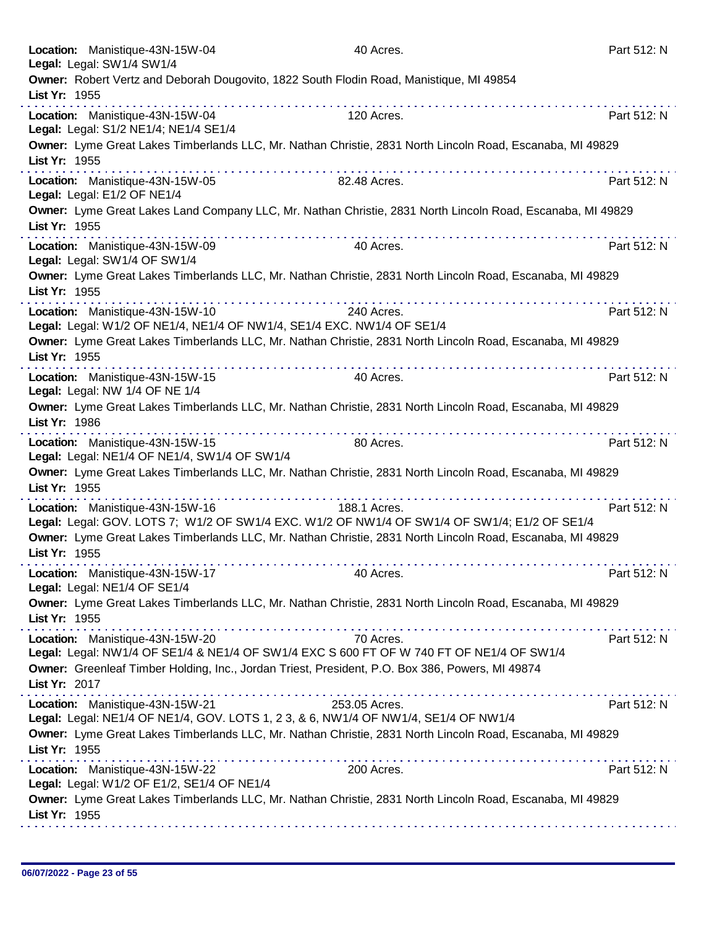|               | Location: Manistique-43N-15W-04<br>Legal: Legal: SW1/4 SW1/4                    | 40 Acres.                                                                                                       | Part 512: N |
|---------------|---------------------------------------------------------------------------------|-----------------------------------------------------------------------------------------------------------------|-------------|
| List Yr: 1955 |                                                                                 | Owner: Robert Vertz and Deborah Dougovito, 1822 South Flodin Road, Manistique, MI 49854                         |             |
|               | Location: Manistique-43N-15W-04<br>Legal: Legal: S1/2 NE1/4; NE1/4 SE1/4        | .<br>dia ara-dia ara-dia ara-dia ara-dia<br>120 Acres.                                                          | Part 512: N |
| List Yr: 1955 |                                                                                 | Owner: Lyme Great Lakes Timberlands LLC, Mr. Nathan Christie, 2831 North Lincoln Road, Escanaba, MI 49829       |             |
|               | Location: Manistique-43N-15W-05<br>Legal: Legal: E1/2 OF NE1/4                  | .<br>82.48 Acres.                                                                                               | Part 512: N |
| List Yr: 1955 |                                                                                 | Owner: Lyme Great Lakes Land Company LLC, Mr. Nathan Christie, 2831 North Lincoln Road, Escanaba, MI 49829<br>. |             |
|               | Location: Manistique-43N-15W-09<br>Legal: Legal: SW1/4 OF SW1/4                 | 40 Acres.                                                                                                       | Part 512: N |
| List Yr: 1955 |                                                                                 | Owner: Lyme Great Lakes Timberlands LLC, Mr. Nathan Christie, 2831 North Lincoln Road, Escanaba, MI 49829       |             |
|               | Location: Manistique-43N-15W-10                                                 | 240 Acres.<br>Legal: Legal: W1/2 OF NE1/4, NE1/4 OF NW1/4, SE1/4 EXC. NW1/4 OF SE1/4                            | Part 512: N |
| List Yr: 1955 |                                                                                 | Owner: Lyme Great Lakes Timberlands LLC, Mr. Nathan Christie, 2831 North Lincoln Road, Escanaba, MI 49829       |             |
|               | Location: Manistique-43N-15W-15<br>Legal: Legal: NW 1/4 OF NE 1/4               | 40 Acres.                                                                                                       | Part 512: N |
| List Yr: 1986 |                                                                                 | Owner: Lyme Great Lakes Timberlands LLC, Mr. Nathan Christie, 2831 North Lincoln Road, Escanaba, MI 49829       |             |
|               | Location: Manistique-43N-15W-15<br>Legal: Legal: NE1/4 OF NE1/4, SW1/4 OF SW1/4 | 80 Acres.                                                                                                       | Part 512: N |
| List Yr: 1955 |                                                                                 | Owner: Lyme Great Lakes Timberlands LLC, Mr. Nathan Christie, 2831 North Lincoln Road, Escanaba, MI 49829       |             |
|               | Location: Manistique-43N-15W-16                                                 | 188.1 Acres.<br>Legal: Legal: GOV. LOTS 7; W1/2 OF SW1/4 EXC. W1/2 OF NW1/4 OF SW1/4 OF SW1/4; E1/2 OF SE1/4    | Part 512: N |
| List Yr: 1955 |                                                                                 | Owner: Lyme Great Lakes Timberlands LLC, Mr. Nathan Christie, 2831 North Lincoln Road, Escanaba, MI 49829       |             |
|               | Location: Manistique-43N-15W-17<br>Legal: Legal: NE1/4 OF SE1/4                 | 40 Acres.                                                                                                       | Part 512: N |
| List Yr: 1955 |                                                                                 | Owner: Lyme Great Lakes Timberlands LLC, Mr. Nathan Christie, 2831 North Lincoln Road, Escanaba, MI 49829       |             |
|               | Location: Manistique-43N-15W-20                                                 | 70 Acres.<br>Legal: Legal: NW1/4 OF SE1/4 & NE1/4 OF SW1/4 EXC S 600 FT OF W 740 FT OF NE1/4 OF SW1/4           | Part 512: N |
| List Yr: 2017 |                                                                                 | Owner: Greenleaf Timber Holding, Inc., Jordan Triest, President, P.O. Box 386, Powers, MI 49874                 |             |
|               | Location: Manistique-43N-15W-21                                                 | 253.05 Acres.<br>Legal: Legal: NE1/4 OF NE1/4, GOV. LOTS 1, 2 3, & 6, NW1/4 OF NW1/4, SE1/4 OF NW1/4            | Part 512: N |
| List Yr: 1955 |                                                                                 | Owner: Lyme Great Lakes Timberlands LLC, Mr. Nathan Christie, 2831 North Lincoln Road, Escanaba, MI 49829       |             |
|               | Location: Manistique-43N-15W-22<br>Legal: Legal: W1/2 OF E1/2, SE1/4 OF NE1/4   | 200 Acres.                                                                                                      | Part 512: N |
| List Yr: 1955 |                                                                                 | Owner: Lyme Great Lakes Timberlands LLC, Mr. Nathan Christie, 2831 North Lincoln Road, Escanaba, MI 49829       |             |
|               |                                                                                 |                                                                                                                 |             |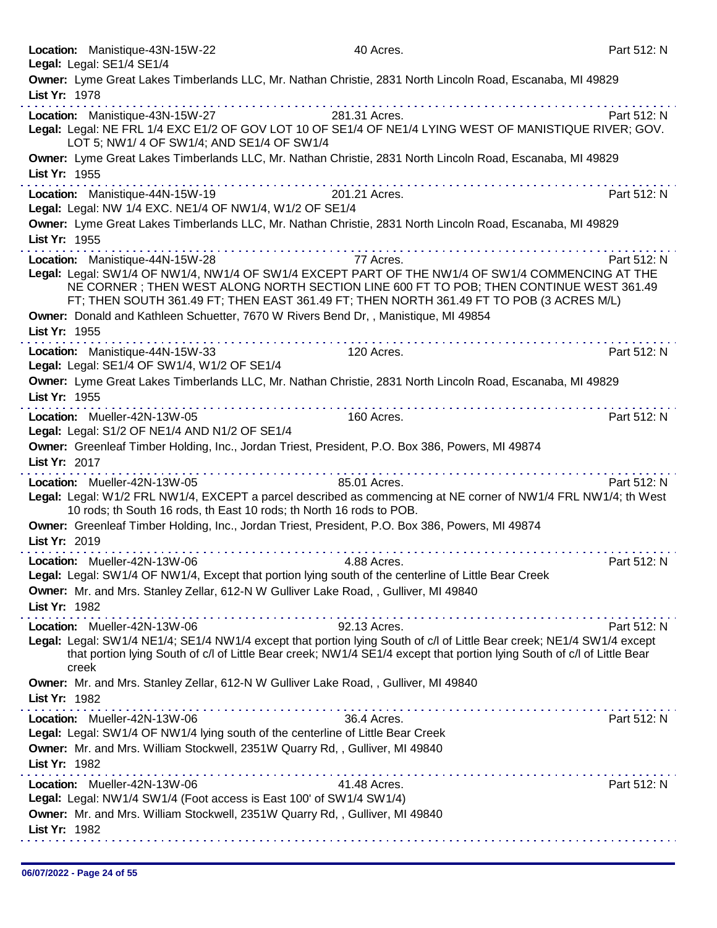|               | Location: Manistique-43N-15W-22<br>Legal: Legal: SE1/4 SE1/4                                                                                                                                                                                                                                                              |                    | 40 Acres.    |                                                                                                                                                                                                                                | Part 512: N |
|---------------|---------------------------------------------------------------------------------------------------------------------------------------------------------------------------------------------------------------------------------------------------------------------------------------------------------------------------|--------------------|--------------|--------------------------------------------------------------------------------------------------------------------------------------------------------------------------------------------------------------------------------|-------------|
|               | Owner: Lyme Great Lakes Timberlands LLC, Mr. Nathan Christie, 2831 North Lincoln Road, Escanaba, MI 49829                                                                                                                                                                                                                 |                    |              |                                                                                                                                                                                                                                |             |
| List Yr: 1978 |                                                                                                                                                                                                                                                                                                                           |                    |              |                                                                                                                                                                                                                                |             |
|               | Location: Manistique-43N-15W-27 281.31 Acres.                                                                                                                                                                                                                                                                             |                    |              |                                                                                                                                                                                                                                | Part 512: N |
|               | Legal: Legal: NE FRL 1/4 EXC E1/2 OF GOV LOT 10 OF SE1/4 OF NE1/4 LYING WEST OF MANISTIQUE RIVER; GOV.<br>LOT 5; NW1/ 4 OF SW1/4; AND SE1/4 OF SW1/4                                                                                                                                                                      |                    |              |                                                                                                                                                                                                                                |             |
| List Yr: 1955 | Owner: Lyme Great Lakes Timberlands LLC, Mr. Nathan Christie, 2831 North Lincoln Road, Escanaba, MI 49829                                                                                                                                                                                                                 |                    |              |                                                                                                                                                                                                                                |             |
|               | Location: Manistique-44N-15W-19                                                                                                                                                                                                                                                                                           | .<br>201.21 Acres. |              |                                                                                                                                                                                                                                | Part 512: N |
|               | Legal: Legal: NW 1/4 EXC. NE1/4 OF NW1/4, W1/2 OF SE1/4                                                                                                                                                                                                                                                                   |                    |              |                                                                                                                                                                                                                                |             |
| List Yr: 1955 | Owner: Lyme Great Lakes Timberlands LLC, Mr. Nathan Christie, 2831 North Lincoln Road, Escanaba, MI 49829                                                                                                                                                                                                                 |                    |              |                                                                                                                                                                                                                                |             |
|               |                                                                                                                                                                                                                                                                                                                           |                    |              |                                                                                                                                                                                                                                |             |
|               | Location: Manistique-44N-15W-28<br>Legal: Legal: SW1/4 OF NW1/4, NW1/4 OF SW1/4 EXCEPT PART OF THE NW1/4 OF SW1/4 COMMENCING AT THE<br>NE CORNER; THEN WEST ALONG NORTH SECTION LINE 600 FT TO POB; THEN CONTINUE WEST 361.49<br>FT; THEN SOUTH 361.49 FT; THEN EAST 361.49 FT; THEN NORTH 361.49 FT TO POB (3 ACRES M/L) |                    | 77 Acres.    |                                                                                                                                                                                                                                | Part 512: N |
|               | Owner: Donald and Kathleen Schuetter, 7670 W Rivers Bend Dr, , Manistique, MI 49854                                                                                                                                                                                                                                       |                    |              |                                                                                                                                                                                                                                |             |
| List Yr: 1955 |                                                                                                                                                                                                                                                                                                                           |                    |              |                                                                                                                                                                                                                                |             |
|               | Location: Manistique-44N-15W-33<br>Legal: Legal: SE1/4 OF SW1/4, W1/2 OF SE1/4                                                                                                                                                                                                                                            |                    | 120 Acres.   |                                                                                                                                                                                                                                | Part 512: N |
| List Yr: 1955 | Owner: Lyme Great Lakes Timberlands LLC, Mr. Nathan Christie, 2831 North Lincoln Road, Escanaba, MI 49829                                                                                                                                                                                                                 |                    |              |                                                                                                                                                                                                                                |             |
|               | Location: Mueller-42N-13W-05<br>Legal: Legal: S1/2 OF NE1/4 AND N1/2 OF SE1/4                                                                                                                                                                                                                                             | .                  | 160 Acres.   | .                                                                                                                                                                                                                              | Part 512: N |
| List Yr: 2017 | Owner: Greenleaf Timber Holding, Inc., Jordan Triest, President, P.O. Box 386, Powers, MI 49874                                                                                                                                                                                                                           |                    |              |                                                                                                                                                                                                                                |             |
|               | Location: Mueller-42N-13W-05                                                                                                                                                                                                                                                                                              |                    | 85.01 Acres. |                                                                                                                                                                                                                                | Part 512: N |
|               | Legal: Legal: W1/2 FRL NW1/4, EXCEPT a parcel described as commencing at NE corner of NW1/4 FRL NW1/4; th West<br>10 rods; th South 16 rods, th East 10 rods; th North 16 rods to POB.                                                                                                                                    |                    |              |                                                                                                                                                                                                                                |             |
| List Yr: 2019 | Owner: Greenleaf Timber Holding, Inc., Jordan Triest, President, P.O. Box 386, Powers, MI 49874                                                                                                                                                                                                                           |                    |              |                                                                                                                                                                                                                                |             |
|               | Location: Mueller-42N-13W-06                                                                                                                                                                                                                                                                                              |                    | 4.88 Acres.  | the state of the state of the state of the state of the state of the state of the state of the state of the state of the state of the state of the state of the state of the state of the state of the state of the state of t | Part 512: N |
|               | Legal: Legal: SW1/4 OF NW1/4, Except that portion lying south of the centerline of Little Bear Creek<br>Owner: Mr. and Mrs. Stanley Zellar, 612-N W Gulliver Lake Road, , Gulliver, MI 49840                                                                                                                              |                    |              |                                                                                                                                                                                                                                |             |
| List Yr: 1982 |                                                                                                                                                                                                                                                                                                                           |                    |              |                                                                                                                                                                                                                                |             |
|               | Location: Mueller-42N-13W-06<br>Legal: Legal: SW1/4 NE1/4; SE1/4 NW1/4 except that portion lying South of c/l of Little Bear creek; NE1/4 SW1/4 except<br>that portion lying South of c/l of Little Bear creek; NW1/4 SE1/4 except that portion lying South of c/l of Little Bear<br>creek                                |                    | 92.13 Acres. |                                                                                                                                                                                                                                | Part 512: N |
| List Yr: 1982 | Owner: Mr. and Mrs. Stanley Zellar, 612-N W Gulliver Lake Road, , Gulliver, MI 49840                                                                                                                                                                                                                                      |                    |              |                                                                                                                                                                                                                                |             |
| List Yr: 1982 | Location: Mueller-42N-13W-06<br>Legal: Legal: SW1/4 OF NW1/4 lying south of the centerline of Little Bear Creek<br>Owner: Mr. and Mrs. William Stockwell, 2351W Quarry Rd, , Gulliver, MI 49840                                                                                                                           |                    | 36.4 Acres.  | .                                                                                                                                                                                                                              | Part 512: N |
| List Yr: 1982 | Location: Mueller-42N-13W-06<br>Legal: Legal: NW1/4 SW1/4 (Foot access is East 100' of SW1/4 SW1/4)<br>Owner: Mr. and Mrs. William Stockwell, 2351W Quarry Rd, , Gulliver, MI 49840                                                                                                                                       |                    | 41.48 Acres. |                                                                                                                                                                                                                                | Part 512: N |
|               |                                                                                                                                                                                                                                                                                                                           |                    |              |                                                                                                                                                                                                                                |             |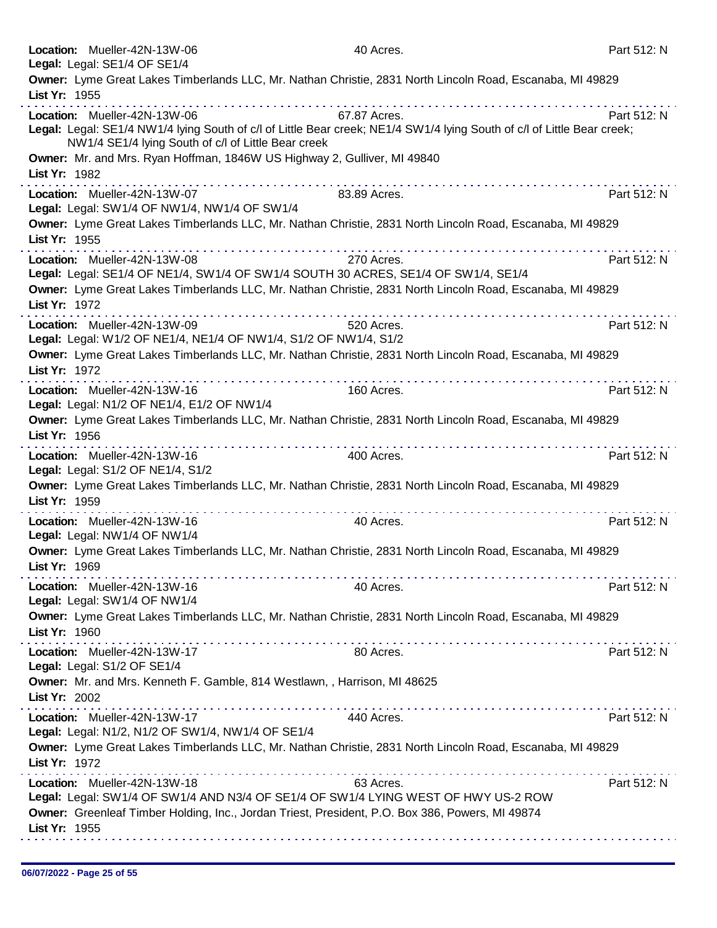|               | Location: Mueller-42N-13W-06                                                                    | 40 Acres.                                                                                                               | Part 512: N |
|---------------|-------------------------------------------------------------------------------------------------|-------------------------------------------------------------------------------------------------------------------------|-------------|
|               | Legal: Legal: SE1/4 OF SE1/4                                                                    |                                                                                                                         |             |
| List Yr: 1955 |                                                                                                 | Owner: Lyme Great Lakes Timberlands LLC, Mr. Nathan Christie, 2831 North Lincoln Road, Escanaba, MI 49829               |             |
|               | Location: Mueller-42N-13W-06                                                                    | 67.87 Acres.                                                                                                            | Part 512: N |
|               | NW1/4 SE1/4 lying South of c/l of Little Bear creek                                             | Legal: Legal: SE1/4 NW1/4 lying South of c/l of Little Bear creek; NE1/4 SW1/4 lying South of c/l of Little Bear creek; |             |
|               | Owner: Mr. and Mrs. Ryan Hoffman, 1846W US Highway 2, Gulliver, MI 49840                        |                                                                                                                         |             |
| List Yr: 1982 |                                                                                                 |                                                                                                                         |             |
|               | Location: Mueller-42N-13W-07<br>Legal: Legal: SW1/4 OF NW1/4, NW1/4 OF SW1/4                    | 83.89 Acres.                                                                                                            | Part 512: N |
|               |                                                                                                 | Owner: Lyme Great Lakes Timberlands LLC, Mr. Nathan Christie, 2831 North Lincoln Road, Escanaba, MI 49829               |             |
| List Yr: 1955 |                                                                                                 |                                                                                                                         |             |
|               | Location: Mueller-42N-13W-08                                                                    | 270 Acres.                                                                                                              | Part 512: N |
|               | Legal: Legal: SE1/4 OF NE1/4, SW1/4 OF SW1/4 SOUTH 30 ACRES, SE1/4 OF SW1/4, SE1/4              |                                                                                                                         |             |
|               |                                                                                                 | Owner: Lyme Great Lakes Timberlands LLC, Mr. Nathan Christie, 2831 North Lincoln Road, Escanaba, MI 49829               |             |
| List Yr: 1972 |                                                                                                 |                                                                                                                         |             |
|               | Location: Mueller-42N-13W-09                                                                    | 520 Acres.                                                                                                              | Part 512: N |
|               | Legal: Legal: W1/2 OF NE1/4, NE1/4 OF NW1/4, S1/2 OF NW1/4, S1/2                                |                                                                                                                         |             |
|               |                                                                                                 | Owner: Lyme Great Lakes Timberlands LLC, Mr. Nathan Christie, 2831 North Lincoln Road, Escanaba, MI 49829               |             |
| List Yr: 1972 |                                                                                                 |                                                                                                                         |             |
|               | Location: Mueller-42N-13W-16                                                                    | 160 Acres.                                                                                                              | Part 512: N |
|               | Legal: Legal: N1/2 OF NE1/4, E1/2 OF NW1/4                                                      |                                                                                                                         |             |
|               |                                                                                                 | Owner: Lyme Great Lakes Timberlands LLC, Mr. Nathan Christie, 2831 North Lincoln Road, Escanaba, MI 49829               |             |
| List Yr: 1956 |                                                                                                 |                                                                                                                         |             |
|               | . <b>.</b><br>Location: Mueller-42N-13W-16                                                      | 400 Acres.                                                                                                              | Part 512: N |
|               | Legal: Legal: S1/2 OF NE1/4, S1/2                                                               |                                                                                                                         |             |
|               |                                                                                                 | Owner: Lyme Great Lakes Timberlands LLC, Mr. Nathan Christie, 2831 North Lincoln Road, Escanaba, MI 49829               |             |
| List Yr: 1959 | .                                                                                               | .                                                                                                                       |             |
|               | Location: Mueller-42N-13W-16                                                                    | 40 Acres.                                                                                                               | Part 512: N |
|               | Legal: Legal: NW1/4 OF NW1/4                                                                    |                                                                                                                         |             |
|               |                                                                                                 | Owner: Lyme Great Lakes Timberlands LLC, Mr. Nathan Christie, 2831 North Lincoln Road, Escanaba, MI 49829               |             |
| List Yr: 1969 |                                                                                                 |                                                                                                                         |             |
|               | Location: Mueller-42N-13W-16                                                                    | 40 Acres.                                                                                                               | Part 512: N |
|               | Legal: Legal: SW1/4 OF NW1/4                                                                    |                                                                                                                         |             |
|               |                                                                                                 | Owner: Lyme Great Lakes Timberlands LLC, Mr. Nathan Christie, 2831 North Lincoln Road, Escanaba, MI 49829               |             |
| List Yr: 1960 |                                                                                                 |                                                                                                                         |             |
|               | Location: Mueller-42N-13W-17                                                                    | 80 Acres.                                                                                                               | Part 512: N |
|               | Legal: Legal: S1/2 OF SE1/4                                                                     |                                                                                                                         |             |
|               | Owner: Mr. and Mrs. Kenneth F. Gamble, 814 Westlawn, , Harrison, MI 48625                       |                                                                                                                         |             |
| List Yr: 2002 |                                                                                                 |                                                                                                                         |             |
|               | Location: Mueller-42N-13W-17                                                                    | 440 Acres.                                                                                                              | Part 512: N |
|               | Legal: Legal: N1/2, N1/2 OF SW1/4, NW1/4 OF SE1/4                                               |                                                                                                                         |             |
|               |                                                                                                 | Owner: Lyme Great Lakes Timberlands LLC, Mr. Nathan Christie, 2831 North Lincoln Road, Escanaba, MI 49829               |             |
| List Yr: 1972 |                                                                                                 |                                                                                                                         |             |
|               | Location: Mueller-42N-13W-18                                                                    | 63 Acres.                                                                                                               | Part 512: N |
|               | Legal: Legal: SW1/4 OF SW1/4 AND N3/4 OF SE1/4 OF SW1/4 LYING WEST OF HWY US-2 ROW              |                                                                                                                         |             |
|               | Owner: Greenleaf Timber Holding, Inc., Jordan Triest, President, P.O. Box 386, Powers, MI 49874 |                                                                                                                         |             |
| List Yr: 1955 |                                                                                                 |                                                                                                                         |             |
|               |                                                                                                 |                                                                                                                         |             |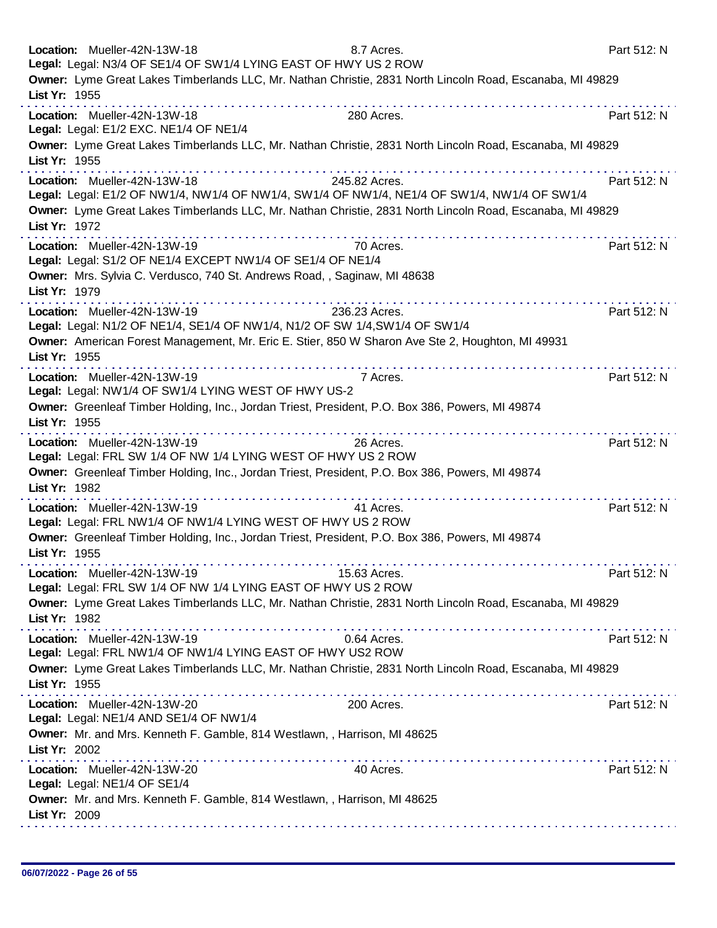|               | Location: Mueller-42N-13W-18<br>Legal: Legal: N3/4 OF SE1/4 OF SW1/4 LYING EAST OF HWY US 2 ROW             | 8.7 Acres.                                                                                                                                                                                                                                                                                                                                                                                                                    | Part 512: N |
|---------------|-------------------------------------------------------------------------------------------------------------|-------------------------------------------------------------------------------------------------------------------------------------------------------------------------------------------------------------------------------------------------------------------------------------------------------------------------------------------------------------------------------------------------------------------------------|-------------|
| List Yr: 1955 |                                                                                                             | Owner: Lyme Great Lakes Timberlands LLC, Mr. Nathan Christie, 2831 North Lincoln Road, Escanaba, MI 49829                                                                                                                                                                                                                                                                                                                     |             |
|               | Location: Mueller-42N-13W-18<br>Legal: Legal: E1/2 EXC. NE1/4 OF NE1/4                                      | .<br>280 Acres.                                                                                                                                                                                                                                                                                                                                                                                                               | Part 512: N |
| List Yr: 1955 |                                                                                                             | Owner: Lyme Great Lakes Timberlands LLC, Mr. Nathan Christie, 2831 North Lincoln Road, Escanaba, MI 49829                                                                                                                                                                                                                                                                                                                     |             |
| List Yr: 1972 | Location: Mueller-42N-13W-18                                                                                | .<br>245.82 Acres.<br>Legal: Legal: E1/2 OF NW1/4, NW1/4 OF NW1/4, SW1/4 OF NW1/4, NE1/4 OF SW1/4, NW1/4 OF SW1/4<br>Owner: Lyme Great Lakes Timberlands LLC, Mr. Nathan Christie, 2831 North Lincoln Road, Escanaba, MI 49829                                                                                                                                                                                                | Part 512: N |
|               | Location: Mueller-42N-13W-19<br>Legal: Legal: S1/2 OF NE1/4 EXCEPT NW1/4 OF SE1/4 OF NE1/4                  | 70 Acres.                                                                                                                                                                                                                                                                                                                                                                                                                     | Part 512: N |
| List Yr: 1979 | Owner: Mrs. Sylvia C. Verdusco, 740 St. Andrews Road, , Saginaw, MI 48638                                   |                                                                                                                                                                                                                                                                                                                                                                                                                               |             |
|               | Location: Mueller-42N-13W-19<br>Legal: Legal: N1/2 OF NE1/4, SE1/4 OF NW1/4, N1/2 OF SW 1/4, SW1/4 OF SW1/4 | dia analahana analahana sa tana<br>236.23 Acres.<br>Owner: American Forest Management, Mr. Eric E. Stier, 850 W Sharon Ave Ste 2, Houghton, MI 49931                                                                                                                                                                                                                                                                          | Part 512: N |
| List Yr: 1955 |                                                                                                             |                                                                                                                                                                                                                                                                                                                                                                                                                               |             |
|               | Location: Mueller-42N-13W-19<br>Legal: Legal: NW1/4 OF SW1/4 LYING WEST OF HWY US-2                         | 7 Acres.                                                                                                                                                                                                                                                                                                                                                                                                                      | Part 512: N |
| List Yr: 1955 | . <b>.</b>                                                                                                  | Owner: Greenleaf Timber Holding, Inc., Jordan Triest, President, P.O. Box 386, Powers, MI 49874                                                                                                                                                                                                                                                                                                                               |             |
|               | Location: Mueller-42N-13W-19<br>Legal: Legal: FRL SW 1/4 OF NW 1/4 LYING WEST OF HWY US 2 ROW               | 26 Acres.                                                                                                                                                                                                                                                                                                                                                                                                                     | Part 512: N |
| List Yr: 1982 |                                                                                                             | Owner: Greenleaf Timber Holding, Inc., Jordan Triest, President, P.O. Box 386, Powers, MI 49874                                                                                                                                                                                                                                                                                                                               |             |
|               | Location: Mueller-42N-13W-19<br>Legal: Legal: FRL NW1/4 OF NW1/4 LYING WEST OF HWY US 2 ROW                 | 41 Acres.                                                                                                                                                                                                                                                                                                                                                                                                                     | Part 512: N |
| List Yr: 1955 |                                                                                                             | Owner: Greenleaf Timber Holding, Inc., Jordan Triest, President, P.O. Box 386, Powers, MI 49874                                                                                                                                                                                                                                                                                                                               |             |
|               | Location: Mueller-42N-13W-19<br>Legal: Legal: FRL SW 1/4 OF NW 1/4 LYING EAST OF HWY US 2 ROW               | 15.63 Acres.                                                                                                                                                                                                                                                                                                                                                                                                                  | Part 512: N |
| List Yr: 1982 |                                                                                                             | Owner: Lyme Great Lakes Timberlands LLC, Mr. Nathan Christie, 2831 North Lincoln Road, Escanaba, MI 49829                                                                                                                                                                                                                                                                                                                     |             |
|               | Location: Mueller-42N-13W-19<br>Legal: Legal: FRL NW1/4 OF NW1/4 LYING EAST OF HWY US2 ROW                  | 0.64 Acres.                                                                                                                                                                                                                                                                                                                                                                                                                   | Part 512: N |
| List Yr: 1955 |                                                                                                             | Owner: Lyme Great Lakes Timberlands LLC, Mr. Nathan Christie, 2831 North Lincoln Road, Escanaba, MI 49829                                                                                                                                                                                                                                                                                                                     |             |
|               | Location: Mueller-42N-13W-20<br>Legal: Legal: NE1/4 AND SE1/4 OF NW1/4                                      | the second complete state of the second complete state of the second complete state of the second complete state of the second complete state of the second complete state of the second complete state of the second complete<br>200 Acres.                                                                                                                                                                                  | Part 512: N |
| List Yr: 2002 | Owner: Mr. and Mrs. Kenneth F. Gamble, 814 Westlawn, , Harrison, MI 48625                                   | $\label{eq:2.1} \begin{array}{lllllllllllllllllllll} \mathbf{1}_{\mathbf{1}}&\mathbf{1}_{\mathbf{1}}&\mathbf{1}_{\mathbf{1}}&\mathbf{1}_{\mathbf{1}}&\mathbf{1}_{\mathbf{1}}&\mathbf{1}_{\mathbf{1}}&\mathbf{1}_{\mathbf{1}}&\mathbf{1}_{\mathbf{1}}&\mathbf{1}_{\mathbf{1}}&\mathbf{1}_{\mathbf{1}}&\mathbf{1}_{\mathbf{1}}&\mathbf{1}_{\mathbf{1}}&\mathbf{1}_{\mathbf{1}}&\mathbf{1}_{\mathbf{1}}&\mathbf{1}_{\mathbf{1}}$ |             |
|               | Location: Mueller-42N-13W-20<br>Legal: Legal: NE1/4 OF SE1/4                                                | 40 Acres.                                                                                                                                                                                                                                                                                                                                                                                                                     | Part 512: N |
| List Yr: 2009 | Owner: Mr. and Mrs. Kenneth F. Gamble, 814 Westlawn, , Harrison, MI 48625                                   |                                                                                                                                                                                                                                                                                                                                                                                                                               |             |
|               |                                                                                                             |                                                                                                                                                                                                                                                                                                                                                                                                                               |             |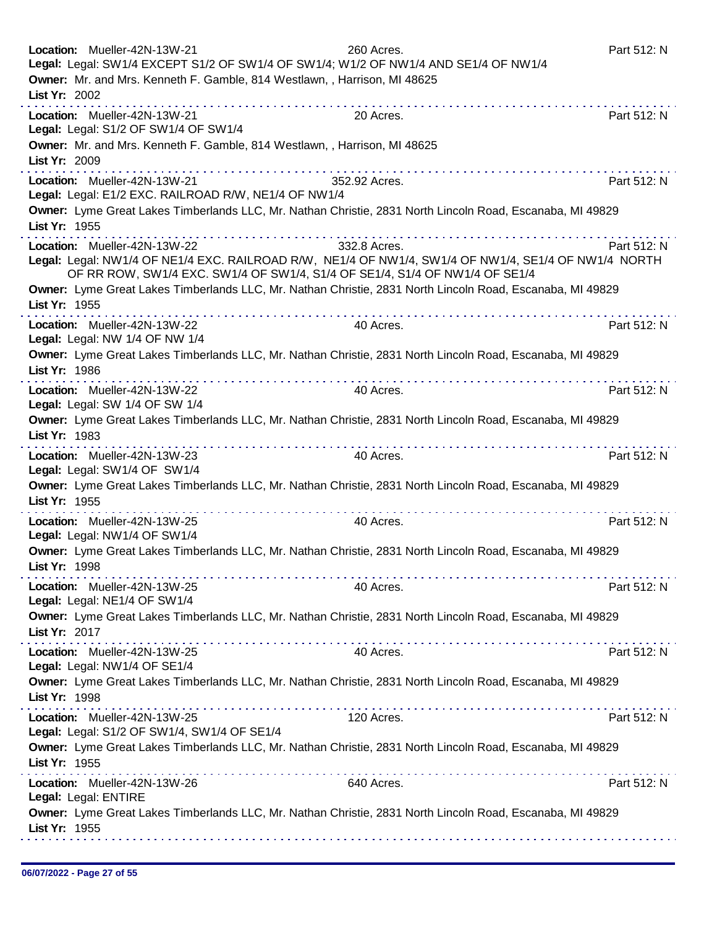| Location: Mueller-42N-13W-21<br>260 Acres.<br>Legal: Legal: SW1/4 EXCEPT S1/2 OF SW1/4 OF SW1/4; W1/2 OF NW1/4 AND SE1/4 OF NW1/4                                                                                                                                                                                                                                                                                                                                                                                                                                                          | Part 512: N |
|--------------------------------------------------------------------------------------------------------------------------------------------------------------------------------------------------------------------------------------------------------------------------------------------------------------------------------------------------------------------------------------------------------------------------------------------------------------------------------------------------------------------------------------------------------------------------------------------|-------------|
| Owner: Mr. and Mrs. Kenneth F. Gamble, 814 Westlawn, , Harrison, MI 48625<br>List Yr: 2002                                                                                                                                                                                                                                                                                                                                                                                                                                                                                                 |             |
| .<br>Location: Mueller-42N-13W-21<br>20 Acres.<br>Legal: Legal: S1/2 OF SW1/4 OF SW1/4                                                                                                                                                                                                                                                                                                                                                                                                                                                                                                     | Part 512: N |
| Owner: Mr. and Mrs. Kenneth F. Gamble, 814 Westlawn, , Harrison, MI 48625<br>List Yr: 2009                                                                                                                                                                                                                                                                                                                                                                                                                                                                                                 |             |
| Location: Mueller-42N-13W-21<br>352.92 Acres.<br>Legal: Legal: E1/2 EXC. RAILROAD R/W, NE1/4 OF NW1/4                                                                                                                                                                                                                                                                                                                                                                                                                                                                                      | Part 512: N |
| Owner: Lyme Great Lakes Timberlands LLC, Mr. Nathan Christie, 2831 North Lincoln Road, Escanaba, MI 49829<br>List Yr: 1955                                                                                                                                                                                                                                                                                                                                                                                                                                                                 |             |
| Location: Mueller-42N-13W-22<br>332.8 Acres.<br>Legal: Legal: NW1/4 OF NE1/4 EXC. RAILROAD R/W, NE1/4 OF NW1/4, SW1/4 OF NW1/4, SE1/4 OF NW1/4 NORTH<br>OF RR ROW, SW1/4 EXC. SW1/4 OF SW1/4, S1/4 OF SE1/4, S1/4 OF NW1/4 OF SE1/4                                                                                                                                                                                                                                                                                                                                                        | Part 512: N |
| Owner: Lyme Great Lakes Timberlands LLC, Mr. Nathan Christie, 2831 North Lincoln Road, Escanaba, MI 49829<br>List Yr: 1955                                                                                                                                                                                                                                                                                                                                                                                                                                                                 |             |
| Location: Mueller-42N-13W-22<br>40 Acres.<br>Legal: Legal: NW 1/4 OF NW 1/4                                                                                                                                                                                                                                                                                                                                                                                                                                                                                                                | Part 512: N |
| Owner: Lyme Great Lakes Timberlands LLC, Mr. Nathan Christie, 2831 North Lincoln Road, Escanaba, MI 49829<br>List Yr: 1986<br>$\mathcal{L}^{\mathcal{A}}(\mathcal{A},\mathcal{A},\mathcal{A},\mathcal{A},\mathcal{A},\mathcal{A},\mathcal{A},\mathcal{A},\mathcal{A},\mathcal{A},\mathcal{A},\mathcal{A},\mathcal{A},\mathcal{A},\mathcal{A},\mathcal{A},\mathcal{A},\mathcal{A},\mathcal{A},\mathcal{A},\mathcal{A},\mathcal{A},\mathcal{A},\mathcal{A},\mathcal{A},\mathcal{A},\mathcal{A},\mathcal{A},\mathcal{A},\mathcal{A},\mathcal{A},\mathcal{A},\mathcal{A},\mathcal{A},\mathcal$ |             |
| Location: Mueller-42N-13W-22<br>40 Acres.<br>Legal: Legal: SW 1/4 OF SW 1/4                                                                                                                                                                                                                                                                                                                                                                                                                                                                                                                | Part 512: N |
| Owner: Lyme Great Lakes Timberlands LLC, Mr. Nathan Christie, 2831 North Lincoln Road, Escanaba, MI 49829<br>List Yr: 1983                                                                                                                                                                                                                                                                                                                                                                                                                                                                 |             |
| Location: Mueller-42N-13W-23<br>40 Acres.<br>Legal: Legal: SW1/4 OF SW1/4                                                                                                                                                                                                                                                                                                                                                                                                                                                                                                                  | Part 512: N |
| Owner: Lyme Great Lakes Timberlands LLC, Mr. Nathan Christie, 2831 North Lincoln Road, Escanaba, MI 49829<br>List Yr: 1955                                                                                                                                                                                                                                                                                                                                                                                                                                                                 |             |
| Location: Mueller-42N-13W-25<br>40 Acres.<br>Legal: Legal: NW1/4 OF SW1/4                                                                                                                                                                                                                                                                                                                                                                                                                                                                                                                  | Part 512: N |
| Owner: Lyme Great Lakes Timberlands LLC, Mr. Nathan Christie, 2831 North Lincoln Road, Escanaba, MI 49829<br>List Yr: 1998                                                                                                                                                                                                                                                                                                                                                                                                                                                                 |             |
| 40 Acres.<br>Location: Mueller-42N-13W-25<br>Legal: Legal: NE1/4 OF SW1/4                                                                                                                                                                                                                                                                                                                                                                                                                                                                                                                  | Part 512: N |
| Owner: Lyme Great Lakes Timberlands LLC, Mr. Nathan Christie, 2831 North Lincoln Road, Escanaba, MI 49829<br>List Yr: 2017                                                                                                                                                                                                                                                                                                                                                                                                                                                                 |             |
| Location: Mueller-42N-13W-25<br>40 Acres.<br>Legal: Legal: NW1/4 OF SE1/4                                                                                                                                                                                                                                                                                                                                                                                                                                                                                                                  | Part 512: N |
| Owner: Lyme Great Lakes Timberlands LLC, Mr. Nathan Christie, 2831 North Lincoln Road, Escanaba, MI 49829<br>List Yr: 1998                                                                                                                                                                                                                                                                                                                                                                                                                                                                 |             |
| Location: Mueller-42N-13W-25<br>120 Acres.<br>Legal: Legal: S1/2 OF SW1/4, SW1/4 OF SE1/4                                                                                                                                                                                                                                                                                                                                                                                                                                                                                                  | Part 512: N |
| Owner: Lyme Great Lakes Timberlands LLC, Mr. Nathan Christie, 2831 North Lincoln Road, Escanaba, MI 49829<br>List Yr: 1955                                                                                                                                                                                                                                                                                                                                                                                                                                                                 |             |
| Location: Mueller-42N-13W-26<br>640 Acres.<br>Legal: Legal: ENTIRE                                                                                                                                                                                                                                                                                                                                                                                                                                                                                                                         | Part 512: N |
| Owner: Lyme Great Lakes Timberlands LLC, Mr. Nathan Christie, 2831 North Lincoln Road, Escanaba, MI 49829<br>List Yr: 1955                                                                                                                                                                                                                                                                                                                                                                                                                                                                 |             |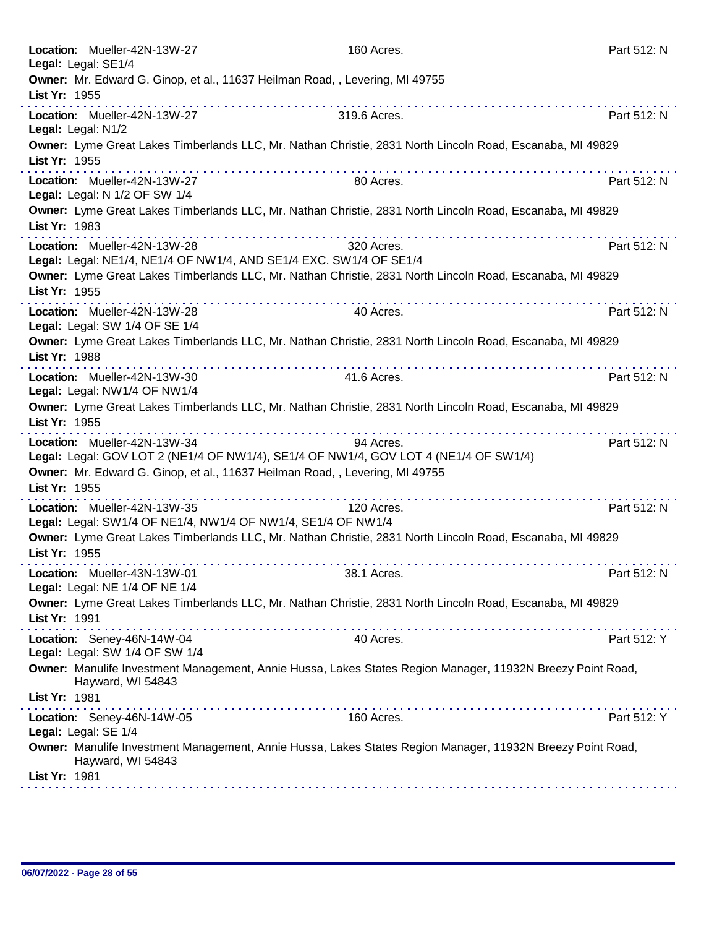| Location: Mueller-42N-13W-27<br>Legal: Legal: SE1/4                                                                                                                                                                   | 160 Acres.        | Part 512: N |
|-----------------------------------------------------------------------------------------------------------------------------------------------------------------------------------------------------------------------|-------------------|-------------|
| Owner: Mr. Edward G. Ginop, et al., 11637 Heilman Road, , Levering, MI 49755<br>List Yr: 1955                                                                                                                         |                   |             |
| Location: Mueller-42N-13W-27<br>Legal: Legal: N1/2                                                                                                                                                                    | .<br>319.6 Acres. | Part 512: N |
| Owner: Lyme Great Lakes Timberlands LLC, Mr. Nathan Christie, 2831 North Lincoln Road, Escanaba, MI 49829<br>List Yr: 1955                                                                                            |                   |             |
| Location: Mueller-42N-13W-27<br>Legal: Legal: N 1/2 OF SW 1/4                                                                                                                                                         | 80 Acres.         | Part 512: N |
| Owner: Lyme Great Lakes Timberlands LLC, Mr. Nathan Christie, 2831 North Lincoln Road, Escanaba, MI 49829<br>List Yr: 1983                                                                                            |                   |             |
| Location: Mueller-42N-13W-28<br>Legal: Legal: NE1/4, NE1/4 OF NW1/4, AND SE1/4 EXC. SW1/4 OF SE1/4                                                                                                                    | 320 Acres.        | Part 512: N |
| Owner: Lyme Great Lakes Timberlands LLC, Mr. Nathan Christie, 2831 North Lincoln Road, Escanaba, MI 49829<br>List Yr: 1955                                                                                            |                   |             |
| Location: Mueller-42N-13W-28<br>Legal: Legal: SW 1/4 OF SE 1/4                                                                                                                                                        | .<br>40 Acres.    | Part 512: N |
| Owner: Lyme Great Lakes Timberlands LLC, Mr. Nathan Christie, 2831 North Lincoln Road, Escanaba, MI 49829<br>List Yr: 1988                                                                                            |                   |             |
| Location: Mueller-42N-13W-30<br>Legal: Legal: NW1/4 OF NW1/4                                                                                                                                                          | 41.6 Acres.       | Part 512: N |
| Owner: Lyme Great Lakes Timberlands LLC, Mr. Nathan Christie, 2831 North Lincoln Road, Escanaba, MI 49829<br>List Yr: 1955                                                                                            |                   |             |
| Location: Mueller-42N-13W-34<br>Legal: Legal: GOV LOT 2 (NE1/4 OF NW1/4), SE1/4 OF NW1/4, GOV LOT 4 (NE1/4 OF SW1/4)<br>Owner: Mr. Edward G. Ginop, et al., 11637 Heilman Road, , Levering, MI 49755<br>List Yr: 1955 | 94 Acres.         | Part 512: N |
| Location: Mueller-42N-13W-35                                                                                                                                                                                          | 120 Acres.        | Part 512: N |
| Legal: Legal: SW1/4 OF NE1/4, NW1/4 OF NW1/4, SE1/4 OF NW1/4<br>Owner: Lyme Great Lakes Timberlands LLC, Mr. Nathan Christie, 2831 North Lincoln Road, Escanaba, MI 49829<br>List Yr: 1955                            |                   |             |
| Location: Mueller-43N-13W-01<br>Legal: Legal: NE 1/4 OF NE 1/4                                                                                                                                                        | 38.1 Acres.       | Part 512: N |
| Owner: Lyme Great Lakes Timberlands LLC, Mr. Nathan Christie, 2831 North Lincoln Road, Escanaba, MI 49829<br>List Yr: 1991                                                                                            |                   |             |
| Location: Seney-46N-14W-04<br>Legal: Legal: SW 1/4 OF SW 1/4                                                                                                                                                          | 40 Acres.         | Part 512: Y |
| Owner: Manulife Investment Management, Annie Hussa, Lakes States Region Manager, 11932N Breezy Point Road,<br>Hayward, WI 54843<br>List Yr: 1981                                                                      |                   |             |
| Location: Seney-46N-14W-05<br>Legal: Legal: SE 1/4                                                                                                                                                                    | 160 Acres.        | Part 512: Y |
| Owner: Manulife Investment Management, Annie Hussa, Lakes States Region Manager, 11932N Breezy Point Road,<br>Hayward, WI 54843                                                                                       |                   |             |
| List Yr: 1981                                                                                                                                                                                                         |                   |             |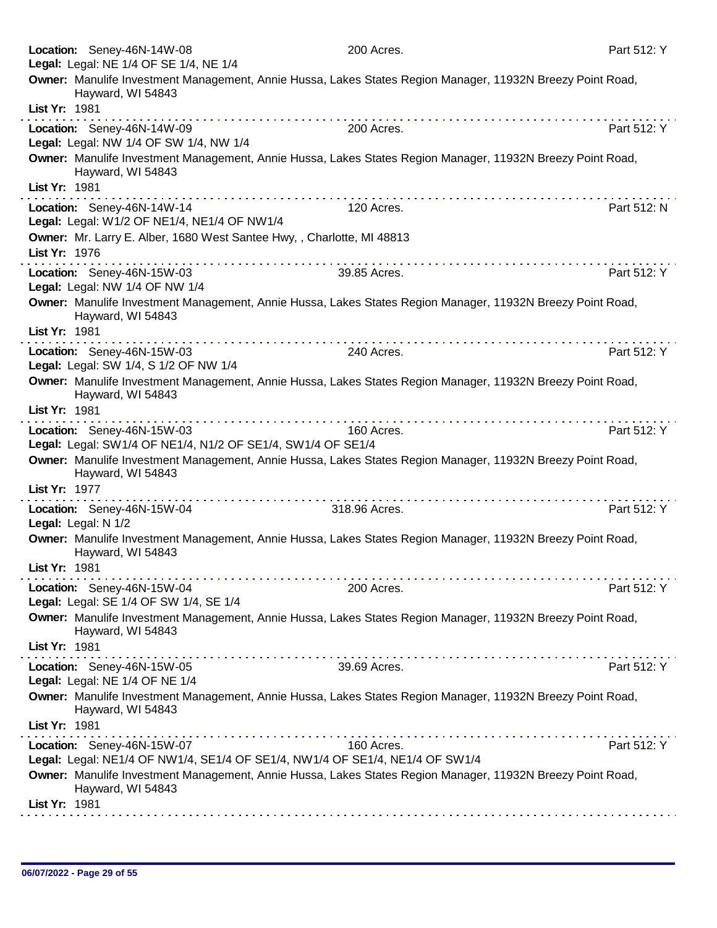| Location: Seney-46N-14W-08                                                                | 200 Acres.                                                                                                 | Part 512: Y |
|-------------------------------------------------------------------------------------------|------------------------------------------------------------------------------------------------------------|-------------|
| Legal: Legal: NE 1/4 OF SE 1/4, NE 1/4                                                    |                                                                                                            |             |
| Hayward, WI 54843                                                                         | Owner: Manulife Investment Management, Annie Hussa, Lakes States Region Manager, 11932N Breezy Point Road, |             |
| List Yr: 1981                                                                             |                                                                                                            |             |
| Location: Seney-46N-14W-09<br>Legal: Legal: NW 1/4 OF SW 1/4, NW 1/4                      | 200 Acres.                                                                                                 | Part 512: Y |
| Hayward, WI 54843                                                                         | Owner: Manulife Investment Management, Annie Hussa, Lakes States Region Manager, 11932N Breezy Point Road, |             |
| List Yr: 1981                                                                             |                                                                                                            |             |
| Location: Seney-46N-14W-14<br>Legal: Legal: W1/2 OF NE1/4, NE1/4 OF NW1/4                 | 120 Acres.                                                                                                 | Part 512: N |
| Owner: Mr. Larry E. Alber, 1680 West Santee Hwy, , Charlotte, MI 48813<br>List Yr: 1976   |                                                                                                            |             |
| Location: Seney-46N-15W-03<br>Legal: Legal: NW 1/4 OF NW 1/4                              | <u>.</u><br>39.85 Acres.                                                                                   | Part 512: Y |
| Hayward, WI 54843                                                                         | Owner: Manulife Investment Management, Annie Hussa, Lakes States Region Manager, 11932N Breezy Point Road, |             |
| List Yr: 1981                                                                             |                                                                                                            |             |
| Location: Seney-46N-15W-03<br>Legal: Legal: SW 1/4, S 1/2 OF NW 1/4                       | 240 Acres.                                                                                                 | Part 512: Y |
| Hayward, WI 54843                                                                         | Owner: Manulife Investment Management, Annie Hussa, Lakes States Region Manager, 11932N Breezy Point Road, |             |
| List Yr: 1981                                                                             | the companies of the companies of the companies of                                                         |             |
| Location: Seney-46N-15W-03<br>Legal: Legal: SW1/4 OF NE1/4, N1/2 OF SE1/4, SW1/4 OF SE1/4 | 160 Acres.                                                                                                 | Part 512: Y |
| Hayward, WI 54843                                                                         | Owner: Manulife Investment Management, Annie Hussa, Lakes States Region Manager, 11932N Breezy Point Road, |             |
| List Yr: 1977                                                                             |                                                                                                            |             |
| Location: Seney-46N-15W-04<br>Legal: Legal: N 1/2                                         | 318.96 Acres.                                                                                              | Part 512: Y |
| Hayward, WI 54843                                                                         | Owner: Manulife Investment Management, Annie Hussa, Lakes States Region Manager, 11932N Breezy Point Road, |             |
| List Yr: 1981                                                                             |                                                                                                            |             |
| Location: Seney-46N-15W-04<br>Legal: Legal: SE 1/4 OF SW 1/4, SE 1/4                      | 200 Acres.                                                                                                 | Part 512: Y |
| Hayward, WI 54843                                                                         | Owner: Manulife Investment Management, Annie Hussa, Lakes States Region Manager, 11932N Breezy Point Road, |             |
| List Yr: 1981                                                                             |                                                                                                            |             |
| Location: Seney-46N-15W-05<br>Legal: Legal: NE 1/4 OF NE 1/4                              | 39.69 Acres.                                                                                               | Part 512: Y |
| Hayward, WI 54843<br>List Yr: 1981                                                        | Owner: Manulife Investment Management, Annie Hussa, Lakes States Region Manager, 11932N Breezy Point Road, |             |
| Location: Seney-46N-15W-07                                                                | 160 Acres.                                                                                                 | Part 512: Y |
|                                                                                           | Legal: Legal: NE1/4 OF NW1/4, SE1/4 OF SE1/4, NW1/4 OF SE1/4, NE1/4 OF SW1/4                               |             |
| Hayward, WI 54843                                                                         | Owner: Manulife Investment Management, Annie Hussa, Lakes States Region Manager, 11932N Breezy Point Road, |             |
| List Yr: 1981                                                                             |                                                                                                            |             |
|                                                                                           |                                                                                                            |             |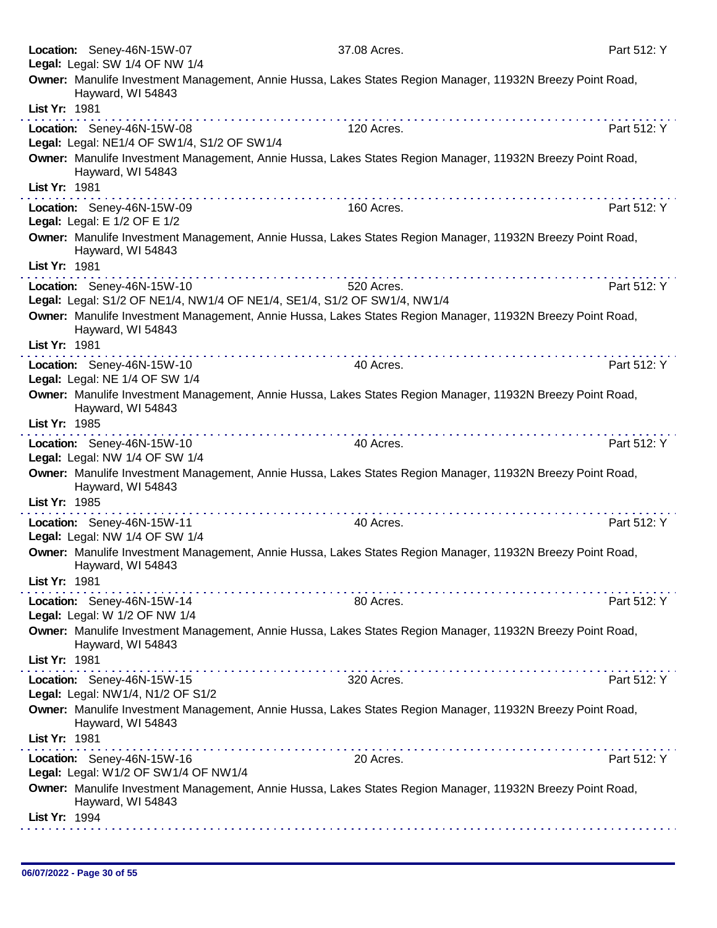|               | Location: Seney-46N-15W-07<br>Legal: Legal: SW 1/4 OF NW 1/4                                           | 37.08 Acres.                                                                                               | Part 512: Y |
|---------------|--------------------------------------------------------------------------------------------------------|------------------------------------------------------------------------------------------------------------|-------------|
|               |                                                                                                        | Owner: Manulife Investment Management, Annie Hussa, Lakes States Region Manager, 11932N Breezy Point Road, |             |
| List Yr: 1981 | Hayward, WI 54843                                                                                      |                                                                                                            |             |
|               | Location: Seney-46N-15W-08                                                                             | 120 Acres.                                                                                                 | Part 512: Y |
|               | Legal: Legal: NE1/4 OF SW1/4, S1/2 OF SW1/4                                                            |                                                                                                            |             |
|               | Hayward, WI 54843                                                                                      | Owner: Manulife Investment Management, Annie Hussa, Lakes States Region Manager, 11932N Breezy Point Road, |             |
| List Yr: 1981 |                                                                                                        |                                                                                                            |             |
|               | Location: Seney-46N-15W-09<br>Legal: Legal: E 1/2 OF E 1/2                                             | 160 Acres.                                                                                                 | Part 512: Y |
|               | Hayward, WI 54843                                                                                      | Owner: Manulife Investment Management, Annie Hussa, Lakes States Region Manager, 11932N Breezy Point Road, |             |
| List Yr: 1981 |                                                                                                        |                                                                                                            |             |
|               | Location: Seney-46N-15W-10<br>Legal: Legal: S1/2 OF NE1/4, NW1/4 OF NE1/4, SE1/4, S1/2 OF SW1/4, NW1/4 | 520 Acres.                                                                                                 | Part 512: Y |
|               | Hayward, WI 54843                                                                                      | Owner: Manulife Investment Management, Annie Hussa, Lakes States Region Manager, 11932N Breezy Point Road, |             |
| List Yr: 1981 | . <b>.</b>                                                                                             |                                                                                                            |             |
|               | Location: Seney-46N-15W-10                                                                             | 40 Acres.                                                                                                  | Part 512: Y |
|               | Legal: Legal: NE 1/4 OF SW 1/4                                                                         |                                                                                                            |             |
|               | Hayward, WI 54843                                                                                      | Owner: Manulife Investment Management, Annie Hussa, Lakes States Region Manager, 11932N Breezy Point Road, |             |
| List Yr: 1985 |                                                                                                        |                                                                                                            |             |
|               | Location: Seney-46N-15W-10<br>Legal: Legal: NW 1/4 OF SW 1/4                                           | 40 Acres.                                                                                                  | Part 512: Y |
| List Yr: 1985 | Hayward, WI 54843                                                                                      | Owner: Manulife Investment Management, Annie Hussa, Lakes States Region Manager, 11932N Breezy Point Road, |             |
|               | Location: Seney-46N-15W-11                                                                             | 40 Acres.                                                                                                  | Part 512: Y |
|               | Legal: Legal: NW 1/4 OF SW 1/4                                                                         |                                                                                                            |             |
|               | Hayward, WI 54843                                                                                      | Owner: Manulife Investment Management, Annie Hussa, Lakes States Region Manager, 11932N Breezy Point Road, |             |
| List Yr: 1981 |                                                                                                        |                                                                                                            |             |
|               | Location: Seney-46N-15W-14<br>Legal: Legal: W 1/2 OF NW 1/4                                            | 80 Acres.                                                                                                  | Part 512: Y |
|               | Hayward, WI 54843                                                                                      | Owner: Manulife Investment Management, Annie Hussa, Lakes States Region Manager, 11932N Breezy Point Road, |             |
| List Yr: 1981 | .                                                                                                      |                                                                                                            |             |
|               | Location: Seney-46N-15W-15<br>Legal: Legal: NW1/4, N1/2 OF S1/2                                        | 320 Acres.                                                                                                 | Part 512: Y |
|               | Hayward, WI 54843                                                                                      | Owner: Manulife Investment Management, Annie Hussa, Lakes States Region Manager, 11932N Breezy Point Road, |             |
| List Yr: 1981 |                                                                                                        |                                                                                                            |             |
|               | Location: Seney-46N-15W-16<br>Legal: Legal: W1/2 OF SW1/4 OF NW1/4                                     | 20 Acres.                                                                                                  | Part 512: Y |
|               | Hayward, WI 54843                                                                                      | Owner: Manulife Investment Management, Annie Hussa, Lakes States Region Manager, 11932N Breezy Point Road, |             |
| List Yr: 1994 |                                                                                                        |                                                                                                            |             |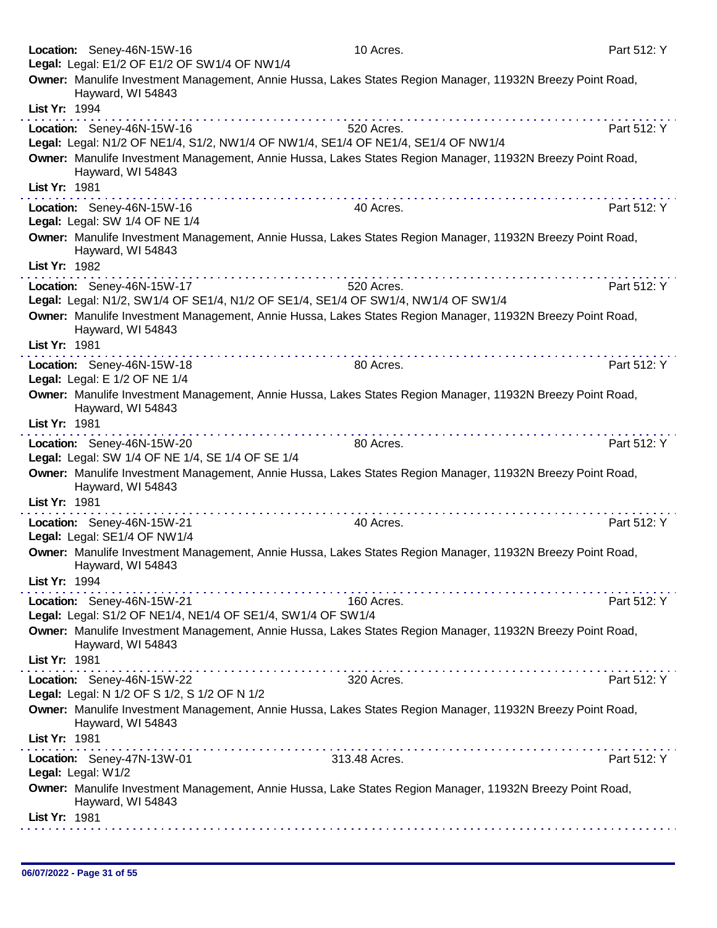|               | Location: Seney-46N-15W-16                                                                                      | 10 Acres.                                                                                                  | Part 512: Y |
|---------------|-----------------------------------------------------------------------------------------------------------------|------------------------------------------------------------------------------------------------------------|-------------|
|               | Legal: Legal: E1/2 OF E1/2 OF SW1/4 OF NW1/4                                                                    |                                                                                                            |             |
|               | Hayward, WI 54843                                                                                               | Owner: Manulife Investment Management, Annie Hussa, Lakes States Region Manager, 11932N Breezy Point Road, |             |
| List Yr: 1994 |                                                                                                                 |                                                                                                            |             |
|               | Location: Seney-46N-15W-16<br>Legal: Legal: N1/2 OF NE1/4, S1/2, NW1/4 OF NW1/4, SE1/4 OF NE1/4, SE1/4 OF NW1/4 | 520 Acres.                                                                                                 | Part 512: Y |
|               | Hayward, WI 54843                                                                                               | Owner: Manulife Investment Management, Annie Hussa, Lakes States Region Manager, 11932N Breezy Point Road, |             |
| List Yr: 1981 |                                                                                                                 |                                                                                                            |             |
|               | Location: Seney-46N-15W-16<br>Legal: Legal: SW 1/4 OF NE 1/4                                                    | 40 Acres.                                                                                                  | Part 512: Y |
|               | Hayward, WI 54843                                                                                               | Owner: Manulife Investment Management, Annie Hussa, Lakes States Region Manager, 11932N Breezy Point Road, |             |
| List Yr: 1982 |                                                                                                                 |                                                                                                            |             |
|               | Location: Seney-46N-15W-17<br>Legal: Legal: N1/2, SW1/4 OF SE1/4, N1/2 OF SE1/4, SE1/4 OF SW1/4, NW1/4 OF SW1/4 | 520 Acres.                                                                                                 | Part 512: Y |
|               | Hayward, WI 54843                                                                                               | Owner: Manulife Investment Management, Annie Hussa, Lakes States Region Manager, 11932N Breezy Point Road, |             |
| List Yr: 1981 |                                                                                                                 |                                                                                                            |             |
|               | Location: Seney-46N-15W-18                                                                                      | 80 Acres.                                                                                                  | Part 512: Y |
|               | Legal: Legal: E 1/2 OF NE 1/4                                                                                   |                                                                                                            |             |
| List Yr: 1981 | Hayward, WI 54843                                                                                               | Owner: Manulife Investment Management, Annie Hussa, Lakes States Region Manager, 11932N Breezy Point Road, |             |
|               |                                                                                                                 |                                                                                                            |             |
|               | Location: Seney-46N-15W-20<br>Legal: Legal: SW 1/4 OF NE 1/4, SE 1/4 OF SE 1/4                                  | 80 Acres.                                                                                                  | Part 512: Y |
| List Yr: 1981 | Hayward, WI 54843                                                                                               | Owner: Manulife Investment Management, Annie Hussa, Lakes States Region Manager, 11932N Breezy Point Road, |             |
|               |                                                                                                                 | 40 Acres.                                                                                                  | Part 512: Y |
|               | Location: Seney-46N-15W-21<br>Legal: Legal: SE1/4 OF NW1/4                                                      |                                                                                                            |             |
|               | Hayward, WI 54843                                                                                               | Owner: Manulife Investment Management, Annie Hussa, Lakes States Region Manager, 11932N Breezy Point Road, |             |
| List Yr: 1994 |                                                                                                                 |                                                                                                            |             |
|               | Location: Seney-46N-15W-21<br>Legal: Legal: S1/2 OF NE1/4, NE1/4 OF SE1/4, SW1/4 OF SW1/4                       | 160 Acres.                                                                                                 | Part 512: Y |
|               | Hayward, WI 54843                                                                                               | Owner: Manulife Investment Management, Annie Hussa, Lakes States Region Manager, 11932N Breezy Point Road, |             |
| List Yr: 1981 |                                                                                                                 |                                                                                                            |             |
|               | Location: Seney-46N-15W-22<br>Legal: Legal: N 1/2 OF S 1/2, S 1/2 OF N 1/2                                      | 320 Acres.                                                                                                 | Part 512: Y |
|               | Hayward, WI 54843                                                                                               | Owner: Manulife Investment Management, Annie Hussa, Lakes States Region Manager, 11932N Breezy Point Road, |             |
| List Yr: 1981 |                                                                                                                 |                                                                                                            |             |
|               | Location: Seney-47N-13W-01<br>Legal: Legal: W1/2                                                                | 313.48 Acres.                                                                                              | Part 512: Y |
|               | Hayward, WI 54843                                                                                               | Owner: Manulife Investment Management, Annie Hussa, Lake States Region Manager, 11932N Breezy Point Road,  |             |
| List Yr: 1981 |                                                                                                                 |                                                                                                            |             |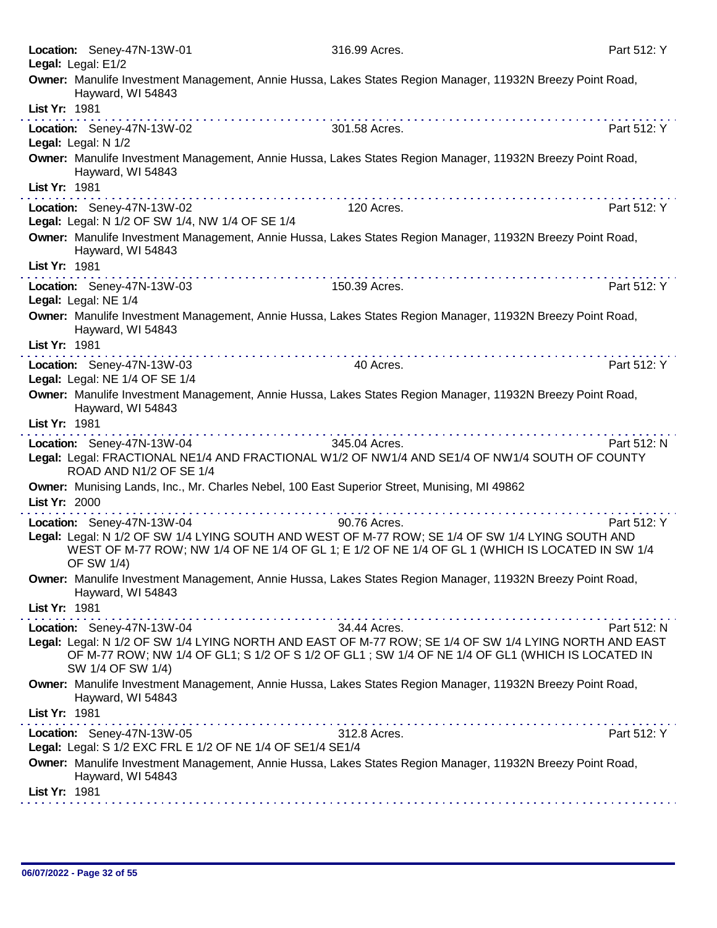|               | Location: Seney-47N-13W-01<br>Legal: Legal: E1/2                                             | 316.99 Acres.                                                                                                                                                                                                                                                                                                                                                                                                                                  | Part 512: Y |
|---------------|----------------------------------------------------------------------------------------------|------------------------------------------------------------------------------------------------------------------------------------------------------------------------------------------------------------------------------------------------------------------------------------------------------------------------------------------------------------------------------------------------------------------------------------------------|-------------|
|               | Hayward, WI 54843                                                                            | Owner: Manulife Investment Management, Annie Hussa, Lakes States Region Manager, 11932N Breezy Point Road,                                                                                                                                                                                                                                                                                                                                     |             |
| List Yr: 1981 |                                                                                              |                                                                                                                                                                                                                                                                                                                                                                                                                                                |             |
|               | Location: Seney-47N-13W-02<br>Legal: Legal: N 1/2                                            | 301.58 Acres.                                                                                                                                                                                                                                                                                                                                                                                                                                  | Part 512: Y |
|               | Hayward, WI 54843                                                                            | Owner: Manulife Investment Management, Annie Hussa, Lakes States Region Manager, 11932N Breezy Point Road,                                                                                                                                                                                                                                                                                                                                     |             |
| List Yr: 1981 | .                                                                                            |                                                                                                                                                                                                                                                                                                                                                                                                                                                |             |
|               | Location: Seney-47N-13W-02<br>Legal: Legal: N 1/2 OF SW 1/4, NW 1/4 OF SE 1/4                | 120 Acres.                                                                                                                                                                                                                                                                                                                                                                                                                                     | Part 512: Y |
|               | Hayward, WI 54843                                                                            | Owner: Manulife Investment Management, Annie Hussa, Lakes States Region Manager, 11932N Breezy Point Road,                                                                                                                                                                                                                                                                                                                                     |             |
| List Yr: 1981 |                                                                                              |                                                                                                                                                                                                                                                                                                                                                                                                                                                |             |
|               | Location: Seney-47N-13W-03<br>Legal: Legal: NE 1/4                                           | 150.39 Acres.                                                                                                                                                                                                                                                                                                                                                                                                                                  | Part 512: Y |
|               | Hayward, WI 54843                                                                            | Owner: Manulife Investment Management, Annie Hussa, Lakes States Region Manager, 11932N Breezy Point Road,                                                                                                                                                                                                                                                                                                                                     |             |
| List Yr: 1981 |                                                                                              |                                                                                                                                                                                                                                                                                                                                                                                                                                                |             |
|               | Location: Seney-47N-13W-03<br>Legal: Legal: NE 1/4 OF SE 1/4                                 | 40 Acres.                                                                                                                                                                                                                                                                                                                                                                                                                                      | Part 512: Y |
|               | Hayward, WI 54843                                                                            | Owner: Manulife Investment Management, Annie Hussa, Lakes States Region Manager, 11932N Breezy Point Road,                                                                                                                                                                                                                                                                                                                                     |             |
| List Yr: 1981 |                                                                                              |                                                                                                                                                                                                                                                                                                                                                                                                                                                |             |
|               | <u> A de alta de alta de alta de alta de alta de al</u><br>Location: Seney-47N-13W-04        | $\label{eq:2.1} \begin{array}{lllllllllllllllllllllll} \mathbf{1}_{\mathbf{1}}&\mathbf{1}_{\mathbf{1}}&\mathbf{1}_{\mathbf{1}}&\mathbf{1}_{\mathbf{1}}&\mathbf{1}_{\mathbf{1}}&\mathbf{1}_{\mathbf{1}}&\mathbf{1}_{\mathbf{1}}&\mathbf{1}_{\mathbf{1}}&\mathbf{1}_{\mathbf{1}}&\mathbf{1}_{\mathbf{1}}&\mathbf{1}_{\mathbf{1}}&\mathbf{1}_{\mathbf{1}}&\mathbf{1}_{\mathbf{1}}&\mathbf{1}_{\mathbf{1}}&\mathbf{1}_{\mathbf{1$<br>345.04 Acres. | Part 512: N |
|               | ROAD AND N1/2 OF SE 1/4                                                                      | Legal: Legal: FRACTIONAL NE1/4 AND FRACTIONAL W1/2 OF NW1/4 AND SE1/4 OF NW1/4 SOUTH OF COUNTY                                                                                                                                                                                                                                                                                                                                                 |             |
|               | Owner: Munising Lands, Inc., Mr. Charles Nebel, 100 East Superior Street, Munising, MI 49862 |                                                                                                                                                                                                                                                                                                                                                                                                                                                |             |
| List Yr: 2000 | .                                                                                            | .                                                                                                                                                                                                                                                                                                                                                                                                                                              |             |
|               | Location: Seney-47N-13W-04                                                                   | 90.76 Acres.                                                                                                                                                                                                                                                                                                                                                                                                                                   | Part 512: Y |
|               | OF SW 1/4)                                                                                   | Legal: Legal: N 1/2 OF SW 1/4 LYING SOUTH AND WEST OF M-77 ROW; SE 1/4 OF SW 1/4 LYING SOUTH AND<br>WEST OF M-77 ROW; NW 1/4 OF NE 1/4 OF GL 1; E 1/2 OF NE 1/4 OF GL 1 (WHICH IS LOCATED IN SW 1/4                                                                                                                                                                                                                                            |             |
|               | Hayward, WI 54843                                                                            | Owner: Manulife Investment Management, Annie Hussa, Lakes States Region Manager, 11932N Breezy Point Road,                                                                                                                                                                                                                                                                                                                                     |             |
| List Yr: 1981 |                                                                                              |                                                                                                                                                                                                                                                                                                                                                                                                                                                |             |
|               | Location: Seney-47N-13W-04                                                                   | 34.44 Acres.                                                                                                                                                                                                                                                                                                                                                                                                                                   | Part 512: N |
|               | SW 1/4 OF SW 1/4)                                                                            | Legal: Legal: N 1/2 OF SW 1/4 LYING NORTH AND EAST OF M-77 ROW; SE 1/4 OF SW 1/4 LYING NORTH AND EAST<br>OF M-77 ROW; NW 1/4 OF GL1; S 1/2 OF S 1/2 OF GL1; SW 1/4 OF NE 1/4 OF GL1 (WHICH IS LOCATED IN                                                                                                                                                                                                                                       |             |
|               | Hayward, WI 54843                                                                            | Owner: Manulife Investment Management, Annie Hussa, Lakes States Region Manager, 11932N Breezy Point Road,                                                                                                                                                                                                                                                                                                                                     |             |
| List Yr: 1981 |                                                                                              |                                                                                                                                                                                                                                                                                                                                                                                                                                                |             |
|               | Location: Seney-47N-13W-05<br>Legal: Legal: S 1/2 EXC FRL E 1/2 OF NE 1/4 OF SE1/4 SE1/4     | 312.8 Acres.                                                                                                                                                                                                                                                                                                                                                                                                                                   | Part 512: Y |
|               | Hayward, WI 54843                                                                            | Owner: Manulife Investment Management, Annie Hussa, Lakes States Region Manager, 11932N Breezy Point Road,                                                                                                                                                                                                                                                                                                                                     |             |
| List Yr: 1981 |                                                                                              |                                                                                                                                                                                                                                                                                                                                                                                                                                                |             |
|               |                                                                                              |                                                                                                                                                                                                                                                                                                                                                                                                                                                |             |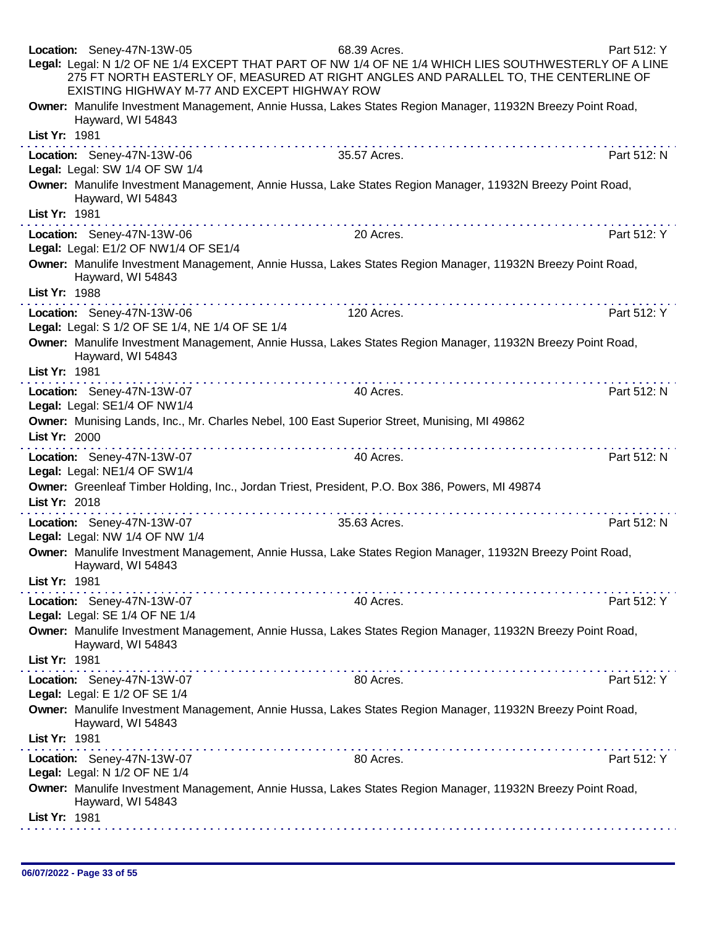| Location: Seney-47N-13W-05<br>Part 512: Y<br>68.39 Acres.<br>Legal: Legal: N 1/2 OF NE 1/4 EXCEPT THAT PART OF NW 1/4 OF NE 1/4 WHICH LIES SOUTHWESTERLY OF A LINE<br>275 FT NORTH EASTERLY OF, MEASURED AT RIGHT ANGLES AND PARALLEL TO, THE CENTERLINE OF<br>EXISTING HIGHWAY M-77 AND EXCEPT HIGHWAY ROW                                                                                                                                                                                                         |  |
|---------------------------------------------------------------------------------------------------------------------------------------------------------------------------------------------------------------------------------------------------------------------------------------------------------------------------------------------------------------------------------------------------------------------------------------------------------------------------------------------------------------------|--|
| Owner: Manulife Investment Management, Annie Hussa, Lakes States Region Manager, 11932N Breezy Point Road,<br>Hayward, WI 54843<br>List Yr: 1981                                                                                                                                                                                                                                                                                                                                                                    |  |
|                                                                                                                                                                                                                                                                                                                                                                                                                                                                                                                     |  |
| Location: Seney-47N-13W-06<br>35.57 Acres.<br>Part 512: N<br>Legal: Legal: SW 1/4 OF SW 1/4                                                                                                                                                                                                                                                                                                                                                                                                                         |  |
| Owner: Manulife Investment Management, Annie Hussa, Lake States Region Manager, 11932N Breezy Point Road,<br>Hayward, WI 54843                                                                                                                                                                                                                                                                                                                                                                                      |  |
| List Yr: 1981                                                                                                                                                                                                                                                                                                                                                                                                                                                                                                       |  |
| Location: Seney-47N-13W-06<br>Part 512: Y<br>20 Acres.                                                                                                                                                                                                                                                                                                                                                                                                                                                              |  |
| Legal: Legal: E1/2 OF NW1/4 OF SE1/4                                                                                                                                                                                                                                                                                                                                                                                                                                                                                |  |
| Owner: Manulife Investment Management, Annie Hussa, Lakes States Region Manager, 11932N Breezy Point Road,<br>Hayward, WI 54843<br>List Yr: 1988                                                                                                                                                                                                                                                                                                                                                                    |  |
|                                                                                                                                                                                                                                                                                                                                                                                                                                                                                                                     |  |
| Part 512: Y<br>Location: Seney-47N-13W-06<br>120 Acres.<br>Legal: Legal: S 1/2 OF SE 1/4, NE 1/4 OF SE 1/4                                                                                                                                                                                                                                                                                                                                                                                                          |  |
| Owner: Manulife Investment Management, Annie Hussa, Lakes States Region Manager, 11932N Breezy Point Road,<br>Hayward, WI 54843                                                                                                                                                                                                                                                                                                                                                                                     |  |
| List Yr: 1981                                                                                                                                                                                                                                                                                                                                                                                                                                                                                                       |  |
| 40 Acres.<br>Part 512: N<br>Location: Seney-47N-13W-07<br>Legal: Legal: SE1/4 OF NW1/4                                                                                                                                                                                                                                                                                                                                                                                                                              |  |
| Owner: Munising Lands, Inc., Mr. Charles Nebel, 100 East Superior Street, Munising, MI 49862                                                                                                                                                                                                                                                                                                                                                                                                                        |  |
| List Yr: 2000                                                                                                                                                                                                                                                                                                                                                                                                                                                                                                       |  |
| Part 512: N<br>Location: Seney-47N-13W-07<br>40 Acres.<br>Legal: Legal: NE1/4 OF SW1/4                                                                                                                                                                                                                                                                                                                                                                                                                              |  |
| Owner: Greenleaf Timber Holding, Inc., Jordan Triest, President, P.O. Box 386, Powers, MI 49874<br>List Yr: 2018                                                                                                                                                                                                                                                                                                                                                                                                    |  |
| .<br>Location: Seney-47N-13W-07<br>35.63 Acres.<br>Part 512: N                                                                                                                                                                                                                                                                                                                                                                                                                                                      |  |
| Legal: Legal: NW 1/4 OF NW 1/4                                                                                                                                                                                                                                                                                                                                                                                                                                                                                      |  |
| Owner: Manulife Investment Management, Annie Hussa, Lake States Region Manager, 11932N Breezy Point Road,<br>Hayward, WI 54843                                                                                                                                                                                                                                                                                                                                                                                      |  |
| List Yr: 1981<br>in a change and a change of<br>.                                                                                                                                                                                                                                                                                                                                                                                                                                                                   |  |
| Location: Seney-47N-13W-07<br>Part 512: Y<br>40 Acres.<br>Legal: Legal: SE 1/4 OF NE 1/4                                                                                                                                                                                                                                                                                                                                                                                                                            |  |
| Owner: Manulife Investment Management, Annie Hussa, Lakes States Region Manager, 11932N Breezy Point Road,                                                                                                                                                                                                                                                                                                                                                                                                          |  |
| Hayward, WI 54843                                                                                                                                                                                                                                                                                                                                                                                                                                                                                                   |  |
| List Yr: 1981                                                                                                                                                                                                                                                                                                                                                                                                                                                                                                       |  |
| 80 Acres.<br>Part 512: Y<br>Location: Seney-47N-13W-07<br>Legal: Legal: E 1/2 OF SE 1/4                                                                                                                                                                                                                                                                                                                                                                                                                             |  |
| Owner: Manulife Investment Management, Annie Hussa, Lakes States Region Manager, 11932N Breezy Point Road,<br>Hayward, WI 54843                                                                                                                                                                                                                                                                                                                                                                                     |  |
|                                                                                                                                                                                                                                                                                                                                                                                                                                                                                                                     |  |
| List Yr: 1981                                                                                                                                                                                                                                                                                                                                                                                                                                                                                                       |  |
| $\mathcal{L}^{\mathcal{A}}(\mathcal{A}^{\mathcal{A}}(\mathcal{A}^{\mathcal{A}}(\mathcal{A}^{\mathcal{A}}(\mathcal{A}^{\mathcal{A}}(\mathcal{A}^{\mathcal{A}}(\mathcal{A}^{\mathcal{A}}(\mathcal{A}^{\mathcal{A}}(\mathcal{A}^{\mathcal{A}}(\mathcal{A}^{\mathcal{A}}(\mathcal{A}^{\mathcal{A}}(\mathcal{A}^{\mathcal{A}}(\mathcal{A}^{\mathcal{A}}(\mathcal{A}^{\mathcal{A}}(\mathcal{A}^{\mathcal{A}}(\mathcal{A}^{\mathcal{A}}(\mathcal{A}^{\mathcal{A$<br>Part 512: Y<br>80 Acres.<br>Location: Seney-47N-13W-07 |  |
| Legal: Legal: N 1/2 OF NE 1/4                                                                                                                                                                                                                                                                                                                                                                                                                                                                                       |  |
| Owner: Manulife Investment Management, Annie Hussa, Lakes States Region Manager, 11932N Breezy Point Road,<br>Hayward, WI 54843                                                                                                                                                                                                                                                                                                                                                                                     |  |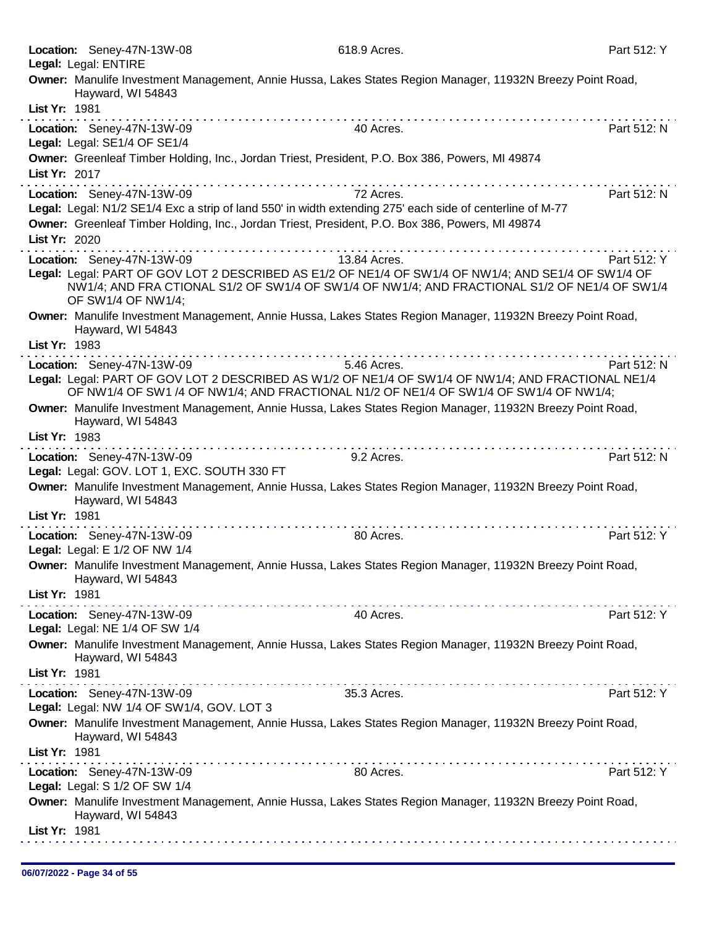|               | Location: Seney-47N-13W-08<br>Legal: Legal: ENTIRE                                              | 618.9 Acres.                                                                                                                                                                                         | Part 512: Y |
|---------------|-------------------------------------------------------------------------------------------------|------------------------------------------------------------------------------------------------------------------------------------------------------------------------------------------------------|-------------|
|               | Hayward, WI 54843                                                                               | Owner: Manulife Investment Management, Annie Hussa, Lakes States Region Manager, 11932N Breezy Point Road,                                                                                           |             |
| List Yr: 1981 |                                                                                                 |                                                                                                                                                                                                      |             |
|               | Location: Seney-47N-13W-09<br>Legal: Legal: SE1/4 OF SE1/4                                      | 40 Acres.                                                                                                                                                                                            | Part 512: N |
|               | Owner: Greenleaf Timber Holding, Inc., Jordan Triest, President, P.O. Box 386, Powers, MI 49874 |                                                                                                                                                                                                      |             |
| List Yr: 2017 |                                                                                                 |                                                                                                                                                                                                      |             |
|               | Location: Seney-47N-13W-09                                                                      | 72 Acres.<br>Legal: Legal: N1/2 SE1/4 Exc a strip of land 550' in width extending 275' each side of centerline of M-77                                                                               | Part 512: N |
|               | Owner: Greenleaf Timber Holding, Inc., Jordan Triest, President, P.O. Box 386, Powers, MI 49874 |                                                                                                                                                                                                      |             |
| List Yr: 2020 |                                                                                                 |                                                                                                                                                                                                      |             |
|               | Location: Seney-47N-13W-09                                                                      | 13.84 Acres.                                                                                                                                                                                         | Part 512: Y |
|               | OF SW1/4 OF NW1/4;                                                                              | Legal: Legal: PART OF GOV LOT 2 DESCRIBED AS E1/2 OF NE1/4 OF SW1/4 OF NW1/4; AND SE1/4 OF SW1/4 OF<br>NW1/4; AND FRA CTIONAL S1/2 OF SW1/4 OF SW1/4 OF NW1/4; AND FRACTIONAL S1/2 OF NE1/4 OF SW1/4 |             |
| List Yr: 1983 | Hayward, WI 54843                                                                               | Owner: Manulife Investment Management, Annie Hussa, Lakes States Region Manager, 11932N Breezy Point Road,                                                                                           |             |
|               | Location: Seney-47N-13W-09                                                                      | 5.46 Acres.                                                                                                                                                                                          | Part 512: N |
|               |                                                                                                 | Legal: Legal: PART OF GOV LOT 2 DESCRIBED AS W1/2 OF NE1/4 OF SW1/4 OF NW1/4; AND FRACTIONAL NE1/4<br>OF NW1/4 OF SW1 /4 OF NW1/4; AND FRACTIONAL N1/2 OF NE1/4 OF SW1/4 OF SW1/4 OF NW1/4;          |             |
|               | Hayward, WI 54843                                                                               | Owner: Manulife Investment Management, Annie Hussa, Lakes States Region Manager, 11932N Breezy Point Road,                                                                                           |             |
| List Yr: 1983 |                                                                                                 |                                                                                                                                                                                                      |             |
|               | Location: Seney-47N-13W-09<br>Legal: Legal: GOV. LOT 1, EXC. SOUTH 330 FT                       | 9.2 Acres.                                                                                                                                                                                           | Part 512: N |
|               | Hayward, WI 54843                                                                               | Owner: Manulife Investment Management, Annie Hussa, Lakes States Region Manager, 11932N Breezy Point Road,                                                                                           |             |
| List Yr: 1981 |                                                                                                 |                                                                                                                                                                                                      |             |
|               | Location: Seney-47N-13W-09<br>Legal: Legal: E 1/2 OF NW 1/4                                     | 80 Acres.                                                                                                                                                                                            | Part 512: Y |
|               | Hayward, WI 54843                                                                               | Owner: Manulife Investment Management, Annie Hussa, Lakes States Region Manager, 11932N Breezy Point Road,                                                                                           |             |
| List Yr: 1981 |                                                                                                 |                                                                                                                                                                                                      |             |
|               | Location: Seney-47N-13W-09<br>Legal: Legal: NE 1/4 OF SW 1/4                                    | 40 Acres.                                                                                                                                                                                            | Part 512: Y |
|               | Hayward, WI 54843                                                                               | Owner: Manulife Investment Management, Annie Hussa, Lakes States Region Manager, 11932N Breezy Point Road,                                                                                           |             |
| List Yr: 1981 |                                                                                                 |                                                                                                                                                                                                      |             |
|               | Location: Seney-47N-13W-09<br>Legal: Legal: NW 1/4 OF SW1/4, GOV. LOT 3                         | 35.3 Acres.                                                                                                                                                                                          | Part 512: Y |
| List Yr: 1981 | Hayward, WI 54843                                                                               | Owner: Manulife Investment Management, Annie Hussa, Lakes States Region Manager, 11932N Breezy Point Road,                                                                                           |             |
|               | Location: Seney-47N-13W-09                                                                      | 80 Acres.                                                                                                                                                                                            | Part 512: Y |
|               | Legal: Legal: S 1/2 OF SW 1/4                                                                   |                                                                                                                                                                                                      |             |
|               | Hayward, WI 54843                                                                               | Owner: Manulife Investment Management, Annie Hussa, Lakes States Region Manager, 11932N Breezy Point Road,                                                                                           |             |
| List Yr: 1981 |                                                                                                 |                                                                                                                                                                                                      |             |
|               |                                                                                                 |                                                                                                                                                                                                      |             |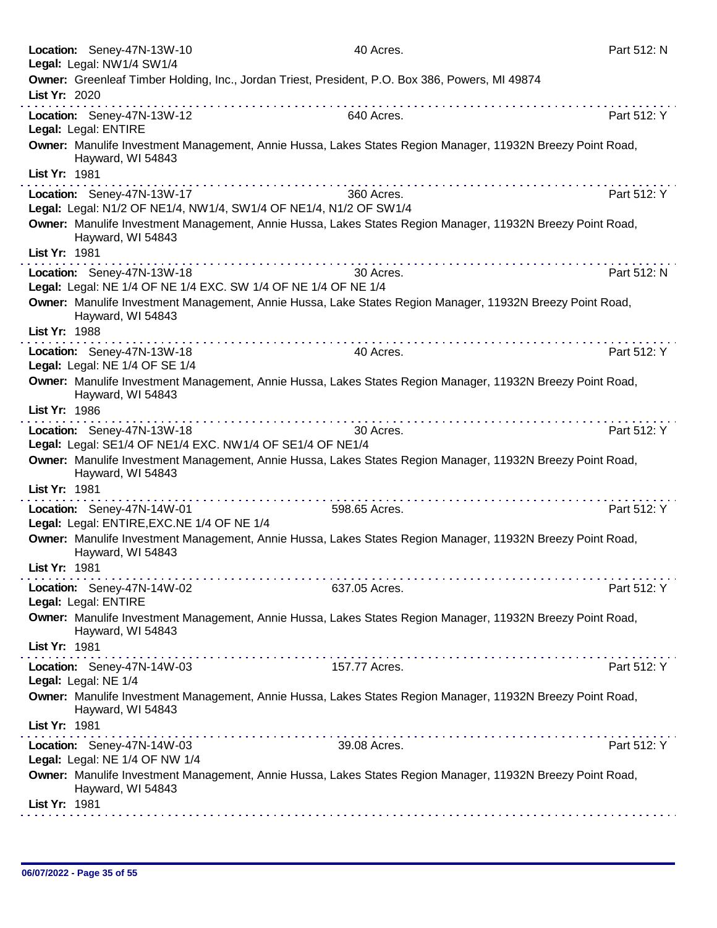| Location: Seney-47N-13W-10<br>40 Acres.<br>Legal: Legal: NW1/4 SW1/4                                                                                                                                                                                                                                                                                                                                                                                                                                    | Part 512: N |
|---------------------------------------------------------------------------------------------------------------------------------------------------------------------------------------------------------------------------------------------------------------------------------------------------------------------------------------------------------------------------------------------------------------------------------------------------------------------------------------------------------|-------------|
| Owner: Greenleaf Timber Holding, Inc., Jordan Triest, President, P.O. Box 386, Powers, MI 49874                                                                                                                                                                                                                                                                                                                                                                                                         |             |
| List Yr: 2020                                                                                                                                                                                                                                                                                                                                                                                                                                                                                           |             |
| Location: Seney-47N-13W-12<br>640 Acres.<br>Legal: Legal: ENTIRE                                                                                                                                                                                                                                                                                                                                                                                                                                        | Part 512: Y |
| Owner: Manulife Investment Management, Annie Hussa, Lakes States Region Manager, 11932N Breezy Point Road,<br>Hayward, WI 54843                                                                                                                                                                                                                                                                                                                                                                         |             |
| List Yr: 1981                                                                                                                                                                                                                                                                                                                                                                                                                                                                                           |             |
| Location: Seney-47N-13W-17<br>360 Acres.<br>Legal: Legal: N1/2 OF NE1/4, NW1/4, SW1/4 OF NE1/4, N1/2 OF SW1/4                                                                                                                                                                                                                                                                                                                                                                                           | Part 512: Y |
| Owner: Manulife Investment Management, Annie Hussa, Lakes States Region Manager, 11932N Breezy Point Road,<br>Hayward, WI 54843                                                                                                                                                                                                                                                                                                                                                                         |             |
| List Yr: 1981                                                                                                                                                                                                                                                                                                                                                                                                                                                                                           |             |
| 30 Acres.<br>Location: Seney-47N-13W-18<br>Legal: Legal: NE 1/4 OF NE 1/4 EXC. SW 1/4 OF NE 1/4 OF NE 1/4                                                                                                                                                                                                                                                                                                                                                                                               | Part 512: N |
| Owner: Manulife Investment Management, Annie Hussa, Lake States Region Manager, 11932N Breezy Point Road,<br>Hayward, WI 54843                                                                                                                                                                                                                                                                                                                                                                          |             |
| List Yr: 1988                                                                                                                                                                                                                                                                                                                                                                                                                                                                                           |             |
| 40 Acres.<br>Location: Seney-47N-13W-18<br>Legal: Legal: NE 1/4 OF SE 1/4                                                                                                                                                                                                                                                                                                                                                                                                                               | Part 512: Y |
| Owner: Manulife Investment Management, Annie Hussa, Lakes States Region Manager, 11932N Breezy Point Road,<br>Hayward, WI 54843                                                                                                                                                                                                                                                                                                                                                                         |             |
| List Yr: 1986                                                                                                                                                                                                                                                                                                                                                                                                                                                                                           |             |
| $\mathcal{L}^{\mathcal{A}}(\mathcal{A},\mathcal{A},\mathcal{A},\mathcal{A},\mathcal{A},\mathcal{A},\mathcal{A},\mathcal{A},\mathcal{A},\mathcal{A},\mathcal{A},\mathcal{A},\mathcal{A},\mathcal{A},\mathcal{A},\mathcal{A},\mathcal{A},\mathcal{A},\mathcal{A},\mathcal{A},\mathcal{A},\mathcal{A},\mathcal{A},\mathcal{A},\mathcal{A},\mathcal{A},\mathcal{A},\mathcal{A},\mathcal{A},\mathcal{A},\mathcal{A},\mathcal{A},\mathcal{A},\mathcal{A},\mathcal$<br>Location: Seney-47N-13W-18<br>30 Acres. | Part 512: Y |
| Legal: Legal: SE1/4 OF NE1/4 EXC. NW1/4 OF SE1/4 OF NE1/4                                                                                                                                                                                                                                                                                                                                                                                                                                               |             |
| Owner: Manulife Investment Management, Annie Hussa, Lakes States Region Manager, 11932N Breezy Point Road,<br>Hayward, WI 54843                                                                                                                                                                                                                                                                                                                                                                         |             |
| List Yr: 1981                                                                                                                                                                                                                                                                                                                                                                                                                                                                                           |             |
| Location: Seney-47N-14W-01<br>598.65 Acres.<br>Legal: Legal: ENTIRE, EXC. NE 1/4 OF NE 1/4                                                                                                                                                                                                                                                                                                                                                                                                              | Part 512: Y |
| Owner: Manulife Investment Management, Annie Hussa, Lakes States Region Manager, 11932N Breezy Point Road,<br>Hayward, WI 54843                                                                                                                                                                                                                                                                                                                                                                         |             |
| List Yr: 1981                                                                                                                                                                                                                                                                                                                                                                                                                                                                                           |             |
| Location: Seney-47N-14W-02<br>637.05 Acres.<br>Legal: Legal: ENTIRE                                                                                                                                                                                                                                                                                                                                                                                                                                     | Part 512: Y |
| Owner: Manulife Investment Management, Annie Hussa, Lakes States Region Manager, 11932N Breezy Point Road,<br>Hayward, WI 54843                                                                                                                                                                                                                                                                                                                                                                         |             |
| List Yr: 1981                                                                                                                                                                                                                                                                                                                                                                                                                                                                                           |             |
| 157.77 Acres.<br>Location: Seney-47N-14W-03<br>Legal: Legal: NE 1/4                                                                                                                                                                                                                                                                                                                                                                                                                                     | Part 512: Y |
| Owner: Manulife Investment Management, Annie Hussa, Lakes States Region Manager, 11932N Breezy Point Road,<br>Hayward, WI 54843                                                                                                                                                                                                                                                                                                                                                                         |             |
| List Yr: 1981<br>$\mathcal{L}^{\mathcal{A}}(\mathcal{A},\mathcal{A},\mathcal{A},\mathcal{A},\mathcal{A},\mathcal{A},\mathcal{A},\mathcal{A},\mathcal{A},\mathcal{A},\mathcal{A},\mathcal{A},\mathcal{A},\mathcal{A},\mathcal{A},\mathcal{A},\mathcal{A},\mathcal{A},\mathcal{A},\mathcal{A},\mathcal{A},\mathcal{A},\mathcal{A},\mathcal{A},\mathcal{A},\mathcal{A},\mathcal{A},\mathcal{A},\mathcal{A},\mathcal{A},\mathcal{A},\mathcal{A},\mathcal{A},\mathcal{A},\mathcal$                           |             |
| 39.08 Acres.<br>Location: Seney-47N-14W-03<br>Legal: Legal: NE 1/4 OF NW 1/4                                                                                                                                                                                                                                                                                                                                                                                                                            | Part 512: Y |
| Owner: Manulife Investment Management, Annie Hussa, Lakes States Region Manager, 11932N Breezy Point Road,<br>Hayward, WI 54843                                                                                                                                                                                                                                                                                                                                                                         |             |
| List Yr: 1981                                                                                                                                                                                                                                                                                                                                                                                                                                                                                           |             |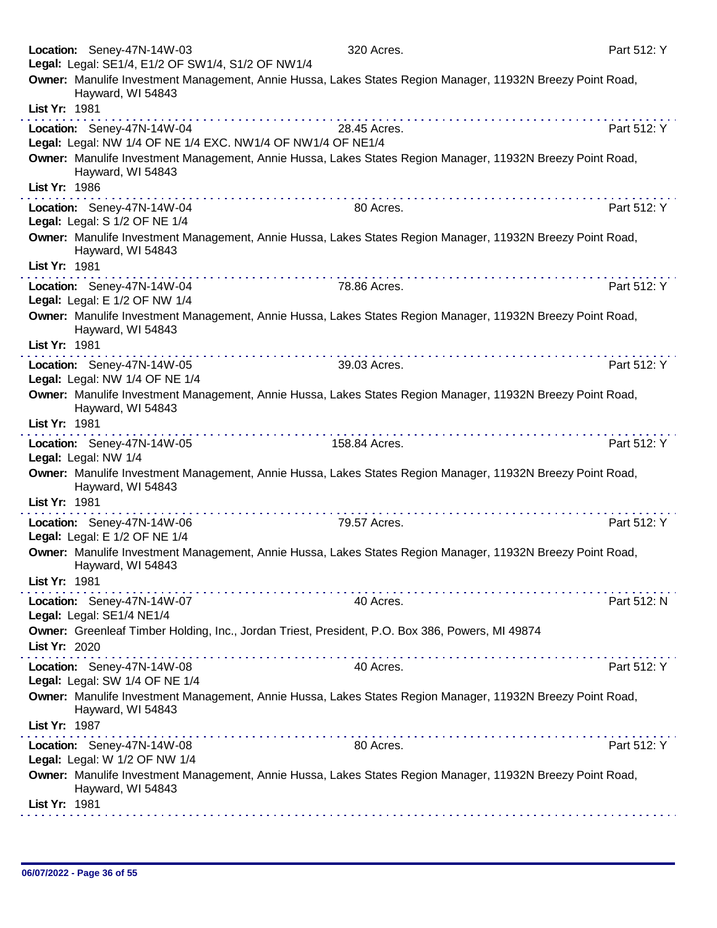|                      | Location: Seney-47N-14W-03<br>Legal: Legal: SE1/4, E1/2 OF SW1/4, S1/2 OF NW1/4           | 320 Acres.                                                                                                 | Part 512: Y |
|----------------------|-------------------------------------------------------------------------------------------|------------------------------------------------------------------------------------------------------------|-------------|
|                      | Hayward, WI 54843                                                                         | Owner: Manulife Investment Management, Annie Hussa, Lakes States Region Manager, 11932N Breezy Point Road, |             |
| List Yr: 1981        |                                                                                           |                                                                                                            |             |
|                      | Location: Seney-47N-14W-04<br>Legal: Legal: NW 1/4 OF NE 1/4 EXC. NW1/4 OF NW1/4 OF NE1/4 | 28.45 Acres.                                                                                               | Part 512: Y |
|                      | Hayward, WI 54843                                                                         | Owner: Manulife Investment Management, Annie Hussa, Lakes States Region Manager, 11932N Breezy Point Road, |             |
| List Yr: 1986        |                                                                                           |                                                                                                            |             |
|                      | Location: Seney-47N-14W-04<br>Legal: Legal: S 1/2 OF NE 1/4                               | 80 Acres.                                                                                                  | Part 512: Y |
|                      | Hayward, WI 54843                                                                         | Owner: Manulife Investment Management, Annie Hussa, Lakes States Region Manager, 11932N Breezy Point Road, |             |
| List Yr: 1981        |                                                                                           |                                                                                                            |             |
|                      | Location: Seney-47N-14W-04<br>Legal: Legal: E 1/2 OF NW 1/4                               | 78.86 Acres.                                                                                               | Part 512: Y |
|                      | Hayward, WI 54843                                                                         | Owner: Manulife Investment Management, Annie Hussa, Lakes States Region Manager, 11932N Breezy Point Road, |             |
| List Yr: 1981        |                                                                                           |                                                                                                            |             |
|                      | Location: Seney-47N-14W-05<br>Legal: Legal: NW 1/4 OF NE 1/4                              | 39.03 Acres.                                                                                               | Part 512: Y |
|                      | Hayward, WI 54843                                                                         | Owner: Manulife Investment Management, Annie Hussa, Lakes States Region Manager, 11932N Breezy Point Road, |             |
| List Yr: 1981        |                                                                                           |                                                                                                            |             |
| Legal: Legal: NW 1/4 | Location: Seney-47N-14W-05                                                                | 158.84 Acres.                                                                                              | Part 512: Y |
|                      | Hayward, WI 54843                                                                         | Owner: Manulife Investment Management, Annie Hussa, Lakes States Region Manager, 11932N Breezy Point Road, |             |
| List Yr: 1981        |                                                                                           |                                                                                                            |             |
|                      | Location: Seney-47N-14W-06<br>Legal: Legal: E 1/2 OF NE 1/4                               | 79.57 Acres.                                                                                               | Part 512: Y |
|                      | Hayward, WI 54843                                                                         | Owner: Manulife Investment Management, Annie Hussa, Lakes States Region Manager, 11932N Breezy Point Road, |             |
| List Yr: 1981        |                                                                                           |                                                                                                            |             |
|                      | Location: Seney-47N-14W-07<br>Legal: Legal: SE1/4 NE1/4                                   | 40 Acres.                                                                                                  | Part 512: N |
|                      |                                                                                           | Owner: Greenleaf Timber Holding, Inc., Jordan Triest, President, P.O. Box 386, Powers, MI 49874            |             |
| List Yr: 2020        |                                                                                           |                                                                                                            |             |
|                      | Location: Seney-47N-14W-08<br>Legal: Legal: SW 1/4 OF NE 1/4                              | 40 Acres.                                                                                                  | Part 512: Y |
| List Yr: 1987        | Hayward, WI 54843                                                                         | Owner: Manulife Investment Management, Annie Hussa, Lakes States Region Manager, 11932N Breezy Point Road, |             |
|                      | Location: Seney-47N-14W-08<br>Legal: Legal: W 1/2 OF NW 1/4                               | 80 Acres.                                                                                                  | Part 512: Y |
|                      | Hayward, WI 54843                                                                         | Owner: Manulife Investment Management, Annie Hussa, Lakes States Region Manager, 11932N Breezy Point Road, |             |
| List Yr: 1981        |                                                                                           |                                                                                                            |             |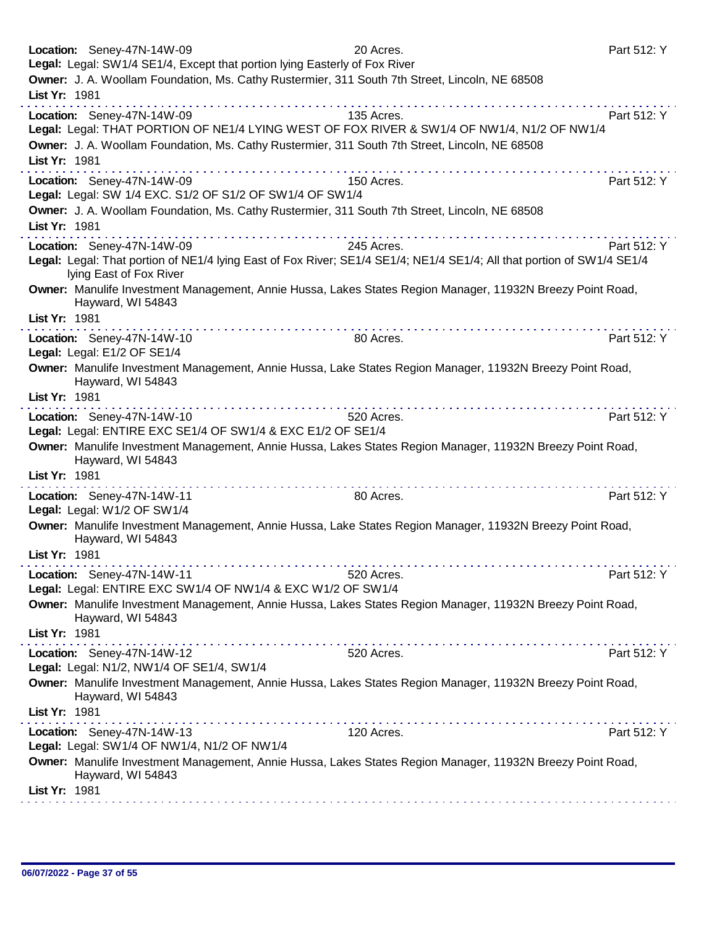| Location: Seney-47N-14W-09                                                                                                                                                                                                    | 20 Acres.                                                     | Part 512: Y |
|-------------------------------------------------------------------------------------------------------------------------------------------------------------------------------------------------------------------------------|---------------------------------------------------------------|-------------|
| Legal: Legal: SW1/4 SE1/4, Except that portion lying Easterly of Fox River<br>Owner: J. A. Woollam Foundation, Ms. Cathy Rustermier, 311 South 7th Street, Lincoln, NE 68508                                                  |                                                               |             |
| List Yr: 1981                                                                                                                                                                                                                 |                                                               |             |
| Location: Seney-47N-14W-09                                                                                                                                                                                                    | 135 Acres.                                                    | Part 512: Y |
| Legal: Legal: THAT PORTION OF NE1/4 LYING WEST OF FOX RIVER & SW1/4 OF NW1/4, N1/2 OF NW1/4                                                                                                                                   |                                                               |             |
| Owner: J. A. Woollam Foundation, Ms. Cathy Rustermier, 311 South 7th Street, Lincoln, NE 68508                                                                                                                                |                                                               |             |
| List Yr: 1981                                                                                                                                                                                                                 |                                                               |             |
|                                                                                                                                                                                                                               |                                                               |             |
| Location: Seney-47N-14W-09<br>Legal: Legal: SW 1/4 EXC. S1/2 OF S1/2 OF SW1/4 OF SW1/4                                                                                                                                        | 150 Acres.                                                    | Part 512: Y |
| Owner: J. A. Woollam Foundation, Ms. Cathy Rustermier, 311 South 7th Street, Lincoln, NE 68508                                                                                                                                |                                                               |             |
| List Yr: 1981                                                                                                                                                                                                                 |                                                               |             |
| Location: Seney-47N-14W-09                                                                                                                                                                                                    | 245 Acres.                                                    | Part 512: Y |
| Legal: Legal: That portion of NE1/4 lying East of Fox River; SE1/4 SE1/4; NE1/4 SE1/4; All that portion of SW1/4 SE1/4<br>lying East of Fox River                                                                             |                                                               |             |
| Owner: Manulife Investment Management, Annie Hussa, Lakes States Region Manager, 11932N Breezy Point Road,                                                                                                                    |                                                               |             |
| Hayward, WI 54843                                                                                                                                                                                                             |                                                               |             |
| List Yr: 1981                                                                                                                                                                                                                 |                                                               |             |
| Location: Seney-47N-14W-10                                                                                                                                                                                                    | 80 Acres.                                                     | Part 512: Y |
| Legal: Legal: E1/2 OF SE1/4                                                                                                                                                                                                   |                                                               |             |
| Owner: Manulife Investment Management, Annie Hussa, Lake States Region Manager, 11932N Breezy Point Road,                                                                                                                     |                                                               |             |
| Hayward, WI 54843<br>List Yr: 1981                                                                                                                                                                                            |                                                               |             |
| a construction of the construction of the construction of the construction of the construction of the construction of the construction of the construction of the construction of the construction of the construction of the | where the second contract of the second contract of the       |             |
| Location: Seney-47N-14W-10                                                                                                                                                                                                    | 520 Acres.                                                    | Part 512: Y |
| Legal: Legal: ENTIRE EXC SE1/4 OF SW1/4 & EXC E1/2 OF SE1/4                                                                                                                                                                   |                                                               |             |
| Owner: Manulife Investment Management, Annie Hussa, Lakes States Region Manager, 11932N Breezy Point Road,<br>Hayward, WI 54843                                                                                               |                                                               |             |
| List Yr: 1981                                                                                                                                                                                                                 |                                                               |             |
|                                                                                                                                                                                                                               |                                                               |             |
| Location: Seney-47N-14W-11<br>Legal: Legal: W1/2 OF SW1/4                                                                                                                                                                     | 80 Acres.                                                     | Part 512: Y |
| Owner: Manulife Investment Management, Annie Hussa, Lake States Region Manager, 11932N Breezy Point Road,                                                                                                                     |                                                               |             |
| Hayward, WI 54843                                                                                                                                                                                                             |                                                               |             |
| List Yr: 1981                                                                                                                                                                                                                 |                                                               |             |
| Location: Seney-47N-14W-11                                                                                                                                                                                                    | 520 Acres.                                                    | Part 512: Y |
| Legal: Legal: ENTIRE EXC SW1/4 OF NW1/4 & EXC W1/2 OF SW1/4                                                                                                                                                                   |                                                               |             |
| Owner: Manulife Investment Management, Annie Hussa, Lakes States Region Manager, 11932N Breezy Point Road,                                                                                                                    |                                                               |             |
| Hayward, WI 54843                                                                                                                                                                                                             |                                                               |             |
| List Yr: 1981                                                                                                                                                                                                                 |                                                               |             |
| Location: Seney-47N-14W-12                                                                                                                                                                                                    | 520 Acres.                                                    | Part 512: Y |
| Legal: Legal: N1/2, NW1/4 OF SE1/4, SW1/4                                                                                                                                                                                     |                                                               |             |
| Owner: Manulife Investment Management, Annie Hussa, Lakes States Region Manager, 11932N Breezy Point Road,<br>Hayward, WI 54843                                                                                               |                                                               |             |
| List Yr: 1981                                                                                                                                                                                                                 |                                                               |             |
| Location: Seney-47N-14W-13                                                                                                                                                                                                    | where the company of the company of the company<br>120 Acres. | Part 512: Y |
| Legal: Legal: SW1/4 OF NW1/4, N1/2 OF NW1/4                                                                                                                                                                                   |                                                               |             |
| Owner: Manulife Investment Management, Annie Hussa, Lakes States Region Manager, 11932N Breezy Point Road,                                                                                                                    |                                                               |             |
| Hayward, WI 54843                                                                                                                                                                                                             |                                                               |             |
| List Yr: 1981                                                                                                                                                                                                                 |                                                               |             |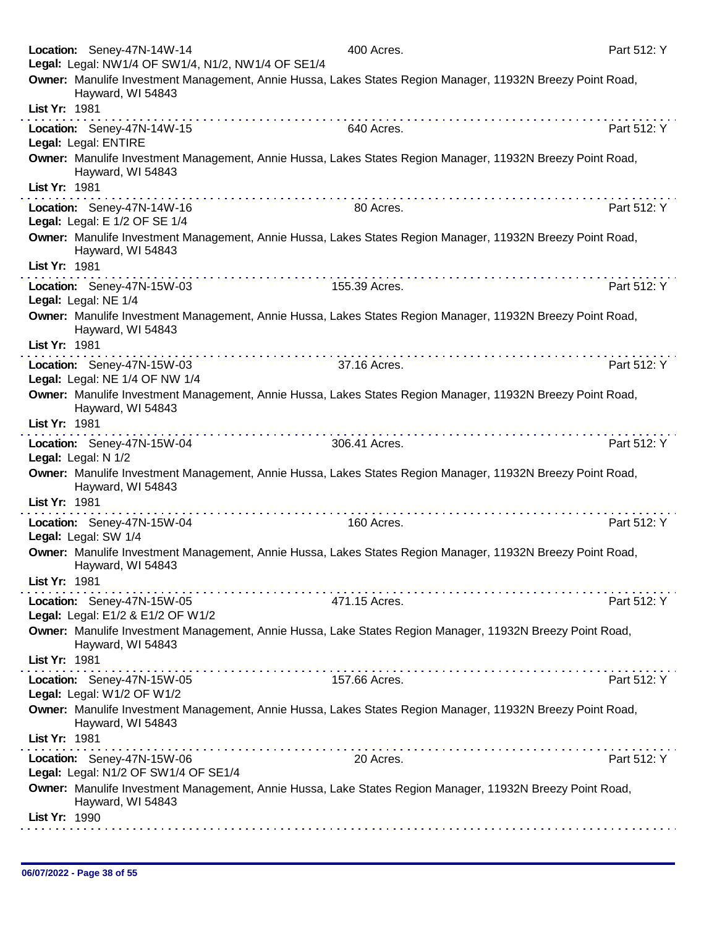|                     | Location: Seney-47N-14W-14<br>Legal: Legal: NW1/4 OF SW1/4, N1/2, NW1/4 OF SE1/4 | 400 Acres.                                                                                                                                                                                                                                                                                   | Part 512: Y |
|---------------------|----------------------------------------------------------------------------------|----------------------------------------------------------------------------------------------------------------------------------------------------------------------------------------------------------------------------------------------------------------------------------------------|-------------|
|                     | Hayward, WI 54843                                                                | Owner: Manulife Investment Management, Annie Hussa, Lakes States Region Manager, 11932N Breezy Point Road,                                                                                                                                                                                   |             |
| List Yr: 1981       |                                                                                  |                                                                                                                                                                                                                                                                                              |             |
|                     | Location: Seney-47N-14W-15<br>Legal: Legal: ENTIRE                               | 640 Acres.                                                                                                                                                                                                                                                                                   | Part 512: Y |
|                     | Hayward, WI 54843                                                                | Owner: Manulife Investment Management, Annie Hussa, Lakes States Region Manager, 11932N Breezy Point Road,                                                                                                                                                                                   |             |
| List Yr: 1981       |                                                                                  | a construction of the construction of the construction of the construction of the construction of the construction of the construction of the construction of the construction of the construction of the construction of the<br>a construir a construir a construir a construir a construir |             |
|                     | Location: Seney-47N-14W-16<br>Legal: Legal: E 1/2 OF SE 1/4                      | 80 Acres.                                                                                                                                                                                                                                                                                    | Part 512: Y |
|                     | Hayward, WI 54843                                                                | Owner: Manulife Investment Management, Annie Hussa, Lakes States Region Manager, 11932N Breezy Point Road,                                                                                                                                                                                   |             |
| List Yr: 1981       |                                                                                  |                                                                                                                                                                                                                                                                                              |             |
|                     | Location: Seney-47N-15W-03<br>Legal: Legal: NE 1/4                               | 155.39 Acres.                                                                                                                                                                                                                                                                                | Part 512: Y |
|                     | Hayward, WI 54843                                                                | Owner: Manulife Investment Management, Annie Hussa, Lakes States Region Manager, 11932N Breezy Point Road,                                                                                                                                                                                   |             |
| List Yr: 1981       |                                                                                  |                                                                                                                                                                                                                                                                                              |             |
|                     | Location: Seney-47N-15W-03                                                       | 37.16 Acres.                                                                                                                                                                                                                                                                                 | Part 512: Y |
|                     | Legal: Legal: NE 1/4 OF NW 1/4                                                   |                                                                                                                                                                                                                                                                                              |             |
|                     | Hayward, WI 54843                                                                | Owner: Manulife Investment Management, Annie Hussa, Lakes States Region Manager, 11932N Breezy Point Road,                                                                                                                                                                                   |             |
| List Yr: 1981       |                                                                                  |                                                                                                                                                                                                                                                                                              |             |
| Legal: Legal: N 1/2 | Location: Seney-47N-15W-04                                                       | 306.41 Acres.                                                                                                                                                                                                                                                                                | Part 512: Y |
|                     | Hayward, WI 54843                                                                | Owner: Manulife Investment Management, Annie Hussa, Lakes States Region Manager, 11932N Breezy Point Road,                                                                                                                                                                                   |             |
| List Yr: 1981       |                                                                                  |                                                                                                                                                                                                                                                                                              |             |
|                     | Location: Seney-47N-15W-04<br>Legal: Legal: SW 1/4                               | 160 Acres.                                                                                                                                                                                                                                                                                   | Part 512: Y |
|                     | Hayward, WI 54843                                                                | Owner: Manulife Investment Management, Annie Hussa, Lakes States Region Manager, 11932N Breezy Point Road,                                                                                                                                                                                   |             |
| List Yr: 1981       |                                                                                  |                                                                                                                                                                                                                                                                                              |             |
|                     | Location: Seney-47N-15W-05<br>Legal: Legal: E1/2 & E1/2 OF W1/2                  | 471.15 Acres.                                                                                                                                                                                                                                                                                | Part 512: Y |
|                     | Hayward, WI 54843                                                                | Owner: Manulife Investment Management, Annie Hussa, Lake States Region Manager, 11932N Breezy Point Road,                                                                                                                                                                                    |             |
| List Yr: 1981       |                                                                                  |                                                                                                                                                                                                                                                                                              |             |
|                     | Location: Seney-47N-15W-05<br>Legal: Legal: W1/2 OF W1/2                         | 157.66 Acres.                                                                                                                                                                                                                                                                                | Part 512: Y |
|                     | Hayward, WI 54843                                                                | Owner: Manulife Investment Management, Annie Hussa, Lakes States Region Manager, 11932N Breezy Point Road,                                                                                                                                                                                   |             |
| List Yr: 1981       |                                                                                  |                                                                                                                                                                                                                                                                                              |             |
|                     | Location: Seney-47N-15W-06<br>Legal: Legal: N1/2 OF SW1/4 OF SE1/4               | 20 Acres.                                                                                                                                                                                                                                                                                    | Part 512: Y |
|                     | Hayward, WI 54843                                                                | Owner: Manulife Investment Management, Annie Hussa, Lake States Region Manager, 11932N Breezy Point Road,                                                                                                                                                                                    |             |
| List Yr: 1990       |                                                                                  |                                                                                                                                                                                                                                                                                              |             |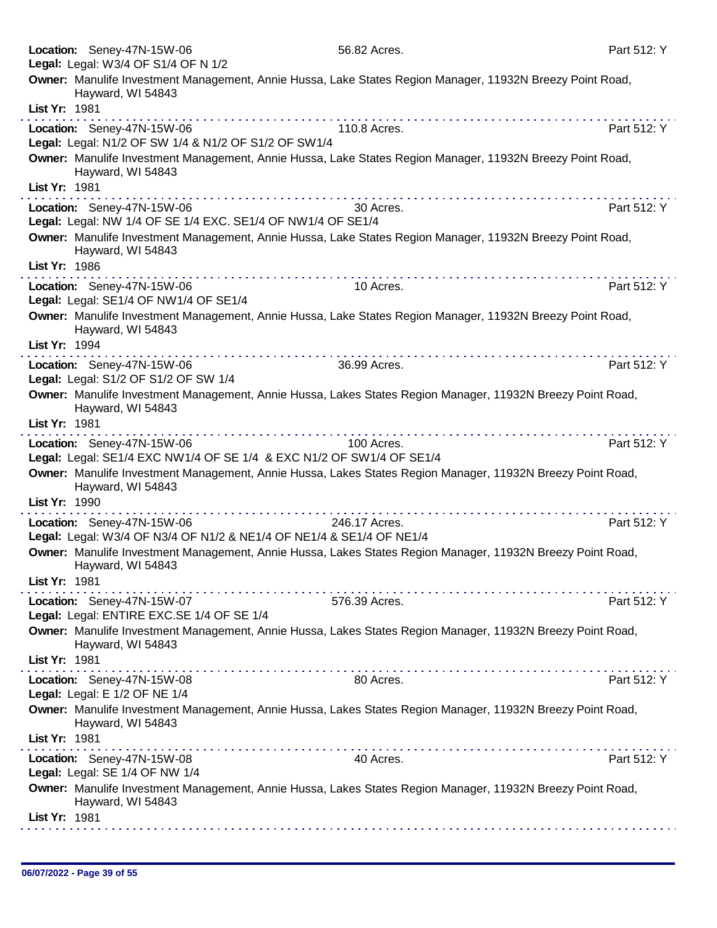| Location: Seney-47N-15W-06<br>Legal: Legal: W3/4 OF S1/4 OF N 1/2                                                                                                                                                                                                                                                                                                                                                                                                                 | 56.82 Acres.  | Part 512: Y |
|-----------------------------------------------------------------------------------------------------------------------------------------------------------------------------------------------------------------------------------------------------------------------------------------------------------------------------------------------------------------------------------------------------------------------------------------------------------------------------------|---------------|-------------|
| Owner: Manulife Investment Management, Annie Hussa, Lake States Region Manager, 11932N Breezy Point Road,<br>Hayward, WI 54843                                                                                                                                                                                                                                                                                                                                                    |               |             |
| List Yr: 1981                                                                                                                                                                                                                                                                                                                                                                                                                                                                     |               |             |
| Location: Seney-47N-15W-06<br>Legal: Legal: N1/2 OF SW 1/4 & N1/2 OF S1/2 OF SW1/4                                                                                                                                                                                                                                                                                                                                                                                                | 110.8 Acres.  | Part 512: Y |
| Owner: Manulife Investment Management, Annie Hussa, Lake States Region Manager, 11932N Breezy Point Road,<br>Hayward, WI 54843                                                                                                                                                                                                                                                                                                                                                    |               |             |
| List Yr: 1981                                                                                                                                                                                                                                                                                                                                                                                                                                                                     |               |             |
| Location: Seney-47N-15W-06<br>Legal: Legal: NW 1/4 OF SE 1/4 EXC. SE1/4 OF NW1/4 OF SE1/4                                                                                                                                                                                                                                                                                                                                                                                         | 30 Acres.     | Part 512: Y |
| Owner: Manulife Investment Management, Annie Hussa, Lake States Region Manager, 11932N Breezy Point Road,<br>Hayward, WI 54843                                                                                                                                                                                                                                                                                                                                                    |               |             |
| List Yr: 1986<br>$\label{eq:reduced} \begin{split} \mathbf{1}_{\mathbf{1}}\cdot\mathbf{1}_{\mathbf{2}}\cdot\mathbf{1}_{\mathbf{3}}\cdot\mathbf{1}_{\mathbf{3}}\cdot\mathbf{1}_{\mathbf{4}}\cdot\mathbf{1}_{\mathbf{4}}\cdot\mathbf{1}_{\mathbf{5}}\cdot\mathbf{1}_{\mathbf{5}}\cdot\mathbf{1}_{\mathbf{4}}\cdot\mathbf{1}_{\mathbf{5}}\cdot\mathbf{1}_{\mathbf{6}}\cdot\mathbf{1}_{\mathbf{6}}\cdot\mathbf{1}_{\mathbf{7}}\cdot\mathbf{1}_{\mathbf{8}}\cdot\mathbf{1}_{\mathbf{9$ |               |             |
| Location: Seney-47N-15W-06<br>Legal: Legal: SE1/4 OF NW1/4 OF SE1/4                                                                                                                                                                                                                                                                                                                                                                                                               | 10 Acres.     | Part 512: Y |
| Owner: Manulife Investment Management, Annie Hussa, Lake States Region Manager, 11932N Breezy Point Road,<br>Hayward, WI 54843<br>List Yr: 1994                                                                                                                                                                                                                                                                                                                                   |               |             |
| Location: Seney-47N-15W-06                                                                                                                                                                                                                                                                                                                                                                                                                                                        | 36.99 Acres.  | Part 512: Y |
| Legal: Legal: S1/2 OF S1/2 OF SW 1/4                                                                                                                                                                                                                                                                                                                                                                                                                                              |               |             |
| Owner: Manulife Investment Management, Annie Hussa, Lakes States Region Manager, 11932N Breezy Point Road,<br>Hayward, WI 54843<br>List Yr: 1981                                                                                                                                                                                                                                                                                                                                  |               |             |
|                                                                                                                                                                                                                                                                                                                                                                                                                                                                                   | .             |             |
| Location: Seney-47N-15W-06<br>Legal: Legal: SE1/4 EXC NW1/4 OF SE 1/4 & EXC N1/2 OF SW1/4 OF SE1/4                                                                                                                                                                                                                                                                                                                                                                                | 100 Acres.    | Part 512: Y |
| Owner: Manulife Investment Management, Annie Hussa, Lakes States Region Manager, 11932N Breezy Point Road,<br>Hayward, WI 54843                                                                                                                                                                                                                                                                                                                                                   |               |             |
| List Yr: 1990                                                                                                                                                                                                                                                                                                                                                                                                                                                                     |               |             |
| Location: Seney-47N-15W-06<br>Legal: Legal: W3/4 OF N3/4 OF N1/2 & NE1/4 OF NE1/4 & SE1/4 OF NE1/4                                                                                                                                                                                                                                                                                                                                                                                | 246.17 Acres. | Part 512: Y |
| Owner: Manulife Investment Management, Annie Hussa, Lakes States Region Manager, 11932N Breezy Point Road,<br>Hayward, WI 54843                                                                                                                                                                                                                                                                                                                                                   |               |             |
| List Yr: 1981                                                                                                                                                                                                                                                                                                                                                                                                                                                                     |               |             |
| Location: Seney-47N-15W-07<br>Legal: Legal: ENTIRE EXC.SE 1/4 OF SE 1/4                                                                                                                                                                                                                                                                                                                                                                                                           | 576.39 Acres. | Part 512: Y |
| Owner: Manulife Investment Management, Annie Hussa, Lakes States Region Manager, 11932N Breezy Point Road,<br>Hayward, WI 54843                                                                                                                                                                                                                                                                                                                                                   |               |             |
| List Yr: 1981                                                                                                                                                                                                                                                                                                                                                                                                                                                                     |               |             |
| Location: Seney-47N-15W-08<br>Legal: Legal: E 1/2 OF NE 1/4                                                                                                                                                                                                                                                                                                                                                                                                                       | 80 Acres.     | Part 512: Y |
| Owner: Manulife Investment Management, Annie Hussa, Lakes States Region Manager, 11932N Breezy Point Road,<br>Hayward, WI 54843                                                                                                                                                                                                                                                                                                                                                   |               |             |
| List Yr: 1981                                                                                                                                                                                                                                                                                                                                                                                                                                                                     |               |             |
| Location: Seney-47N-15W-08<br>Legal: Legal: SE 1/4 OF NW 1/4                                                                                                                                                                                                                                                                                                                                                                                                                      | 40 Acres.     | Part 512: Y |
| Owner: Manulife Investment Management, Annie Hussa, Lakes States Region Manager, 11932N Breezy Point Road,<br>Hayward, WI 54843                                                                                                                                                                                                                                                                                                                                                   |               |             |
| List Yr: 1981                                                                                                                                                                                                                                                                                                                                                                                                                                                                     |               |             |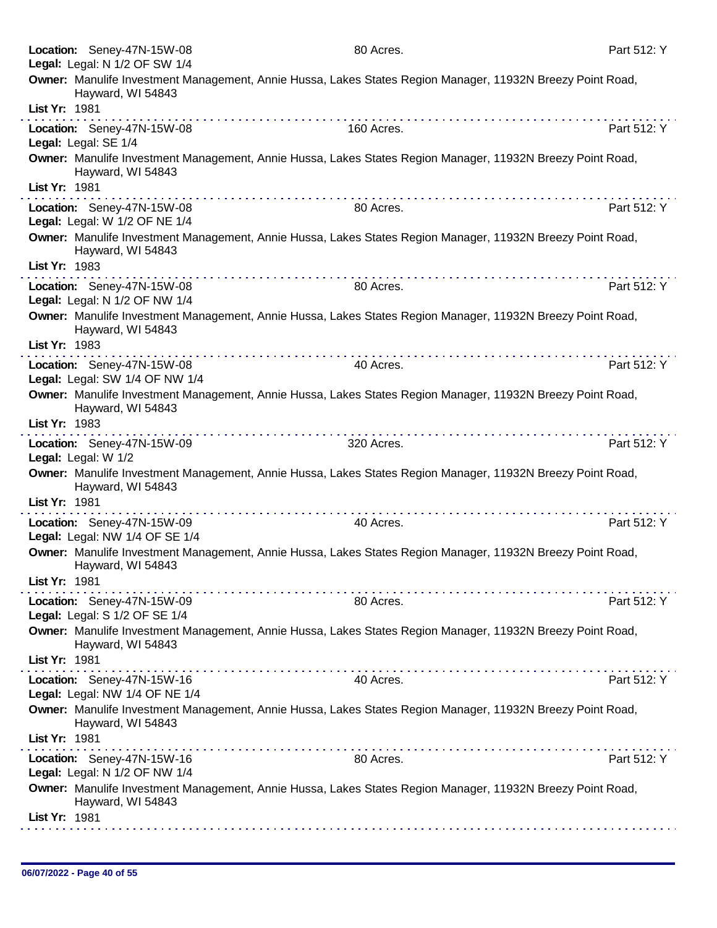|               | Location: Seney-47N-15W-08                                   | 80 Acres.                                                                                                  | Part 512: Y |
|---------------|--------------------------------------------------------------|------------------------------------------------------------------------------------------------------------|-------------|
|               | Legal: Legal: N 1/2 OF SW 1/4                                | Owner: Manulife Investment Management, Annie Hussa, Lakes States Region Manager, 11932N Breezy Point Road, |             |
|               | Hayward, WI 54843                                            |                                                                                                            |             |
| List Yr: 1981 |                                                              |                                                                                                            |             |
|               | Location: Seney-47N-15W-08                                   | 160 Acres.                                                                                                 | Part 512: Y |
|               | Legal: Legal: SE 1/4                                         |                                                                                                            |             |
|               | Hayward, WI 54843                                            | Owner: Manulife Investment Management, Annie Hussa, Lakes States Region Manager, 11932N Breezy Point Road, |             |
| List Yr: 1981 |                                                              |                                                                                                            |             |
|               | Location: Seney-47N-15W-08<br>Legal: Legal: W 1/2 OF NE 1/4  | 80 Acres.                                                                                                  | Part 512: Y |
|               | Hayward, WI 54843                                            | Owner: Manulife Investment Management, Annie Hussa, Lakes States Region Manager, 11932N Breezy Point Road, |             |
| List Yr: 1983 |                                                              |                                                                                                            |             |
|               | Location: Seney-47N-15W-08<br>Legal: Legal: N 1/2 OF NW 1/4  | 80 Acres.                                                                                                  | Part 512: Y |
|               | Hayward, WI 54843                                            | Owner: Manulife Investment Management, Annie Hussa, Lakes States Region Manager, 11932N Breezy Point Road, |             |
| List Yr: 1983 |                                                              |                                                                                                            |             |
|               | Location: Seney-47N-15W-08                                   | 40 Acres.                                                                                                  | Part 512: Y |
|               | Legal: Legal: SW 1/4 OF NW 1/4                               |                                                                                                            |             |
|               | Hayward, WI 54843                                            | Owner: Manulife Investment Management, Annie Hussa, Lakes States Region Manager, 11932N Breezy Point Road, |             |
| List Yr: 1983 |                                                              |                                                                                                            |             |
|               | Location: Seney-47N-15W-09<br>Legal: Legal: W 1/2            | 320 Acres.                                                                                                 | Part 512: Y |
|               | Hayward, WI 54843                                            | Owner: Manulife Investment Management, Annie Hussa, Lakes States Region Manager, 11932N Breezy Point Road, |             |
| List Yr: 1981 |                                                              |                                                                                                            |             |
|               | Location: Seney-47N-15W-09<br>Legal: Legal: NW 1/4 OF SE 1/4 | 40 Acres.                                                                                                  | Part 512: Y |
|               | Hayward, WI 54843                                            | Owner: Manulife Investment Management, Annie Hussa, Lakes States Region Manager, 11932N Breezy Point Road, |             |
| List Yr: 1981 |                                                              | .                                                                                                          |             |
|               | Location: Seney-47N-15W-09<br>Legal: Legal: S 1/2 OF SE 1/4  | 80 Acres.                                                                                                  | Part 512: Y |
|               | Hayward, WI 54843                                            | Owner: Manulife Investment Management, Annie Hussa, Lakes States Region Manager, 11932N Breezy Point Road, |             |
| List Yr: 1981 |                                                              |                                                                                                            |             |
|               | Location: Seney-47N-15W-16<br>Legal: Legal: NW 1/4 OF NE 1/4 | 40 Acres.                                                                                                  | Part 512: Y |
|               | Hayward, WI 54843                                            | Owner: Manulife Investment Management, Annie Hussa, Lakes States Region Manager, 11932N Breezy Point Road, |             |
| List Yr: 1981 |                                                              | .                                                                                                          |             |
|               | Location: Seney-47N-15W-16                                   | 80 Acres.                                                                                                  | Part 512: Y |
|               | Legal: Legal: N 1/2 OF NW 1/4                                |                                                                                                            |             |
|               | Hayward, WI 54843                                            | Owner: Manulife Investment Management, Annie Hussa, Lakes States Region Manager, 11932N Breezy Point Road, |             |
| List Yr: 1981 |                                                              |                                                                                                            |             |
|               |                                                              |                                                                                                            |             |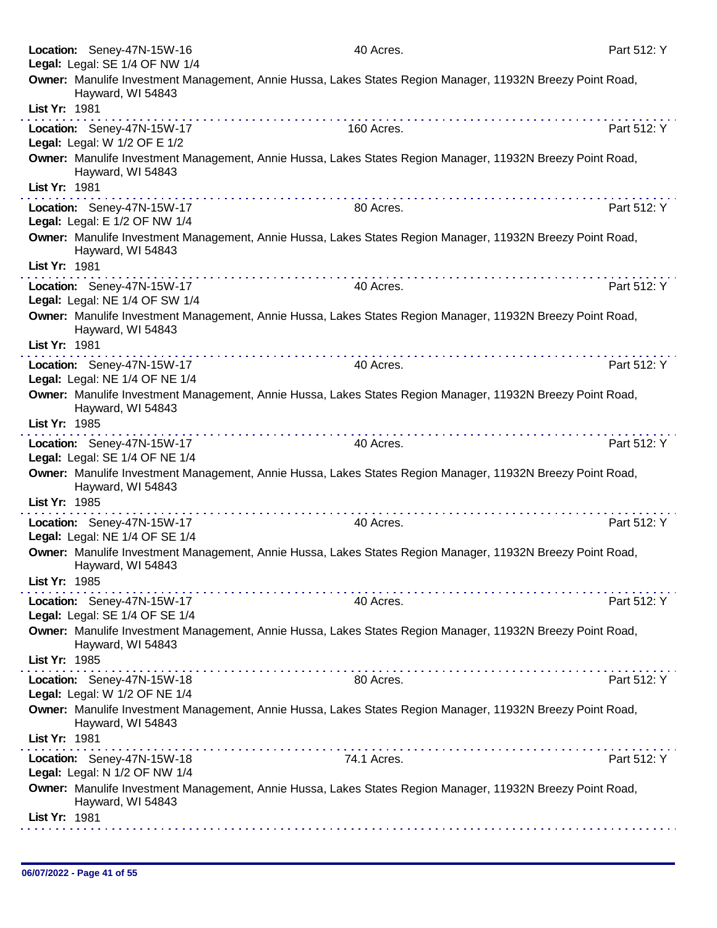| Location: Seney-47N-15W-16                                   | 40 Acres.                                                                                                                                                                                                                                                                                                                                                                                                                                                 | Part 512: Y |
|--------------------------------------------------------------|-----------------------------------------------------------------------------------------------------------------------------------------------------------------------------------------------------------------------------------------------------------------------------------------------------------------------------------------------------------------------------------------------------------------------------------------------------------|-------------|
| Legal: Legal: SE 1/4 OF NW 1/4                               |                                                                                                                                                                                                                                                                                                                                                                                                                                                           |             |
| Hayward, WI 54843                                            | Owner: Manulife Investment Management, Annie Hussa, Lakes States Region Manager, 11932N Breezy Point Road,                                                                                                                                                                                                                                                                                                                                                |             |
| List Yr: 1981                                                |                                                                                                                                                                                                                                                                                                                                                                                                                                                           |             |
| Location: Seney-47N-15W-17<br>Legal: Legal: W 1/2 OF E 1/2   | 160 Acres.                                                                                                                                                                                                                                                                                                                                                                                                                                                | Part 512: Y |
| Hayward, WI 54843                                            | Owner: Manulife Investment Management, Annie Hussa, Lakes States Region Manager, 11932N Breezy Point Road,                                                                                                                                                                                                                                                                                                                                                |             |
| List Yr: 1981                                                |                                                                                                                                                                                                                                                                                                                                                                                                                                                           |             |
| Location: Seney-47N-15W-17<br>Legal: Legal: E 1/2 OF NW 1/4  | 80 Acres.                                                                                                                                                                                                                                                                                                                                                                                                                                                 | Part 512: Y |
| Hayward, WI 54843<br>List Yr: 1981                           | Owner: Manulife Investment Management, Annie Hussa, Lakes States Region Manager, 11932N Breezy Point Road,                                                                                                                                                                                                                                                                                                                                                |             |
|                                                              |                                                                                                                                                                                                                                                                                                                                                                                                                                                           |             |
| Location: Seney-47N-15W-17<br>Legal: Legal: NE 1/4 OF SW 1/4 | 40 Acres.                                                                                                                                                                                                                                                                                                                                                                                                                                                 | Part 512: Y |
| Hayward, WI 54843<br>List Yr: 1981                           | Owner: Manulife Investment Management, Annie Hussa, Lakes States Region Manager, 11932N Breezy Point Road,                                                                                                                                                                                                                                                                                                                                                |             |
|                                                              |                                                                                                                                                                                                                                                                                                                                                                                                                                                           |             |
| Location: Seney-47N-15W-17                                   | 40 Acres.                                                                                                                                                                                                                                                                                                                                                                                                                                                 | Part 512: Y |
| Legal: Legal: NE 1/4 OF NE 1/4                               |                                                                                                                                                                                                                                                                                                                                                                                                                                                           |             |
| Hayward, WI 54843<br>List Yr: 1985                           | Owner: Manulife Investment Management, Annie Hussa, Lakes States Region Manager, 11932N Breezy Point Road,                                                                                                                                                                                                                                                                                                                                                |             |
|                                                              |                                                                                                                                                                                                                                                                                                                                                                                                                                                           |             |
| Location: Seney-47N-15W-17<br>Legal: Legal: SE 1/4 OF NE 1/4 | 40 Acres.                                                                                                                                                                                                                                                                                                                                                                                                                                                 | Part 512: Y |
| Hayward, WI 54843                                            | Owner: Manulife Investment Management, Annie Hussa, Lakes States Region Manager, 11932N Breezy Point Road,                                                                                                                                                                                                                                                                                                                                                |             |
| List Yr: 1985                                                | $\label{eq:2.1} \begin{array}{lllllllllllllllllll} \mathbf{1}_{\mathbf{1}} & \mathbf{1}_{\mathbf{1}} & \mathbf{1}_{\mathbf{1}} & \mathbf{1}_{\mathbf{1}} & \mathbf{1}_{\mathbf{1}} & \mathbf{1}_{\mathbf{1}} & \mathbf{1}_{\mathbf{1}} & \mathbf{1}_{\mathbf{1}} & \mathbf{1}_{\mathbf{1}} & \mathbf{1}_{\mathbf{1}} & \mathbf{1}_{\mathbf{1}} & \mathbf{1}_{\mathbf{1}} & \mathbf{1}_{\mathbf{1}} & \mathbf{1}_{\mathbf{1}} & \mathbf{1}_{\mathbf{1}} &$ |             |
| Location: Seney-47N-15W-17<br>Legal: Legal: NE 1/4 OF SE 1/4 | 40 Acres.                                                                                                                                                                                                                                                                                                                                                                                                                                                 | Part 512: Y |
| Hayward, WI 54843<br>List Yr: 1985                           | Owner: Manulife Investment Management, Annie Hussa, Lakes States Region Manager, 11932N Breezy Point Road,                                                                                                                                                                                                                                                                                                                                                |             |
|                                                              |                                                                                                                                                                                                                                                                                                                                                                                                                                                           |             |
| Location: Seney-47N-15W-17                                   | 40 Acres.                                                                                                                                                                                                                                                                                                                                                                                                                                                 | Part 512: Y |
| Legal: Legal: SE 1/4 OF SE 1/4                               |                                                                                                                                                                                                                                                                                                                                                                                                                                                           |             |
| Hayward, WI 54843                                            | Owner: Manulife Investment Management, Annie Hussa, Lakes States Region Manager, 11932N Breezy Point Road,                                                                                                                                                                                                                                                                                                                                                |             |
| List Yr: 1985                                                | $\mathcal{L}^{\mathcal{A}}(\mathcal{A}^{\mathcal{A}}(\mathcal{A}^{\mathcal{A}}(\mathcal{A}^{\mathcal{A}}(\mathcal{A}^{\mathcal{A}}(\mathcal{A}^{\mathcal{A}}(\mathcal{A}^{\mathcal{A}}(\mathcal{A}^{\mathcal{A}}(\mathcal{A}^{\mathcal{A}}(\mathcal{A}^{\mathcal{A}}(\mathcal{A}^{\mathcal{A}}(\mathcal{A}^{\mathcal{A}}(\mathcal{A}^{\mathcal{A}}(\mathcal{A}^{\mathcal{A}}(\mathcal{A}^{\mathcal{A}}(\mathcal{A}^{\mathcal{A}}(\mathcal{A}^{\mathcal{A$ |             |
| Location: Seney-47N-15W-18<br>Legal: Legal: W 1/2 OF NE 1/4  | 80 Acres.                                                                                                                                                                                                                                                                                                                                                                                                                                                 | Part 512: Y |
| Hayward, WI 54843                                            | Owner: Manulife Investment Management, Annie Hussa, Lakes States Region Manager, 11932N Breezy Point Road,                                                                                                                                                                                                                                                                                                                                                |             |
| List Yr: 1981                                                |                                                                                                                                                                                                                                                                                                                                                                                                                                                           |             |
| Location: Seney-47N-15W-18<br>Legal: Legal: N 1/2 OF NW 1/4  | 74.1 Acres.                                                                                                                                                                                                                                                                                                                                                                                                                                               | Part 512: Y |
| Hayward, WI 54843                                            | Owner: Manulife Investment Management, Annie Hussa, Lakes States Region Manager, 11932N Breezy Point Road,                                                                                                                                                                                                                                                                                                                                                |             |
| List Yr: 1981                                                |                                                                                                                                                                                                                                                                                                                                                                                                                                                           |             |
|                                                              |                                                                                                                                                                                                                                                                                                                                                                                                                                                           |             |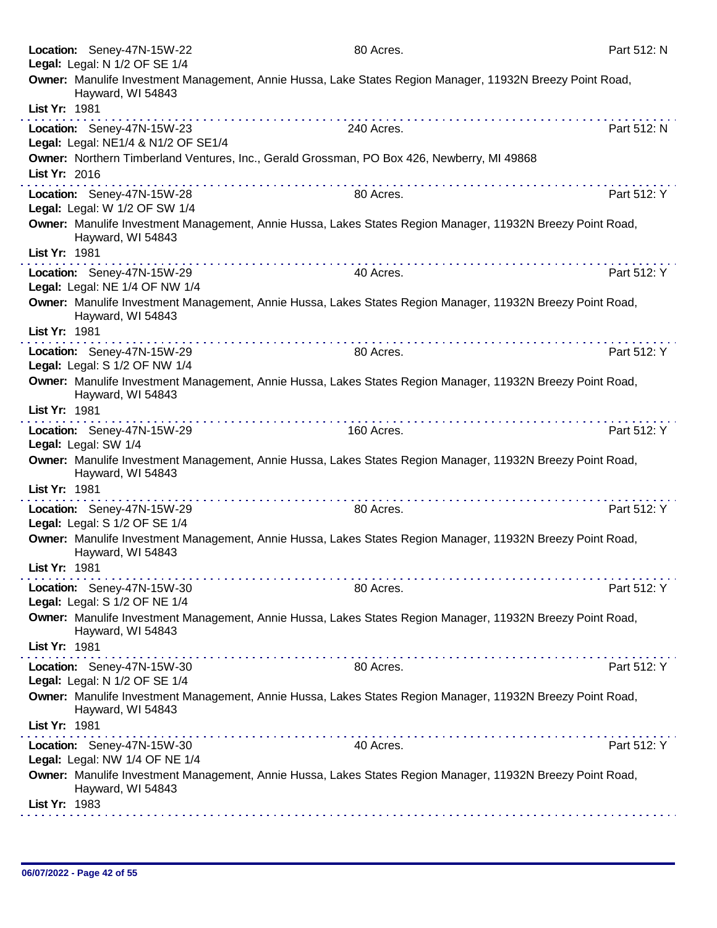|               | Location: Seney-47N-15W-22                                   | 80 Acres.                                                                                                  | Part 512: N |
|---------------|--------------------------------------------------------------|------------------------------------------------------------------------------------------------------------|-------------|
|               | Legal: Legal: N 1/2 OF SE 1/4                                |                                                                                                            |             |
|               | Hayward, WI 54843                                            | Owner: Manulife Investment Management, Annie Hussa, Lake States Region Manager, 11932N Breezy Point Road,  |             |
| List Yr: 1981 |                                                              |                                                                                                            |             |
|               | Location: Seney-47N-15W-23                                   | 240 Acres.                                                                                                 | Part 512: N |
|               | Legal: Legal: NE1/4 & N1/2 OF SE1/4                          |                                                                                                            |             |
|               |                                                              | Owner: Northern Timberland Ventures, Inc., Gerald Grossman, PO Box 426, Newberry, MI 49868                 |             |
| List Yr: 2016 |                                                              |                                                                                                            |             |
|               | Location: Seney-47N-15W-28<br>Legal: Legal: W 1/2 OF SW 1/4  | 80 Acres.                                                                                                  | Part 512: Y |
| List Yr: 1981 | Hayward, WI 54843                                            | Owner: Manulife Investment Management, Annie Hussa, Lakes States Region Manager, 11932N Breezy Point Road, |             |
|               |                                                              |                                                                                                            |             |
|               | Location: Seney-47N-15W-29                                   | 40 Acres.                                                                                                  | Part 512: Y |
|               | Legal: Legal: NE 1/4 OF NW 1/4                               |                                                                                                            |             |
|               | Hayward, WI 54843                                            | Owner: Manulife Investment Management, Annie Hussa, Lakes States Region Manager, 11932N Breezy Point Road, |             |
| List Yr: 1981 |                                                              |                                                                                                            |             |
|               | Location: Seney-47N-15W-29<br>Legal: Legal: S 1/2 OF NW 1/4  | 80 Acres.                                                                                                  | Part 512: Y |
|               | Hayward, WI 54843                                            | Owner: Manulife Investment Management, Annie Hussa, Lakes States Region Manager, 11932N Breezy Point Road, |             |
| List Yr: 1981 |                                                              | . <b>.</b>                                                                                                 |             |
|               | Location: Seney-47N-15W-29<br>Legal: Legal: SW 1/4           | 160 Acres.                                                                                                 | Part 512: Y |
|               | Hayward, WI 54843                                            | Owner: Manulife Investment Management, Annie Hussa, Lakes States Region Manager, 11932N Breezy Point Road, |             |
| List Yr: 1981 |                                                              |                                                                                                            |             |
|               | Location: Seney-47N-15W-29                                   | 80 Acres.                                                                                                  | Part 512: Y |
|               | Legal: Legal: S 1/2 OF SE 1/4                                |                                                                                                            |             |
|               | Hayward, WI 54843                                            | Owner: Manulife Investment Management, Annie Hussa, Lakes States Region Manager, 11932N Breezy Point Road, |             |
| List Yr: 1981 |                                                              |                                                                                                            |             |
|               |                                                              | 80 Acres.                                                                                                  | Part 512: Y |
|               | Location: Seney-47N-15W-30<br>Legal: Legal: S 1/2 OF NE 1/4  |                                                                                                            |             |
|               |                                                              | Owner: Manulife Investment Management, Annie Hussa, Lakes States Region Manager, 11932N Breezy Point Road, |             |
|               | Hayward, WI 54843                                            |                                                                                                            |             |
| List Yr: 1981 |                                                              |                                                                                                            |             |
|               | Location: Seney-47N-15W-30<br>Legal: Legal: N 1/2 OF SE 1/4  | 80 Acres.                                                                                                  | Part 512: Y |
|               | Hayward, WI 54843                                            | Owner: Manulife Investment Management, Annie Hussa, Lakes States Region Manager, 11932N Breezy Point Road, |             |
| List Yr: 1981 |                                                              |                                                                                                            |             |
|               | Location: Seney-47N-15W-30<br>Legal: Legal: NW 1/4 OF NE 1/4 | 40 Acres.                                                                                                  | Part 512: Y |
|               | Hayward, WI 54843                                            | Owner: Manulife Investment Management, Annie Hussa, Lakes States Region Manager, 11932N Breezy Point Road, |             |
| List Yr: 1983 |                                                              |                                                                                                            |             |
|               |                                                              |                                                                                                            |             |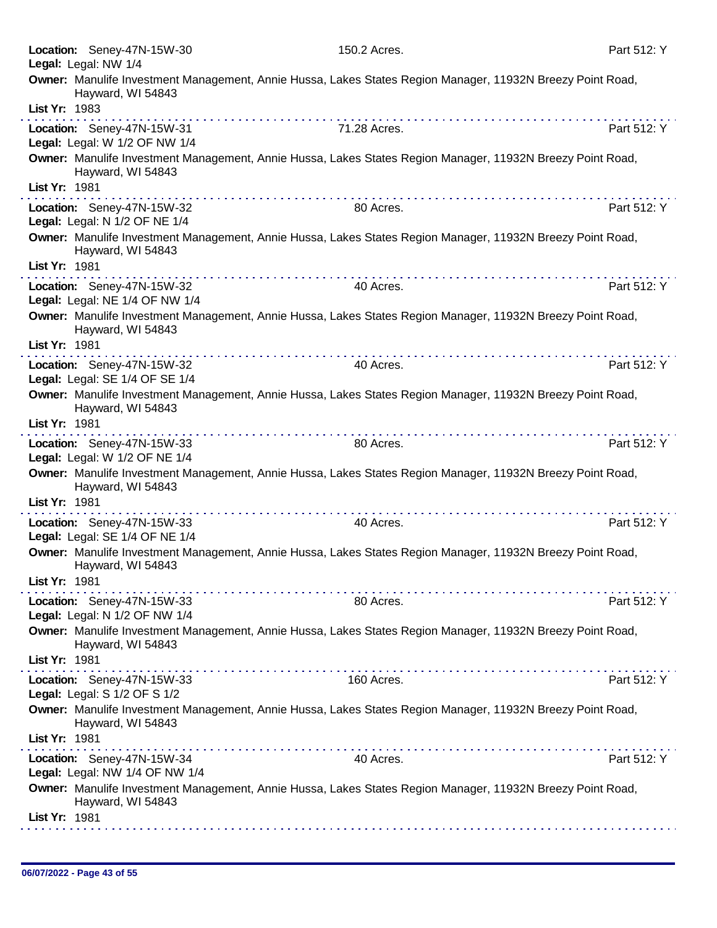|               | Location: Seney-47N-15W-30<br>Legal: Legal: NW 1/4           | 150.2 Acres.                                                                                                                                                                                                                                                                                                                                                                                                                                              | Part 512: Y |
|---------------|--------------------------------------------------------------|-----------------------------------------------------------------------------------------------------------------------------------------------------------------------------------------------------------------------------------------------------------------------------------------------------------------------------------------------------------------------------------------------------------------------------------------------------------|-------------|
| List Yr: 1983 | Hayward, WI 54843                                            | Owner: Manulife Investment Management, Annie Hussa, Lakes States Region Manager, 11932N Breezy Point Road,                                                                                                                                                                                                                                                                                                                                                |             |
|               |                                                              |                                                                                                                                                                                                                                                                                                                                                                                                                                                           |             |
|               | Location: Seney-47N-15W-31<br>Legal: Legal: W 1/2 OF NW 1/4  | 71.28 Acres.                                                                                                                                                                                                                                                                                                                                                                                                                                              | Part 512: Y |
|               | Hayward, WI 54843                                            | Owner: Manulife Investment Management, Annie Hussa, Lakes States Region Manager, 11932N Breezy Point Road,                                                                                                                                                                                                                                                                                                                                                |             |
| List Yr: 1981 |                                                              | $\mathcal{L}^{\mathcal{A}}(\mathcal{A}^{\mathcal{A}}(\mathcal{A}^{\mathcal{A}}(\mathcal{A}^{\mathcal{A}}(\mathcal{A}^{\mathcal{A}}(\mathcal{A}^{\mathcal{A}}(\mathcal{A}^{\mathcal{A}}(\mathcal{A}^{\mathcal{A}}(\mathcal{A}^{\mathcal{A}}(\mathcal{A}^{\mathcal{A}}(\mathcal{A}^{\mathcal{A}}(\mathcal{A}^{\mathcal{A}}(\mathcal{A}^{\mathcal{A}}(\mathcal{A}^{\mathcal{A}}(\mathcal{A}^{\mathcal{A}}(\mathcal{A}^{\mathcal{A}}(\mathcal{A}^{\mathcal{A$ |             |
|               | Location: Seney-47N-15W-32<br>Legal: Legal: N 1/2 OF NE 1/4  | 80 Acres.                                                                                                                                                                                                                                                                                                                                                                                                                                                 | Part 512: Y |
|               | Hayward, WI 54843                                            | Owner: Manulife Investment Management, Annie Hussa, Lakes States Region Manager, 11932N Breezy Point Road,                                                                                                                                                                                                                                                                                                                                                |             |
| List Yr: 1981 |                                                              |                                                                                                                                                                                                                                                                                                                                                                                                                                                           |             |
|               | Location: Seney-47N-15W-32<br>Legal: Legal: NE 1/4 OF NW 1/4 | 40 Acres.                                                                                                                                                                                                                                                                                                                                                                                                                                                 | Part 512: Y |
| List Yr: 1981 | Hayward, WI 54843                                            | Owner: Manulife Investment Management, Annie Hussa, Lakes States Region Manager, 11932N Breezy Point Road,                                                                                                                                                                                                                                                                                                                                                |             |
|               |                                                              |                                                                                                                                                                                                                                                                                                                                                                                                                                                           |             |
|               | Location: Seney-47N-15W-32                                   | 40 Acres.                                                                                                                                                                                                                                                                                                                                                                                                                                                 | Part 512: Y |
|               | Legal: Legal: SE 1/4 OF SE 1/4                               |                                                                                                                                                                                                                                                                                                                                                                                                                                                           |             |
| List Yr: 1981 | Hayward, WI 54843                                            | Owner: Manulife Investment Management, Annie Hussa, Lakes States Region Manager, 11932N Breezy Point Road,                                                                                                                                                                                                                                                                                                                                                |             |
|               |                                                              |                                                                                                                                                                                                                                                                                                                                                                                                                                                           |             |
|               | Location: Seney-47N-15W-33<br>Legal: Legal: W 1/2 OF NE 1/4  | 80 Acres.                                                                                                                                                                                                                                                                                                                                                                                                                                                 | Part 512: Y |
|               | Hayward, WI 54843                                            | Owner: Manulife Investment Management, Annie Hussa, Lakes States Region Manager, 11932N Breezy Point Road,                                                                                                                                                                                                                                                                                                                                                |             |
| List Yr: 1981 |                                                              |                                                                                                                                                                                                                                                                                                                                                                                                                                                           |             |
|               | Location: Seney-47N-15W-33<br>Legal: Legal: SE 1/4 OF NE 1/4 | 40 Acres.                                                                                                                                                                                                                                                                                                                                                                                                                                                 | Part 512: Y |
|               | Hayward, WI 54843                                            | Owner: Manulife Investment Management, Annie Hussa, Lakes States Region Manager, 11932N Breezy Point Road,                                                                                                                                                                                                                                                                                                                                                |             |
| List Yr: 1981 |                                                              |                                                                                                                                                                                                                                                                                                                                                                                                                                                           |             |
|               | Location: Seney-47N-15W-33<br>Legal: Legal: N 1/2 OF NW 1/4  | 80 Acres.                                                                                                                                                                                                                                                                                                                                                                                                                                                 | Part 512: Y |
|               | Hayward, WI 54843                                            | Owner: Manulife Investment Management, Annie Hussa, Lakes States Region Manager, 11932N Breezy Point Road,                                                                                                                                                                                                                                                                                                                                                |             |
| List Yr: 1981 |                                                              |                                                                                                                                                                                                                                                                                                                                                                                                                                                           |             |
|               | Location: Seney-47N-15W-33<br>Legal: Legal: S 1/2 OF S 1/2   | 160 Acres.                                                                                                                                                                                                                                                                                                                                                                                                                                                | Part 512: Y |
|               | Hayward, WI 54843                                            | Owner: Manulife Investment Management, Annie Hussa, Lakes States Region Manager, 11932N Breezy Point Road,                                                                                                                                                                                                                                                                                                                                                |             |
| List Yr: 1981 |                                                              |                                                                                                                                                                                                                                                                                                                                                                                                                                                           |             |
|               | Location: Seney-47N-15W-34<br>Legal: Legal: NW 1/4 OF NW 1/4 | 40 Acres.                                                                                                                                                                                                                                                                                                                                                                                                                                                 | Part 512: Y |
|               | Hayward, WI 54843                                            | Owner: Manulife Investment Management, Annie Hussa, Lakes States Region Manager, 11932N Breezy Point Road,                                                                                                                                                                                                                                                                                                                                                |             |
| List Yr: 1981 |                                                              |                                                                                                                                                                                                                                                                                                                                                                                                                                                           |             |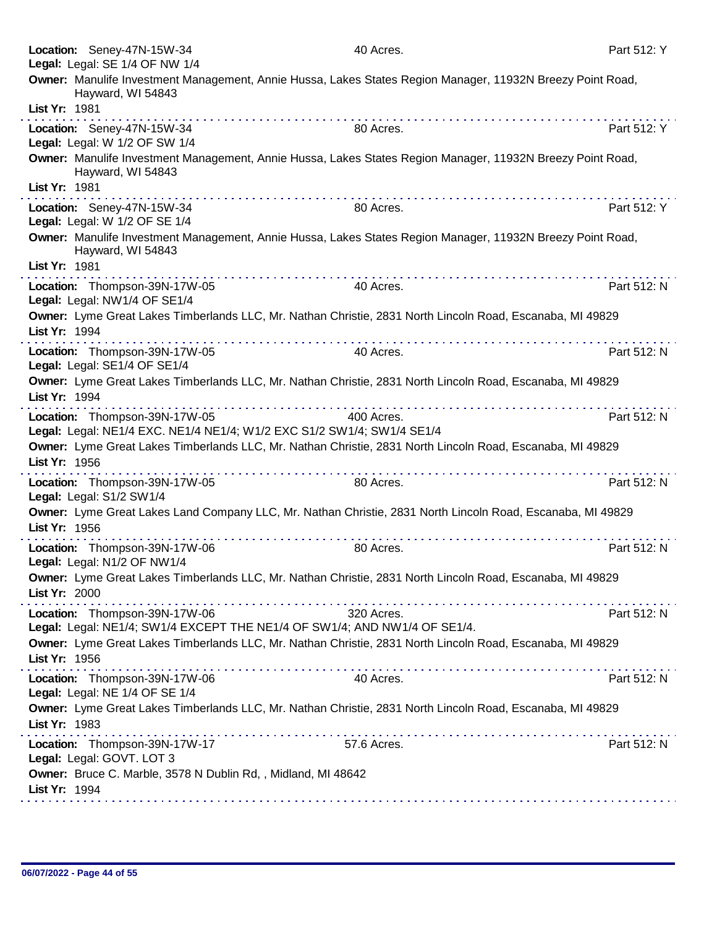| Location: Seney-47N-15W-34<br>Legal: Legal: SE 1/4 OF NW 1/4                                               | 40 Acres.                                                                                                  | Part 512: Y |
|------------------------------------------------------------------------------------------------------------|------------------------------------------------------------------------------------------------------------|-------------|
| Hayward, WI 54843                                                                                          | Owner: Manulife Investment Management, Annie Hussa, Lakes States Region Manager, 11932N Breezy Point Road, |             |
| List Yr: 1981                                                                                              |                                                                                                            |             |
| Location: Seney-47N-15W-34<br>Legal: Legal: W 1/2 OF SW 1/4                                                | 80 Acres.                                                                                                  | Part 512: Y |
| Hayward, WI 54843<br>List Yr: 1981                                                                         | Owner: Manulife Investment Management, Annie Hussa, Lakes States Region Manager, 11932N Breezy Point Road, |             |
| Location: Seney-47N-15W-34<br>Legal: Legal: W 1/2 OF SE 1/4                                                | 80 Acres.                                                                                                  | Part 512: Y |
| Hayward, WI 54843<br>List Yr: 1981                                                                         | Owner: Manulife Investment Management, Annie Hussa, Lakes States Region Manager, 11932N Breezy Point Road, |             |
| Location: Thompson-39N-17W-05<br>Legal: Legal: NW1/4 OF SE1/4                                              | 40 Acres.                                                                                                  | Part 512: N |
| List Yr: 1994                                                                                              | Owner: Lyme Great Lakes Timberlands LLC, Mr. Nathan Christie, 2831 North Lincoln Road, Escanaba, MI 49829  |             |
| Location: Thompson-39N-17W-05<br>Legal: Legal: SE1/4 OF SE1/4                                              | 40 Acres.                                                                                                  | Part 512: N |
| List Yr: 1994                                                                                              | Owner: Lyme Great Lakes Timberlands LLC, Mr. Nathan Christie, 2831 North Lincoln Road, Escanaba, MI 49829  |             |
| Location: Thompson-39N-17W-05<br>Legal: Legal: NE1/4 EXC. NE1/4 NE1/4; W1/2 EXC S1/2 SW1/4; SW1/4 SE1/4    | 400 Acres.                                                                                                 | Part 512: N |
| List Yr: 1956                                                                                              | Owner: Lyme Great Lakes Timberlands LLC, Mr. Nathan Christie, 2831 North Lincoln Road, Escanaba, MI 49829  |             |
| Location: Thompson-39N-17W-05<br>Legal: Legal: S1/2 SW1/4                                                  | .<br>80 Acres.                                                                                             | Part 512: N |
| List Yr: 1956                                                                                              | Owner: Lyme Great Lakes Land Company LLC, Mr. Nathan Christie, 2831 North Lincoln Road, Escanaba, MI 49829 |             |
| Location: Thompson-39N-17W-06<br>Legal: Legal: N1/2 OF NW1/4                                               | .<br>80 Acres.                                                                                             | Part 512: N |
| List Yr: 2000                                                                                              | Owner: Lyme Great Lakes Timberlands LLC, Mr. Nathan Christie, 2831 North Lincoln Road, Escanaba, MI 49829  |             |
| Location: Thompson-39N-17W-06<br>Legal: Legal: NE1/4; SW1/4 EXCEPT THE NE1/4 OF SW1/4; AND NW1/4 OF SE1/4. | 320 Acres.                                                                                                 | Part 512: N |
| List Yr: 1956                                                                                              | Owner: Lyme Great Lakes Timberlands LLC, Mr. Nathan Christie, 2831 North Lincoln Road, Escanaba, MI 49829  |             |
| Location: Thompson-39N-17W-06<br>Legal: Legal: NE 1/4 OF SE 1/4                                            | 40 Acres.                                                                                                  | Part 512: N |
| List Yr: 1983                                                                                              | Owner: Lyme Great Lakes Timberlands LLC, Mr. Nathan Christie, 2831 North Lincoln Road, Escanaba, MI 49829  |             |
| Location: Thompson-39N-17W-17<br>Legal: Legal: GOVT. LOT 3                                                 | 57.6 Acres.                                                                                                | Part 512: N |
| Owner: Bruce C. Marble, 3578 N Dublin Rd, , Midland, MI 48642<br>List Yr: 1994                             |                                                                                                            |             |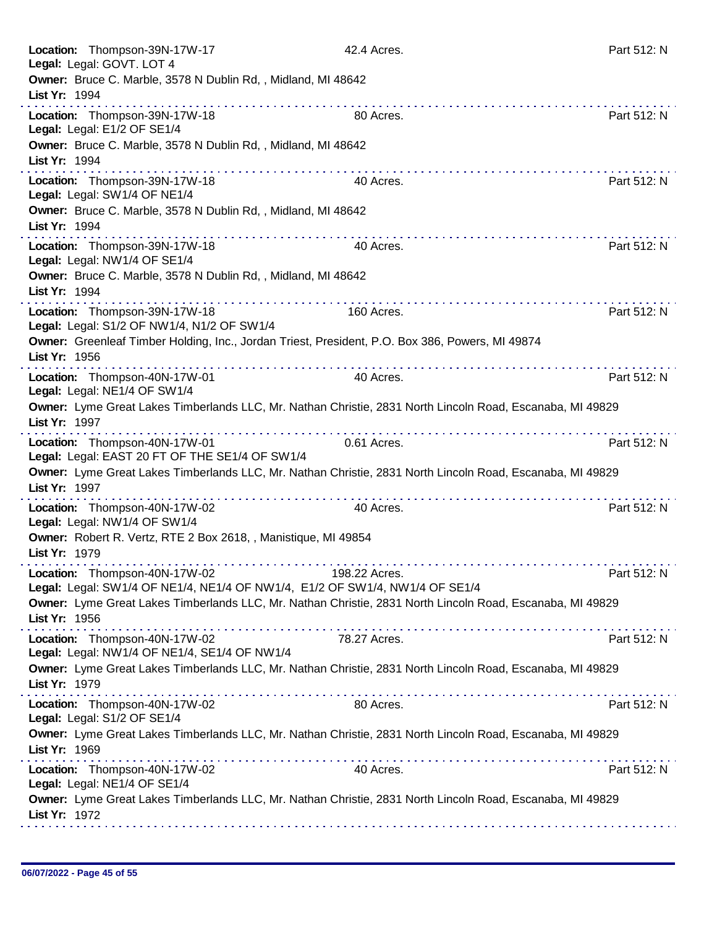| Location: Thompson-39N-17W-17<br>Legal: Legal: GOVT. LOT 4                                                                               | 42.4 Acres.   | Part 512: N                                                                                                                                                                                                                                                                                                                                                                                                                                                                 |
|------------------------------------------------------------------------------------------------------------------------------------------|---------------|-----------------------------------------------------------------------------------------------------------------------------------------------------------------------------------------------------------------------------------------------------------------------------------------------------------------------------------------------------------------------------------------------------------------------------------------------------------------------------|
| Owner: Bruce C. Marble, 3578 N Dublin Rd,, Midland, MI 48642                                                                             |               |                                                                                                                                                                                                                                                                                                                                                                                                                                                                             |
| List Yr: 1994                                                                                                                            |               |                                                                                                                                                                                                                                                                                                                                                                                                                                                                             |
| Location: Thompson-39N-17W-18<br>Legal: Legal: E1/2 OF SE1/4                                                                             | 80 Acres.     | Part 512: N                                                                                                                                                                                                                                                                                                                                                                                                                                                                 |
| Owner: Bruce C. Marble, 3578 N Dublin Rd, , Midland, MI 48642<br>List Yr: 1994                                                           |               |                                                                                                                                                                                                                                                                                                                                                                                                                                                                             |
| Location: Thompson-39N-17W-18<br>Legal: Legal: SW1/4 OF NE1/4                                                                            | 40 Acres.     | $\mathcal{L}^{\mathcal{A}}(\mathcal{A},\mathcal{A},\mathcal{A},\mathcal{A},\mathcal{A},\mathcal{A},\mathcal{A},\mathcal{A},\mathcal{A},\mathcal{A},\mathcal{A},\mathcal{A},\mathcal{A},\mathcal{A},\mathcal{A},\mathcal{A},\mathcal{A},\mathcal{A},\mathcal{A},\mathcal{A},\mathcal{A},\mathcal{A},\mathcal{A},\mathcal{A},\mathcal{A},\mathcal{A},\mathcal{A},\mathcal{A},\mathcal{A},\mathcal{A},\mathcal{A},\mathcal{A},\mathcal{A},\mathcal{A},\mathcal$<br>Part 512: N |
| Owner: Bruce C. Marble, 3578 N Dublin Rd,, Midland, MI 48642<br>List Yr: 1994                                                            |               |                                                                                                                                                                                                                                                                                                                                                                                                                                                                             |
| Location: Thompson-39N-17W-18<br>Legal: Legal: NW1/4 OF SE1/4                                                                            | 40 Acres.     | Part 512: N                                                                                                                                                                                                                                                                                                                                                                                                                                                                 |
| Owner: Bruce C. Marble, 3578 N Dublin Rd, , Midland, MI 48642<br>List Yr: 1994                                                           |               |                                                                                                                                                                                                                                                                                                                                                                                                                                                                             |
| Location: Thompson-39N-17W-18<br>Legal: Legal: S1/2 OF NW1/4, N1/2 OF SW1/4                                                              | 160 Acres.    | Part 512: N                                                                                                                                                                                                                                                                                                                                                                                                                                                                 |
| Owner: Greenleaf Timber Holding, Inc., Jordan Triest, President, P.O. Box 386, Powers, MI 49874<br>List Yr: 1956                         |               |                                                                                                                                                                                                                                                                                                                                                                                                                                                                             |
| Location: Thompson-40N-17W-01<br>Legal: Legal: NE1/4 OF SW1/4                                                                            | 40 Acres.     | Part 512: N                                                                                                                                                                                                                                                                                                                                                                                                                                                                 |
| Owner: Lyme Great Lakes Timberlands LLC, Mr. Nathan Christie, 2831 North Lincoln Road, Escanaba, MI 49829<br>List Yr: 1997               |               |                                                                                                                                                                                                                                                                                                                                                                                                                                                                             |
| .<br>Location: Thompson-40N-17W-01<br>Legal: Legal: EAST 20 FT OF THE SE1/4 OF SW1/4                                                     | 0.61 Acres.   | Part 512: N                                                                                                                                                                                                                                                                                                                                                                                                                                                                 |
| Owner: Lyme Great Lakes Timberlands LLC, Mr. Nathan Christie, 2831 North Lincoln Road, Escanaba, MI 49829<br>List Yr: 1997               |               |                                                                                                                                                                                                                                                                                                                                                                                                                                                                             |
| Location: Thompson-40N-17W-02<br>Legal: Legal: NW1/4 OF SW1/4                                                                            | 40 Acres.     | Part 512: N                                                                                                                                                                                                                                                                                                                                                                                                                                                                 |
| Owner: Robert R. Vertz, RTE 2 Box 2618, , Manistique, MI 49854<br>List Yr: 1979                                                          |               |                                                                                                                                                                                                                                                                                                                                                                                                                                                                             |
| Location: Thompson-40N-17W-02<br>Legal: Legal: SW1/4 OF NE1/4, NE1/4 OF NW1/4, E1/2 OF SW1/4, NW1/4 OF SE1/4                             | 198.22 Acres. | Part 512: N                                                                                                                                                                                                                                                                                                                                                                                                                                                                 |
| Owner: Lyme Great Lakes Timberlands LLC, Mr. Nathan Christie, 2831 North Lincoln Road, Escanaba, MI 49829<br>List Yr: 1956               |               |                                                                                                                                                                                                                                                                                                                                                                                                                                                                             |
| Location: Thompson-40N-17W-02<br>Legal: Legal: NW1/4 OF NE1/4, SE1/4 OF NW1/4                                                            | 78.27 Acres.  | Part 512: N                                                                                                                                                                                                                                                                                                                                                                                                                                                                 |
| Owner: Lyme Great Lakes Timberlands LLC, Mr. Nathan Christie, 2831 North Lincoln Road, Escanaba, MI 49829<br>List Yr: 1979               |               |                                                                                                                                                                                                                                                                                                                                                                                                                                                                             |
| Location: Thompson-40N-17W-02<br>Legal: Legal: S1/2 OF SE1/4                                                                             | 80 Acres.     | Part 512: N                                                                                                                                                                                                                                                                                                                                                                                                                                                                 |
| Owner: Lyme Great Lakes Timberlands LLC, Mr. Nathan Christie, 2831 North Lincoln Road, Escanaba, MI 49829<br>List Yr: 1969<br>. <b>.</b> |               |                                                                                                                                                                                                                                                                                                                                                                                                                                                                             |
| Location: Thompson-40N-17W-02<br>Legal: Legal: NE1/4 OF SE1/4                                                                            | 40 Acres.     | Part 512: N                                                                                                                                                                                                                                                                                                                                                                                                                                                                 |
| Owner: Lyme Great Lakes Timberlands LLC, Mr. Nathan Christie, 2831 North Lincoln Road, Escanaba, MI 49829<br>List Yr: 1972               |               |                                                                                                                                                                                                                                                                                                                                                                                                                                                                             |
|                                                                                                                                          |               |                                                                                                                                                                                                                                                                                                                                                                                                                                                                             |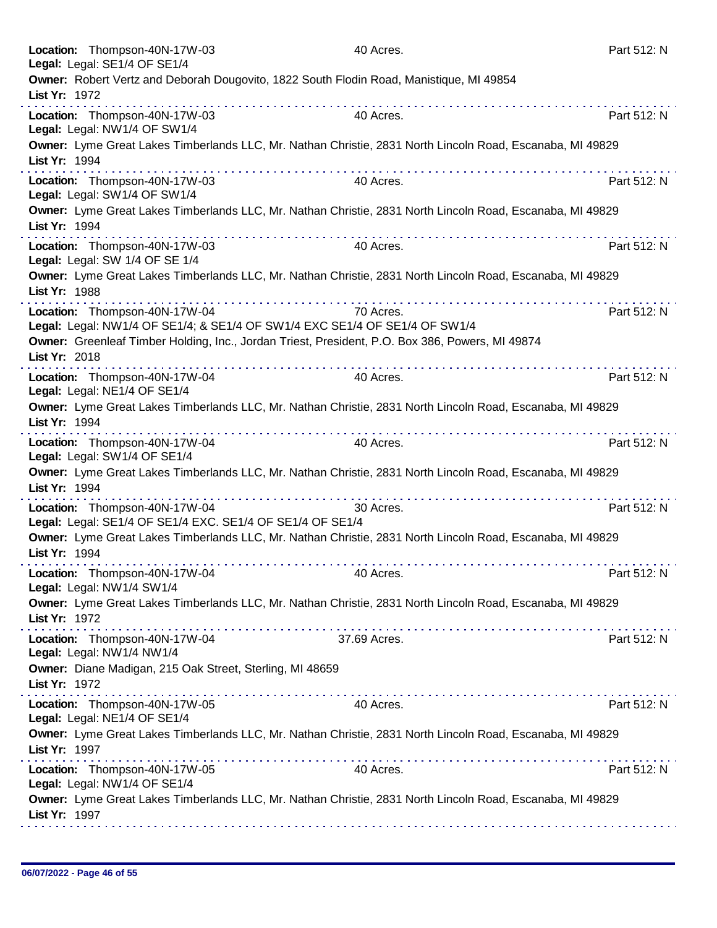| Location: Thompson-40N-17W-03<br>Legal: Legal: SE1/4 OF SE1/4                                                              | 40 Acres.      | Part 512: N |
|----------------------------------------------------------------------------------------------------------------------------|----------------|-------------|
| Owner: Robert Vertz and Deborah Dougovito, 1822 South Flodin Road, Manistique, MI 49854                                    |                |             |
| List Yr: 1972                                                                                                              |                | .           |
| Location: Thompson-40N-17W-03<br>Legal: Legal: NW1/4 OF SW1/4                                                              | 40 Acres.      | Part 512: N |
| Owner: Lyme Great Lakes Timberlands LLC, Mr. Nathan Christie, 2831 North Lincoln Road, Escanaba, MI 49829<br>List Yr: 1994 |                |             |
| Location: Thompson-40N-17W-03<br>Legal: Legal: SW1/4 OF SW1/4                                                              | .<br>40 Acres. | Part 512: N |
| Owner: Lyme Great Lakes Timberlands LLC, Mr. Nathan Christie, 2831 North Lincoln Road, Escanaba, MI 49829<br>List Yr: 1994 |                |             |
| Location: Thompson-40N-17W-03<br>Legal: Legal: SW 1/4 OF SE 1/4                                                            | 40 Acres.      | Part 512: N |
| Owner: Lyme Great Lakes Timberlands LLC, Mr. Nathan Christie, 2831 North Lincoln Road, Escanaba, MI 49829<br>List Yr: 1988 |                |             |
| Location: Thompson-40N-17W-04<br>Legal: Legal: NW1/4 OF SE1/4; & SE1/4 OF SW1/4 EXC SE1/4 OF SE1/4 OF SW1/4                | 70 Acres.      | Part 512: N |
| Owner: Greenleaf Timber Holding, Inc., Jordan Triest, President, P.O. Box 386, Powers, MI 49874<br>List Yr: 2018           |                |             |
| .<br>Location: Thompson-40N-17W-04<br>Legal: Legal: NE1/4 OF SE1/4                                                         | 40 Acres.      | Part 512: N |
| Owner: Lyme Great Lakes Timberlands LLC, Mr. Nathan Christie, 2831 North Lincoln Road, Escanaba, MI 49829<br>List Yr: 1994 |                |             |
| Location: Thompson-40N-17W-04<br>Legal: Legal: SW1/4 OF SE1/4                                                              | 40 Acres.      | Part 512: N |
| Owner: Lyme Great Lakes Timberlands LLC, Mr. Nathan Christie, 2831 North Lincoln Road, Escanaba, MI 49829<br>List Yr: 1994 |                |             |
| Location: Thompson-40N-17W-04<br>Legal: Legal: SE1/4 OF SE1/4 EXC. SE1/4 OF SE1/4 OF SE1/4                                 | 30 Acres.      | Part 512: N |
| Owner: Lyme Great Lakes Timberlands LLC, Mr. Nathan Christie, 2831 North Lincoln Road, Escanaba, MI 49829<br>List Yr: 1994 |                |             |
| Location: Thompson-40N-17W-04<br>Legal: Legal: NW1/4 SW1/4                                                                 | 40 Acres.      | Part 512: N |
| Owner: Lyme Great Lakes Timberlands LLC, Mr. Nathan Christie, 2831 North Lincoln Road, Escanaba, MI 49829<br>List Yr: 1972 |                |             |
| Location: Thompson-40N-17W-04<br>Legal: Legal: NW1/4 NW1/4                                                                 | 37.69 Acres.   | Part 512: N |
| Owner: Diane Madigan, 215 Oak Street, Sterling, MI 48659<br>List Yr: 1972                                                  |                |             |
| Location: Thompson-40N-17W-05<br>Legal: Legal: NE1/4 OF SE1/4                                                              | 40 Acres.      | Part 512: N |
| Owner: Lyme Great Lakes Timberlands LLC, Mr. Nathan Christie, 2831 North Lincoln Road, Escanaba, MI 49829<br>List Yr: 1997 |                |             |
| Location: Thompson-40N-17W-05<br>Legal: Legal: NW1/4 OF SE1/4                                                              | 40 Acres.      | Part 512: N |
| Owner: Lyme Great Lakes Timberlands LLC, Mr. Nathan Christie, 2831 North Lincoln Road, Escanaba, MI 49829<br>List Yr: 1997 |                |             |
|                                                                                                                            |                |             |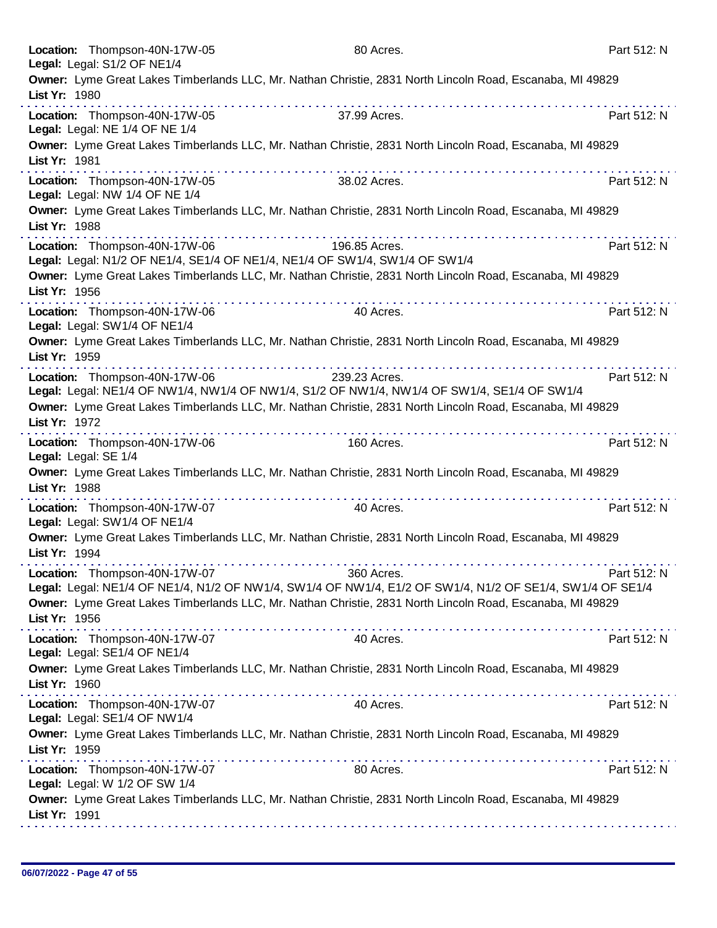|               | Location: Thompson-40N-17W-05<br>Legal: Legal: S1/2 OF NE1/4    | 80 Acres.                                                                                                                                                                                                                                                                                                                                                                                                                            | Part 512: N |
|---------------|-----------------------------------------------------------------|--------------------------------------------------------------------------------------------------------------------------------------------------------------------------------------------------------------------------------------------------------------------------------------------------------------------------------------------------------------------------------------------------------------------------------------|-------------|
| List Yr: 1980 |                                                                 | Owner: Lyme Great Lakes Timberlands LLC, Mr. Nathan Christie, 2831 North Lincoln Road, Escanaba, MI 49829                                                                                                                                                                                                                                                                                                                            |             |
|               | Location: Thompson-40N-17W-05<br>Legal: Legal: NE 1/4 OF NE 1/4 | .<br>37.99 Acres.                                                                                                                                                                                                                                                                                                                                                                                                                    | Part 512: N |
| List Yr: 1981 |                                                                 | Owner: Lyme Great Lakes Timberlands LLC, Mr. Nathan Christie, 2831 North Lincoln Road, Escanaba, MI 49829                                                                                                                                                                                                                                                                                                                            |             |
|               | Location: Thompson-40N-17W-05<br>Legal: Legal: NW 1/4 OF NE 1/4 | . <b>.</b><br>38.02 Acres.                                                                                                                                                                                                                                                                                                                                                                                                           | Part 512: N |
| List Yr: 1988 |                                                                 | Owner: Lyme Great Lakes Timberlands LLC, Mr. Nathan Christie, 2831 North Lincoln Road, Escanaba, MI 49829                                                                                                                                                                                                                                                                                                                            |             |
|               | Location: Thompson-40N-17W-06                                   | 196.85 Acres.<br>Legal: Legal: N1/2 OF NE1/4, SE1/4 OF NE1/4, NE1/4 OF SW1/4, SW1/4 OF SW1/4                                                                                                                                                                                                                                                                                                                                         | Part 512: N |
| List Yr: 1956 |                                                                 | Owner: Lyme Great Lakes Timberlands LLC, Mr. Nathan Christie, 2831 North Lincoln Road, Escanaba, MI 49829                                                                                                                                                                                                                                                                                                                            |             |
|               | Location: Thompson-40N-17W-06<br>Legal: Legal: SW1/4 OF NE1/4   | 40 Acres.                                                                                                                                                                                                                                                                                                                                                                                                                            | Part 512: N |
| List Yr: 1959 |                                                                 | Owner: Lyme Great Lakes Timberlands LLC, Mr. Nathan Christie, 2831 North Lincoln Road, Escanaba, MI 49829                                                                                                                                                                                                                                                                                                                            |             |
|               | Location: Thompson-40N-17W-06                                   | .<br>239.23 Acres.<br>Legal: Legal: NE1/4 OF NW1/4, NW1/4 OF NW1/4, S1/2 OF NW1/4, NW1/4 OF SW1/4, SE1/4 OF SW1/4                                                                                                                                                                                                                                                                                                                    | Part 512: N |
| List Yr: 1972 |                                                                 | Owner: Lyme Great Lakes Timberlands LLC, Mr. Nathan Christie, 2831 North Lincoln Road, Escanaba, MI 49829                                                                                                                                                                                                                                                                                                                            |             |
|               | Location: Thompson-40N-17W-06<br>Legal: Legal: SE 1/4           | 160 Acres.                                                                                                                                                                                                                                                                                                                                                                                                                           | Part 512: N |
| List Yr: 1988 |                                                                 | Owner: Lyme Great Lakes Timberlands LLC, Mr. Nathan Christie, 2831 North Lincoln Road, Escanaba, MI 49829                                                                                                                                                                                                                                                                                                                            |             |
|               | Location: Thompson-40N-17W-07<br>Legal: Legal: SW1/4 OF NE1/4   | a provincia de la caractería de la caractería<br>40 Acres.                                                                                                                                                                                                                                                                                                                                                                           | Part 512: N |
| List Yr: 1994 |                                                                 | Owner: Lyme Great Lakes Timberlands LLC, Mr. Nathan Christie, 2831 North Lincoln Road, Escanaba, MI 49829                                                                                                                                                                                                                                                                                                                            |             |
|               | Location: Thompson-40N-17W-07                                   | 360 Acres.<br>Legal: Legal: NE1/4 OF NE1/4, N1/2 OF NW1/4, SW1/4 OF NW1/4, E1/2 OF SW1/4, N1/2 OF SE1/4, SW1/4 OF SE1/4                                                                                                                                                                                                                                                                                                              | Part 512: N |
| List Yr: 1956 |                                                                 | Owner: Lyme Great Lakes Timberlands LLC, Mr. Nathan Christie, 2831 North Lincoln Road, Escanaba, MI 49829                                                                                                                                                                                                                                                                                                                            |             |
|               | Location: Thompson-40N-17W-07<br>Legal: Legal: SE1/4 OF NE1/4   | $\label{eq:reduced} \begin{split} \mathbf{u}^{\top} & \mathbf{u}^{\top} \mathbf{u}^{\top} \mathbf{u}^{\top} \mathbf{u}^{\top} \mathbf{u}^{\top} \mathbf{u}^{\top} \mathbf{u}^{\top} \mathbf{u}^{\top} \mathbf{u}^{\top} \mathbf{u}^{\top} \mathbf{u}^{\top} \mathbf{u}^{\top} \mathbf{u}^{\top} \mathbf{u}^{\top} \mathbf{u}^{\top} \mathbf{u}^{\top} \mathbf{u}^{\top} \mathbf{u}^{\top} \mathbf{u}^{\top} \mathbf{u}$<br>40 Acres. | Part 512: N |
| List Yr: 1960 |                                                                 | Owner: Lyme Great Lakes Timberlands LLC, Mr. Nathan Christie, 2831 North Lincoln Road, Escanaba, MI 49829                                                                                                                                                                                                                                                                                                                            |             |
|               | Location: Thompson-40N-17W-07<br>Legal: Legal: SE1/4 OF NW1/4   | 40 Acres.                                                                                                                                                                                                                                                                                                                                                                                                                            | Part 512: N |
| List Yr: 1959 |                                                                 | Owner: Lyme Great Lakes Timberlands LLC, Mr. Nathan Christie, 2831 North Lincoln Road, Escanaba, MI 49829                                                                                                                                                                                                                                                                                                                            |             |
|               | Location: Thompson-40N-17W-07<br>Legal: Legal: W 1/2 OF SW 1/4  | 80 Acres.                                                                                                                                                                                                                                                                                                                                                                                                                            | Part 512: N |
| List Yr: 1991 |                                                                 | Owner: Lyme Great Lakes Timberlands LLC, Mr. Nathan Christie, 2831 North Lincoln Road, Escanaba, MI 49829                                                                                                                                                                                                                                                                                                                            |             |
|               |                                                                 |                                                                                                                                                                                                                                                                                                                                                                                                                                      |             |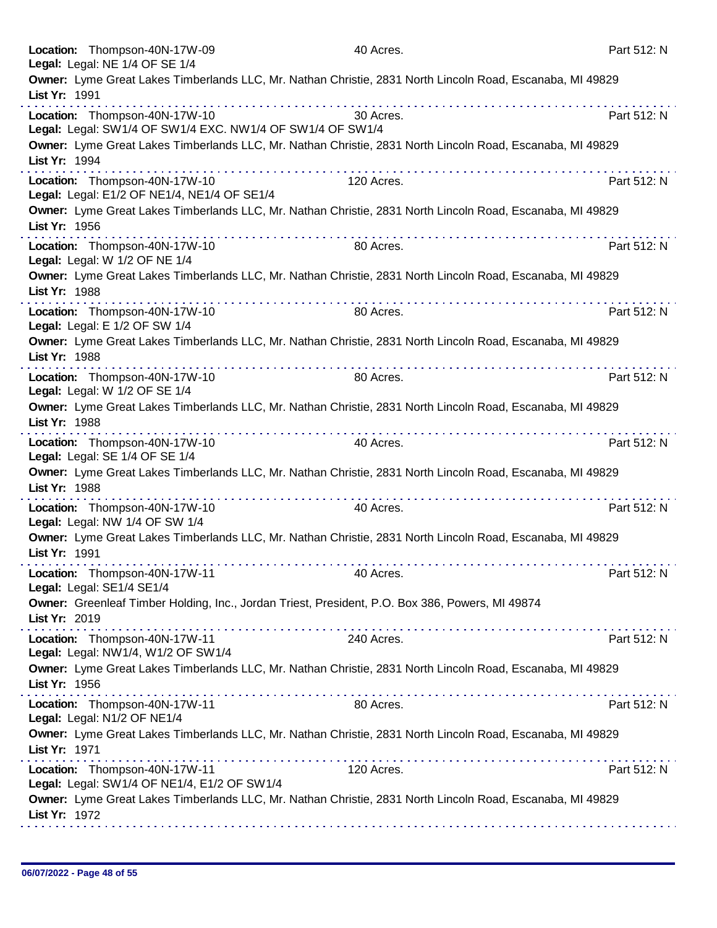|               | Location: Thompson-40N-17W-09<br>Legal: Legal: NE 1/4 OF SE 1/4                                           | 40 Acres.                                                                                                                                                                                                                                                                                                                                                                                                                                               | Part 512: N |
|---------------|-----------------------------------------------------------------------------------------------------------|---------------------------------------------------------------------------------------------------------------------------------------------------------------------------------------------------------------------------------------------------------------------------------------------------------------------------------------------------------------------------------------------------------------------------------------------------------|-------------|
|               | Owner: Lyme Great Lakes Timberlands LLC, Mr. Nathan Christie, 2831 North Lincoln Road, Escanaba, MI 49829 |                                                                                                                                                                                                                                                                                                                                                                                                                                                         |             |
| List Yr: 1991 |                                                                                                           |                                                                                                                                                                                                                                                                                                                                                                                                                                                         |             |
|               | Location: Thompson-40N-17W-10<br>Legal: Legal: SW1/4 OF SW1/4 EXC. NW1/4 OF SW1/4 OF SW1/4                | 30 Acres.                                                                                                                                                                                                                                                                                                                                                                                                                                               | Part 512: N |
| List Yr: 1994 | Owner: Lyme Great Lakes Timberlands LLC, Mr. Nathan Christie, 2831 North Lincoln Road, Escanaba, MI 49829 |                                                                                                                                                                                                                                                                                                                                                                                                                                                         |             |
|               | Location: Thompson-40N-17W-10<br>Legal: Legal: E1/2 OF NE1/4, NE1/4 OF SE1/4                              | 120 Acres.                                                                                                                                                                                                                                                                                                                                                                                                                                              | Part 512: N |
| List Yr: 1956 | Owner: Lyme Great Lakes Timberlands LLC, Mr. Nathan Christie, 2831 North Lincoln Road, Escanaba, MI 49829 |                                                                                                                                                                                                                                                                                                                                                                                                                                                         |             |
|               | Location: Thompson-40N-17W-10<br>Legal: Legal: W 1/2 OF NE 1/4                                            | 80 Acres.                                                                                                                                                                                                                                                                                                                                                                                                                                               | Part 512: N |
| List Yr: 1988 | Owner: Lyme Great Lakes Timberlands LLC, Mr. Nathan Christie, 2831 North Lincoln Road, Escanaba, MI 49829 |                                                                                                                                                                                                                                                                                                                                                                                                                                                         |             |
|               | Location: Thompson-40N-17W-10<br>Legal: Legal: E 1/2 OF SW 1/4                                            | 80 Acres.                                                                                                                                                                                                                                                                                                                                                                                                                                               | Part 512: N |
| List Yr: 1988 | Owner: Lyme Great Lakes Timberlands LLC, Mr. Nathan Christie, 2831 North Lincoln Road, Escanaba, MI 49829 |                                                                                                                                                                                                                                                                                                                                                                                                                                                         |             |
|               | Location: Thompson-40N-17W-10<br>Legal: Legal: W 1/2 OF SE 1/4                                            | 80 Acres.                                                                                                                                                                                                                                                                                                                                                                                                                                               | Part 512: N |
| List Yr: 1988 | Owner: Lyme Great Lakes Timberlands LLC, Mr. Nathan Christie, 2831 North Lincoln Road, Escanaba, MI 49829 |                                                                                                                                                                                                                                                                                                                                                                                                                                                         |             |
|               | Location: Thompson-40N-17W-10<br>Legal: Legal: SE 1/4 OF SE 1/4                                           | 40 Acres.                                                                                                                                                                                                                                                                                                                                                                                                                                               | Part 512: N |
| List Yr: 1988 | Owner: Lyme Great Lakes Timberlands LLC, Mr. Nathan Christie, 2831 North Lincoln Road, Escanaba, MI 49829 |                                                                                                                                                                                                                                                                                                                                                                                                                                                         |             |
|               | Location: Thompson-40N-17W-10<br>Legal: Legal: NW 1/4 OF SW 1/4                                           | 40 Acres.                                                                                                                                                                                                                                                                                                                                                                                                                                               | Part 512: N |
| List Yr: 1991 | Owner: Lyme Great Lakes Timberlands LLC, Mr. Nathan Christie, 2831 North Lincoln Road, Escanaba, MI 49829 |                                                                                                                                                                                                                                                                                                                                                                                                                                                         |             |
|               | Location: Thompson-40N-17W-11<br>Legal: Legal: SE1/4 SE1/4                                                | 40 Acres.                                                                                                                                                                                                                                                                                                                                                                                                                                               | Part 512: N |
| List Yr: 2019 | Owner: Greenleaf Timber Holding, Inc., Jordan Triest, President, P.O. Box 386, Powers, MI 49874           |                                                                                                                                                                                                                                                                                                                                                                                                                                                         |             |
|               | Location: Thompson-40N-17W-11<br>Legal: Legal: NW1/4, W1/2 OF SW1/4                                       | 240 Acres.                                                                                                                                                                                                                                                                                                                                                                                                                                              | Part 512: N |
| List Yr: 1956 | Owner: Lyme Great Lakes Timberlands LLC, Mr. Nathan Christie, 2831 North Lincoln Road, Escanaba, MI 49829 | $\label{eq:2.1} \mathcal{L}^{\mathcal{A}}(\mathcal{A},\mathcal{A},\mathcal{A},\mathcal{A},\mathcal{A},\mathcal{A},\mathcal{A},\mathcal{A},\mathcal{A},\mathcal{A},\mathcal{A},\mathcal{A},\mathcal{A},\mathcal{A},\mathcal{A},\mathcal{A},\mathcal{A},\mathcal{A},\mathcal{A},\mathcal{A},\mathcal{A},\mathcal{A},\mathcal{A},\mathcal{A},\mathcal{A},\mathcal{A},\mathcal{A},\mathcal{A},\mathcal{A},\mathcal{A},\mathcal{A},\mathcal{A},\mathcal{A},$ |             |
|               | Location: Thompson-40N-17W-11<br>Legal: Legal: N1/2 OF NE1/4                                              | 80 Acres.                                                                                                                                                                                                                                                                                                                                                                                                                                               | Part 512: N |
| List Yr: 1971 | Owner: Lyme Great Lakes Timberlands LLC, Mr. Nathan Christie, 2831 North Lincoln Road, Escanaba, MI 49829 |                                                                                                                                                                                                                                                                                                                                                                                                                                                         |             |
|               | Location: Thompson-40N-17W-11<br>Legal: Legal: SW1/4 OF NE1/4, E1/2 OF SW1/4                              | 120 Acres.                                                                                                                                                                                                                                                                                                                                                                                                                                              | Part 512: N |
| List Yr: 1972 | Owner: Lyme Great Lakes Timberlands LLC, Mr. Nathan Christie, 2831 North Lincoln Road, Escanaba, MI 49829 |                                                                                                                                                                                                                                                                                                                                                                                                                                                         |             |
|               |                                                                                                           |                                                                                                                                                                                                                                                                                                                                                                                                                                                         |             |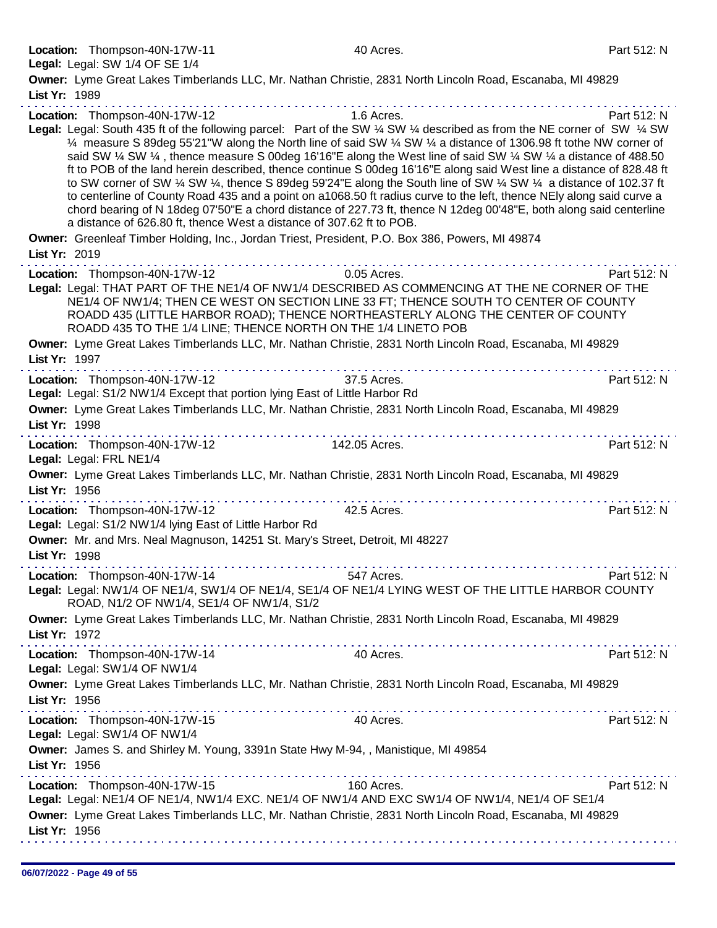| Location: Thompson-40N-17W-11                                 |                                                                                                 | 40 Acres.                                                                                                                                                                                                                                                                                                                                                                                                                                                                                                                                                                                                      | Part 512: N |
|---------------------------------------------------------------|-------------------------------------------------------------------------------------------------|----------------------------------------------------------------------------------------------------------------------------------------------------------------------------------------------------------------------------------------------------------------------------------------------------------------------------------------------------------------------------------------------------------------------------------------------------------------------------------------------------------------------------------------------------------------------------------------------------------------|-------------|
| Legal: Legal: SW 1/4 OF SE 1/4                                |                                                                                                 |                                                                                                                                                                                                                                                                                                                                                                                                                                                                                                                                                                                                                |             |
|                                                               |                                                                                                 | Owner: Lyme Great Lakes Timberlands LLC, Mr. Nathan Christie, 2831 North Lincoln Road, Escanaba, MI 49829                                                                                                                                                                                                                                                                                                                                                                                                                                                                                                      |             |
| List Yr: 1989                                                 |                                                                                                 |                                                                                                                                                                                                                                                                                                                                                                                                                                                                                                                                                                                                                |             |
| Location: Thompson-40N-17W-12                                 |                                                                                                 | 1.6 Acres.<br>Legal: Legal: South 435 ft of the following parcel: Part of the SW 1/4 SW 1/4 described as from the NE corner of SW 1/4 SW<br>1/4 measure S 89deg 55'21"W along the North line of said SW 1/4 SW 1/4 a distance of 1306.98 ft tothe NW corner of                                                                                                                                                                                                                                                                                                                                                 | Part 512: N |
|                                                               | a distance of 626.80 ft, thence West a distance of 307.62 ft to POB.                            | said SW 1/4 SW 1/4, thence measure S 00deg 16'16"E along the West line of said SW 1/4 SW 1/4 a distance of 488.50<br>ft to POB of the land herein described, thence continue S 00deg 16'16"E along said West line a distance of 828.48 ft<br>to SW corner of SW 1/4 SW 1/4, thence S 89deg 59'24"E along the South line of SW 1/4 SW 1/4 a distance of 102.37 ft<br>to centerline of County Road 435 and a point on a1068.50 ft radius curve to the left, thence NEIy along said curve a<br>chord bearing of N 18deg 07'50"E a chord distance of 227.73 ft, thence N 12deg 00'48"E, both along said centerline |             |
|                                                               | Owner: Greenleaf Timber Holding, Inc., Jordan Triest, President, P.O. Box 386, Powers, MI 49874 |                                                                                                                                                                                                                                                                                                                                                                                                                                                                                                                                                                                                                |             |
| List Yr: 2019                                                 |                                                                                                 |                                                                                                                                                                                                                                                                                                                                                                                                                                                                                                                                                                                                                |             |
|                                                               | Location: Thompson-40N-17W-12                                                                   | 0.05 Acres.                                                                                                                                                                                                                                                                                                                                                                                                                                                                                                                                                                                                    | Part 512: N |
|                                                               | ROADD 435 TO THE 1/4 LINE; THENCE NORTH ON THE 1/4 LINETO POB                                   | Legal: Legal: THAT PART OF THE NE1/4 OF NW1/4 DESCRIBED AS COMMENCING AT THE NE CORNER OF THE<br>NE1/4 OF NW1/4; THEN CE WEST ON SECTION LINE 33 FT; THENCE SOUTH TO CENTER OF COUNTY<br>ROADD 435 (LITTLE HARBOR ROAD); THENCE NORTHEASTERLY ALONG THE CENTER OF COUNTY                                                                                                                                                                                                                                                                                                                                       |             |
| List Yr: 1997                                                 |                                                                                                 | Owner: Lyme Great Lakes Timberlands LLC, Mr. Nathan Christie, 2831 North Lincoln Road, Escanaba, MI 49829                                                                                                                                                                                                                                                                                                                                                                                                                                                                                                      |             |
|                                                               | Location: Thompson-40N-17W-12                                                                   | 37.5 Acres.                                                                                                                                                                                                                                                                                                                                                                                                                                                                                                                                                                                                    | Part 512: N |
|                                                               | Legal: Legal: S1/2 NW1/4 Except that portion lying East of Little Harbor Rd                     |                                                                                                                                                                                                                                                                                                                                                                                                                                                                                                                                                                                                                |             |
|                                                               |                                                                                                 | Owner: Lyme Great Lakes Timberlands LLC, Mr. Nathan Christie, 2831 North Lincoln Road, Escanaba, MI 49829                                                                                                                                                                                                                                                                                                                                                                                                                                                                                                      |             |
| List Yr: 1998                                                 |                                                                                                 |                                                                                                                                                                                                                                                                                                                                                                                                                                                                                                                                                                                                                |             |
|                                                               | .                                                                                               | .                                                                                                                                                                                                                                                                                                                                                                                                                                                                                                                                                                                                              |             |
| Location: Thompson-40N-17W-12                                 |                                                                                                 | 142.05 Acres.                                                                                                                                                                                                                                                                                                                                                                                                                                                                                                                                                                                                  | Part 512: N |
| Legal: Legal: FRL NE1/4                                       |                                                                                                 |                                                                                                                                                                                                                                                                                                                                                                                                                                                                                                                                                                                                                |             |
|                                                               |                                                                                                 | Owner: Lyme Great Lakes Timberlands LLC, Mr. Nathan Christie, 2831 North Lincoln Road, Escanaba, MI 49829                                                                                                                                                                                                                                                                                                                                                                                                                                                                                                      |             |
| List Yr: 1956                                                 | .                                                                                               |                                                                                                                                                                                                                                                                                                                                                                                                                                                                                                                                                                                                                |             |
| Location: Thompson-40N-17W-12                                 | Legal: Legal: S1/2 NW1/4 lying East of Little Harbor Rd                                         | 42.5 Acres.                                                                                                                                                                                                                                                                                                                                                                                                                                                                                                                                                                                                    | Part 512: N |
|                                                               | Owner: Mr. and Mrs. Neal Magnuson, 14251 St. Mary's Street, Detroit, MI 48227                   |                                                                                                                                                                                                                                                                                                                                                                                                                                                                                                                                                                                                                |             |
| List Yr: 1998                                                 |                                                                                                 |                                                                                                                                                                                                                                                                                                                                                                                                                                                                                                                                                                                                                |             |
| Location: Thompson-40N-17W-14                                 |                                                                                                 | 547 Acres.                                                                                                                                                                                                                                                                                                                                                                                                                                                                                                                                                                                                     | Part 512: N |
|                                                               | ROAD, N1/2 OF NW1/4, SE1/4 OF NW1/4, S1/2                                                       | Legal: Legal: NW1/4 OF NE1/4, SW1/4 OF NE1/4, SE1/4 OF NE1/4 LYING WEST OF THE LITTLE HARBOR COUNTY                                                                                                                                                                                                                                                                                                                                                                                                                                                                                                            |             |
| List Yr: 1972                                                 |                                                                                                 | Owner: Lyme Great Lakes Timberlands LLC, Mr. Nathan Christie, 2831 North Lincoln Road, Escanaba, MI 49829                                                                                                                                                                                                                                                                                                                                                                                                                                                                                                      |             |
| Location: Thompson-40N-17W-14<br>Legal: Legal: SW1/4 OF NW1/4 |                                                                                                 | 40 Acres.                                                                                                                                                                                                                                                                                                                                                                                                                                                                                                                                                                                                      | Part 512: N |
| List Yr: 1956                                                 |                                                                                                 | Owner: Lyme Great Lakes Timberlands LLC, Mr. Nathan Christie, 2831 North Lincoln Road, Escanaba, MI 49829                                                                                                                                                                                                                                                                                                                                                                                                                                                                                                      |             |
| Location: Thompson-40N-17W-15<br>Legal: Legal: SW1/4 OF NW1/4 |                                                                                                 | 40 Acres.                                                                                                                                                                                                                                                                                                                                                                                                                                                                                                                                                                                                      | Part 512: N |
|                                                               |                                                                                                 |                                                                                                                                                                                                                                                                                                                                                                                                                                                                                                                                                                                                                |             |
| List Yr: 1956                                                 | Owner: James S. and Shirley M. Young, 3391n State Hwy M-94, , Manistique, MI 49854              |                                                                                                                                                                                                                                                                                                                                                                                                                                                                                                                                                                                                                |             |
|                                                               |                                                                                                 | the second complete state of the second complete state of the second contract of the second contract of the second contract of the second contract of the second contract of the second contract of the second contract of the                                                                                                                                                                                                                                                                                                                                                                                 |             |
| Location: Thompson-40N-17W-15                                 |                                                                                                 | 160 Acres.                                                                                                                                                                                                                                                                                                                                                                                                                                                                                                                                                                                                     | Part 512: N |
|                                                               |                                                                                                 | Legal: Legal: NE1/4 OF NE1/4, NW1/4 EXC. NE1/4 OF NW1/4 AND EXC SW1/4 OF NW1/4, NE1/4 OF SE1/4                                                                                                                                                                                                                                                                                                                                                                                                                                                                                                                 |             |
|                                                               |                                                                                                 | Owner: Lyme Great Lakes Timberlands LLC, Mr. Nathan Christie, 2831 North Lincoln Road, Escanaba, MI 49829                                                                                                                                                                                                                                                                                                                                                                                                                                                                                                      |             |
| List Yr: 1956                                                 |                                                                                                 |                                                                                                                                                                                                                                                                                                                                                                                                                                                                                                                                                                                                                |             |
|                                                               |                                                                                                 |                                                                                                                                                                                                                                                                                                                                                                                                                                                                                                                                                                                                                |             |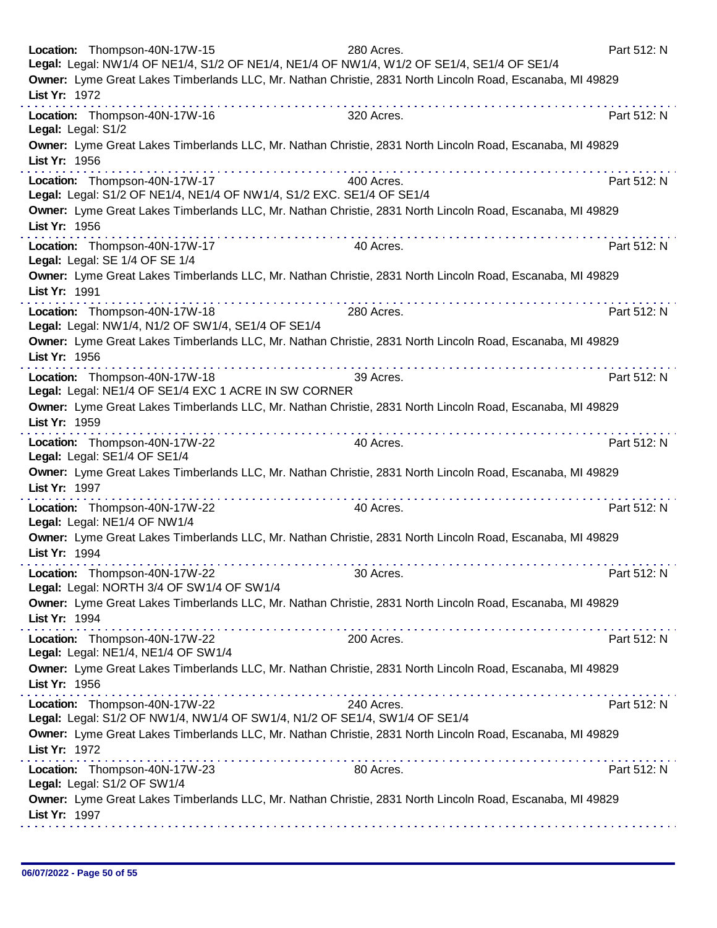| Location: Thompson-40N-17W-15<br>280 Acres.<br>Legal: Legal: NW1/4 OF NE1/4, S1/2 OF NE1/4, NE1/4 OF NW1/4, W1/2 OF SE1/4, SE1/4 OF SE1/4 | Part 512: N |
|-------------------------------------------------------------------------------------------------------------------------------------------|-------------|
| Owner: Lyme Great Lakes Timberlands LLC, Mr. Nathan Christie, 2831 North Lincoln Road, Escanaba, MI 49829<br>List Yr: 1972                |             |
| Location: Thompson-40N-17W-16<br>320 Acres.<br>Legal: Legal: S1/2                                                                         | Part 512: N |
| Owner: Lyme Great Lakes Timberlands LLC, Mr. Nathan Christie, 2831 North Lincoln Road, Escanaba, MI 49829<br>List Yr: 1956                |             |
| . <i>.</i> .<br>Location: Thompson-40N-17W-17<br>400 Acres.<br>Legal: Legal: S1/2 OF NE1/4, NE1/4 OF NW1/4, S1/2 EXC. SE1/4 OF SE1/4      | Part 512: N |
| Owner: Lyme Great Lakes Timberlands LLC, Mr. Nathan Christie, 2831 North Lincoln Road, Escanaba, MI 49829<br>List Yr: 1956                |             |
| .<br>Location: Thompson-40N-17W-17<br>40 Acres.<br>Legal: Legal: SE 1/4 OF SE 1/4                                                         | Part 512: N |
| Owner: Lyme Great Lakes Timberlands LLC, Mr. Nathan Christie, 2831 North Lincoln Road, Escanaba, MI 49829<br>List Yr: 1991                |             |
| Location: Thompson-40N-17W-18<br>280 Acres.<br>Legal: Legal: NW1/4, N1/2 OF SW1/4, SE1/4 OF SE1/4                                         | Part 512: N |
| Owner: Lyme Great Lakes Timberlands LLC, Mr. Nathan Christie, 2831 North Lincoln Road, Escanaba, MI 49829<br>List Yr: 1956                |             |
| <u>.</u><br>Location: Thompson-40N-17W-18<br>39 Acres.<br>Legal: Legal: NE1/4 OF SE1/4 EXC 1 ACRE IN SW CORNER                            | Part 512: N |
| Owner: Lyme Great Lakes Timberlands LLC, Mr. Nathan Christie, 2831 North Lincoln Road, Escanaba, MI 49829<br>List Yr: 1959                |             |
| Location: Thompson-40N-17W-22<br>40 Acres.<br>Legal: Legal: SE1/4 OF SE1/4                                                                | Part 512: N |
| Owner: Lyme Great Lakes Timberlands LLC, Mr. Nathan Christie, 2831 North Lincoln Road, Escanaba, MI 49829<br>List Yr: 1997                |             |
| Location: Thompson-40N-17W-22<br>40 Acres.<br>Legal: Legal: NE1/4 OF NW1/4                                                                | Part 512: N |
| Owner: Lyme Great Lakes Timberlands LLC, Mr. Nathan Christie, 2831 North Lincoln Road, Escanaba, MI 49829<br>List Yr: 1994                |             |
| Location: Thompson-40N-17W-22<br>30 Acres.<br>Legal: Legal: NORTH 3/4 OF SW1/4 OF SW1/4                                                   | Part 512: N |
| Owner: Lyme Great Lakes Timberlands LLC, Mr. Nathan Christie, 2831 North Lincoln Road, Escanaba, MI 49829<br>List Yr: 1994                |             |
| .<br>Location: Thompson-40N-17W-22<br>200 Acres.<br>Legal: Legal: NE1/4, NE1/4 OF SW1/4                                                   | Part 512: N |
| Owner: Lyme Great Lakes Timberlands LLC, Mr. Nathan Christie, 2831 North Lincoln Road, Escanaba, MI 49829<br>List Yr: 1956                |             |
| Location: Thompson-40N-17W-22<br>240 Acres.<br>Legal: Legal: S1/2 OF NW1/4, NW1/4 OF SW1/4, N1/2 OF SE1/4, SW1/4 OF SE1/4                 | Part 512: N |
| Owner: Lyme Great Lakes Timberlands LLC, Mr. Nathan Christie, 2831 North Lincoln Road, Escanaba, MI 49829<br>List Yr: 1972                |             |
| Location: Thompson-40N-17W-23<br>80 Acres.<br>Legal: Legal: S1/2 OF SW1/4                                                                 | Part 512: N |
| Owner: Lyme Great Lakes Timberlands LLC, Mr. Nathan Christie, 2831 North Lincoln Road, Escanaba, MI 49829<br>List Yr: 1997                |             |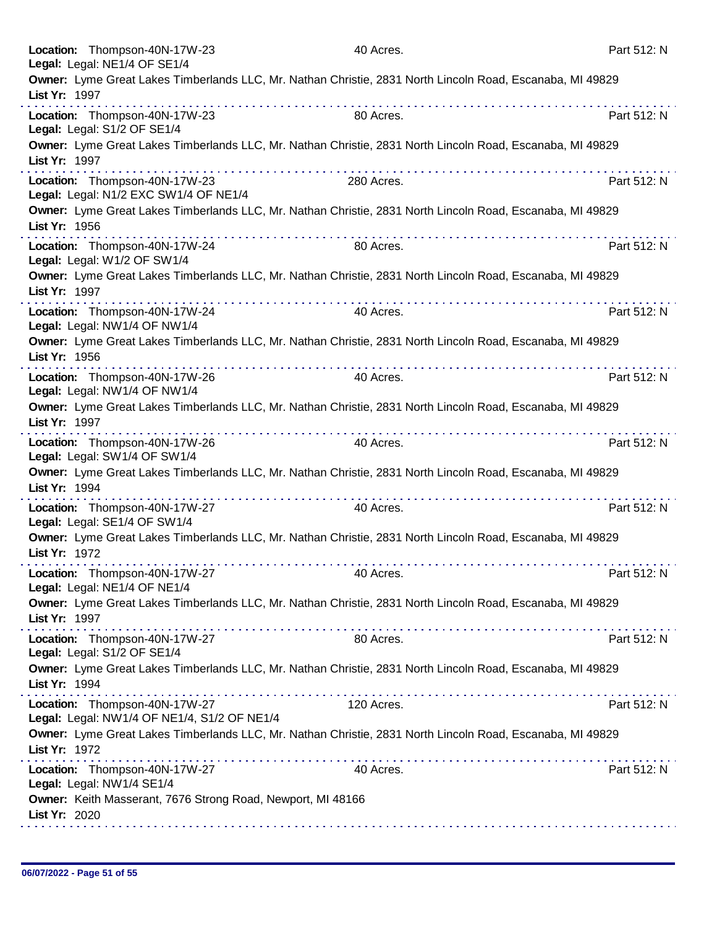| Location: Thompson-40N-17W-23<br>Legal: Legal: NE1/4 OF SE1/4                | 40 Acres.                                                                                                                                                                                                                  | Part 512: N |
|------------------------------------------------------------------------------|----------------------------------------------------------------------------------------------------------------------------------------------------------------------------------------------------------------------------|-------------|
| List Yr: 1997                                                                | Owner: Lyme Great Lakes Timberlands LLC, Mr. Nathan Christie, 2831 North Lincoln Road, Escanaba, MI 49829<br>. <b>.</b>                                                                                                    |             |
| Location: Thompson-40N-17W-23<br>Legal: Legal: S1/2 OF SE1/4                 | 80 Acres.                                                                                                                                                                                                                  | Part 512: N |
| List Yr: 1997                                                                | Owner: Lyme Great Lakes Timberlands LLC, Mr. Nathan Christie, 2831 North Lincoln Road, Escanaba, MI 49829                                                                                                                  |             |
| Location: Thompson-40N-17W-23<br>Legal: Legal: N1/2 EXC SW1/4 OF NE1/4       | 280 Acres.                                                                                                                                                                                                                 | Part 512: N |
| List Yr: 1956                                                                | Owner: Lyme Great Lakes Timberlands LLC, Mr. Nathan Christie, 2831 North Lincoln Road, Escanaba, MI 49829                                                                                                                  |             |
| Location: Thompson-40N-17W-24<br>Legal: Legal: W1/2 OF SW1/4                 | 80 Acres.                                                                                                                                                                                                                  | Part 512: N |
| List Yr: 1997                                                                | Owner: Lyme Great Lakes Timberlands LLC, Mr. Nathan Christie, 2831 North Lincoln Road, Escanaba, MI 49829                                                                                                                  |             |
| Location: Thompson-40N-17W-24<br>Legal: Legal: NW1/4 OF NW1/4                | 40 Acres.                                                                                                                                                                                                                  | Part 512: N |
| List Yr: 1956                                                                | Owner: Lyme Great Lakes Timberlands LLC, Mr. Nathan Christie, 2831 North Lincoln Road, Escanaba, MI 49829                                                                                                                  |             |
| Location: Thompson-40N-17W-26<br>Legal: Legal: NW1/4 OF NW1/4                | 40 Acres.                                                                                                                                                                                                                  | Part 512: N |
| List Yr: 1997                                                                | Owner: Lyme Great Lakes Timberlands LLC, Mr. Nathan Christie, 2831 North Lincoln Road, Escanaba, MI 49829                                                                                                                  | .           |
| Location: Thompson-40N-17W-26<br>Legal: Legal: SW1/4 OF SW1/4                | 40 Acres.                                                                                                                                                                                                                  | Part 512: N |
| List Yr: 1994                                                                | Owner: Lyme Great Lakes Timberlands LLC, Mr. Nathan Christie, 2831 North Lincoln Road, Escanaba, MI 49829<br>.                                                                                                             |             |
| Location: Thompson-40N-17W-27<br>Legal: Legal: SE1/4 OF SW1/4                | 40 Acres.                                                                                                                                                                                                                  | Part 512: N |
| List Yr: 1972                                                                | Owner: Lyme Great Lakes Timberlands LLC, Mr. Nathan Christie, 2831 North Lincoln Road, Escanaba, MI 49829                                                                                                                  |             |
| Location: Thompson-40N-17W-27<br>Legal: Legal: NE1/4 OF NE1/4                | 40 Acres.                                                                                                                                                                                                                  | Part 512: N |
| List Yr: 1997                                                                | Owner: Lyme Great Lakes Timberlands LLC, Mr. Nathan Christie, 2831 North Lincoln Road, Escanaba, MI 49829<br>. The second contract is a second contract of the second contract of the second contract of the $\mathcal{A}$ |             |
| Location: Thompson-40N-17W-27<br>Legal: Legal: S1/2 OF SE1/4                 | 80 Acres.                                                                                                                                                                                                                  | Part 512: N |
| List Yr: 1994                                                                | Owner: Lyme Great Lakes Timberlands LLC, Mr. Nathan Christie, 2831 North Lincoln Road, Escanaba, MI 49829                                                                                                                  |             |
| Location: Thompson-40N-17W-27<br>Legal: Legal: NW1/4 OF NE1/4, S1/2 OF NE1/4 | 120 Acres.                                                                                                                                                                                                                 | Part 512: N |
| List Yr: 1972                                                                | Owner: Lyme Great Lakes Timberlands LLC, Mr. Nathan Christie, 2831 North Lincoln Road, Escanaba, MI 49829                                                                                                                  |             |
| Location: Thompson-40N-17W-27<br>Legal: Legal: NW1/4 SE1/4                   | 40 Acres.                                                                                                                                                                                                                  | Part 512: N |
| List Yr: 2020                                                                | Owner: Keith Masserant, 7676 Strong Road, Newport, MI 48166                                                                                                                                                                |             |
|                                                                              |                                                                                                                                                                                                                            |             |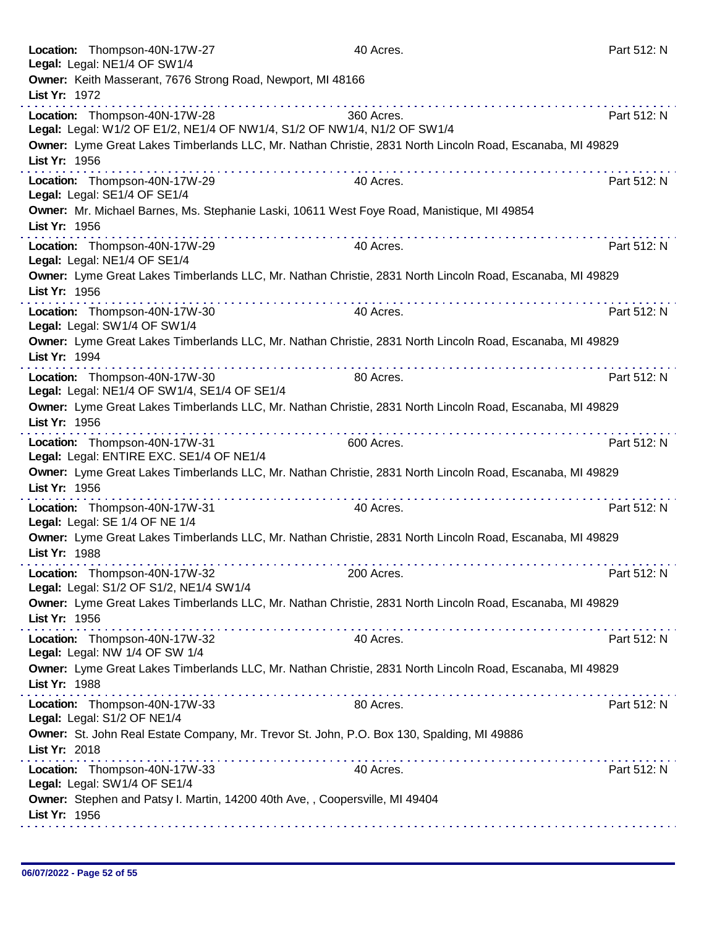| Location: Thompson-40N-17W-27<br>Legal: Legal: NE1/4 OF SW1/4            |                                                                                                                                                                                                                                                                                                                                                                                                                               | 40 Acres.                                                                                                 | Part 512: N |
|--------------------------------------------------------------------------|-------------------------------------------------------------------------------------------------------------------------------------------------------------------------------------------------------------------------------------------------------------------------------------------------------------------------------------------------------------------------------------------------------------------------------|-----------------------------------------------------------------------------------------------------------|-------------|
| List Yr: 1972                                                            | Owner: Keith Masserant, 7676 Strong Road, Newport, MI 48166                                                                                                                                                                                                                                                                                                                                                                   |                                                                                                           |             |
| Location: Thompson-40N-17W-28                                            |                                                                                                                                                                                                                                                                                                                                                                                                                               | 360 Acres.                                                                                                | Part 512: N |
| List Yr: 1956                                                            | Legal: Legal: W1/2 OF E1/2, NE1/4 OF NW1/4, S1/2 OF NW1/4, N1/2 OF SW1/4                                                                                                                                                                                                                                                                                                                                                      | Owner: Lyme Great Lakes Timberlands LLC, Mr. Nathan Christie, 2831 North Lincoln Road, Escanaba, MI 49829 |             |
| Location: Thompson-40N-17W-29                                            |                                                                                                                                                                                                                                                                                                                                                                                                                               | 40 Acres.                                                                                                 | Part 512: N |
| Legal: Legal: SE1/4 OF SE1/4                                             |                                                                                                                                                                                                                                                                                                                                                                                                                               | Owner: Mr. Michael Barnes, Ms. Stephanie Laski, 10611 West Foye Road, Manistique, MI 49854                |             |
| List Yr: 1956                                                            |                                                                                                                                                                                                                                                                                                                                                                                                                               | .                                                                                                         |             |
| Location: Thompson-40N-17W-29<br>Legal: Legal: NE1/4 OF SE1/4            |                                                                                                                                                                                                                                                                                                                                                                                                                               | 40 Acres.                                                                                                 | Part 512: N |
| List Yr: 1956                                                            |                                                                                                                                                                                                                                                                                                                                                                                                                               | Owner: Lyme Great Lakes Timberlands LLC, Mr. Nathan Christie, 2831 North Lincoln Road, Escanaba, MI 49829 |             |
| Location: Thompson-40N-17W-30<br>Legal: Legal: SW1/4 OF SW1/4            |                                                                                                                                                                                                                                                                                                                                                                                                                               | 40 Acres.                                                                                                 | Part 512: N |
| List Yr: 1994                                                            | .                                                                                                                                                                                                                                                                                                                                                                                                                             | Owner: Lyme Great Lakes Timberlands LLC, Mr. Nathan Christie, 2831 North Lincoln Road, Escanaba, MI 49829 |             |
| Location: Thompson-40N-17W-30                                            | Legal: Legal: NE1/4 OF SW1/4, SE1/4 OF SE1/4                                                                                                                                                                                                                                                                                                                                                                                  | 80 Acres.                                                                                                 | Part 512: N |
| List Yr: 1956                                                            |                                                                                                                                                                                                                                                                                                                                                                                                                               | Owner: Lyme Great Lakes Timberlands LLC, Mr. Nathan Christie, 2831 North Lincoln Road, Escanaba, MI 49829 |             |
| Location: Thompson-40N-17W-31                                            | .<br>Legal: Legal: ENTIRE EXC. SE1/4 OF NE1/4                                                                                                                                                                                                                                                                                                                                                                                 | 600 Acres.                                                                                                | Part 512: N |
| List Yr: 1956                                                            | .                                                                                                                                                                                                                                                                                                                                                                                                                             | Owner: Lyme Great Lakes Timberlands LLC, Mr. Nathan Christie, 2831 North Lincoln Road, Escanaba, MI 49829 |             |
| Location: Thompson-40N-17W-31<br>Legal: Legal: SE 1/4 OF NE 1/4          |                                                                                                                                                                                                                                                                                                                                                                                                                               | 40 Acres.                                                                                                 | Part 512: N |
| List Yr: 1988                                                            |                                                                                                                                                                                                                                                                                                                                                                                                                               | Owner: Lyme Great Lakes Timberlands LLC, Mr. Nathan Christie, 2831 North Lincoln Road, Escanaba, MI 49829 |             |
| Location: Thompson-40N-17W-32<br>Legal: Legal: S1/2 OF S1/2, NE1/4 SW1/4 |                                                                                                                                                                                                                                                                                                                                                                                                                               | 200 Acres.                                                                                                | Part 512: N |
| List Yr: 1956                                                            |                                                                                                                                                                                                                                                                                                                                                                                                                               | Owner: Lyme Great Lakes Timberlands LLC, Mr. Nathan Christie, 2831 North Lincoln Road, Escanaba, MI 49829 |             |
| Location: Thompson-40N-17W-32<br>Legal: Legal: NW 1/4 OF SW 1/4          | $\label{eq:2.1} \begin{array}{lllllllllllllllllllll} \mathbf{1}_{\mathbf{1}}&\mathbf{1}_{\mathbf{1}}&\mathbf{1}_{\mathbf{1}}&\mathbf{1}_{\mathbf{1}}&\mathbf{1}_{\mathbf{1}}&\mathbf{1}_{\mathbf{1}}&\mathbf{1}_{\mathbf{1}}&\mathbf{1}_{\mathbf{1}}&\mathbf{1}_{\mathbf{1}}&\mathbf{1}_{\mathbf{1}}&\mathbf{1}_{\mathbf{1}}&\mathbf{1}_{\mathbf{1}}&\mathbf{1}_{\mathbf{1}}&\mathbf{1}_{\mathbf{1}}&\mathbf{1}_{\mathbf{1}}$ | 40 Acres.                                                                                                 | Part 512: N |
| List Yr: 1988                                                            |                                                                                                                                                                                                                                                                                                                                                                                                                               | Owner: Lyme Great Lakes Timberlands LLC, Mr. Nathan Christie, 2831 North Lincoln Road, Escanaba, MI 49829 |             |
| Location: Thompson-40N-17W-33<br>Legal: Legal: S1/2 OF NE1/4             |                                                                                                                                                                                                                                                                                                                                                                                                                               | 80 Acres.                                                                                                 | Part 512: N |
| List Yr: 2018                                                            | Owner: St. John Real Estate Company, Mr. Trevor St. John, P.O. Box 130, Spalding, MI 49886                                                                                                                                                                                                                                                                                                                                    |                                                                                                           |             |
| Location: Thompson-40N-17W-33<br>Legal: Legal: SW1/4 OF SE1/4            | the second complete state of the second complete state of the second contract of the second contract of the second contract of the second contract of the second contract of the second contract of the second contract of the                                                                                                                                                                                                | 40 Acres.                                                                                                 | Part 512: N |
| List Yr: 1956                                                            | Owner: Stephen and Patsy I. Martin, 14200 40th Ave, , Coopersville, MI 49404                                                                                                                                                                                                                                                                                                                                                  |                                                                                                           |             |
|                                                                          |                                                                                                                                                                                                                                                                                                                                                                                                                               |                                                                                                           |             |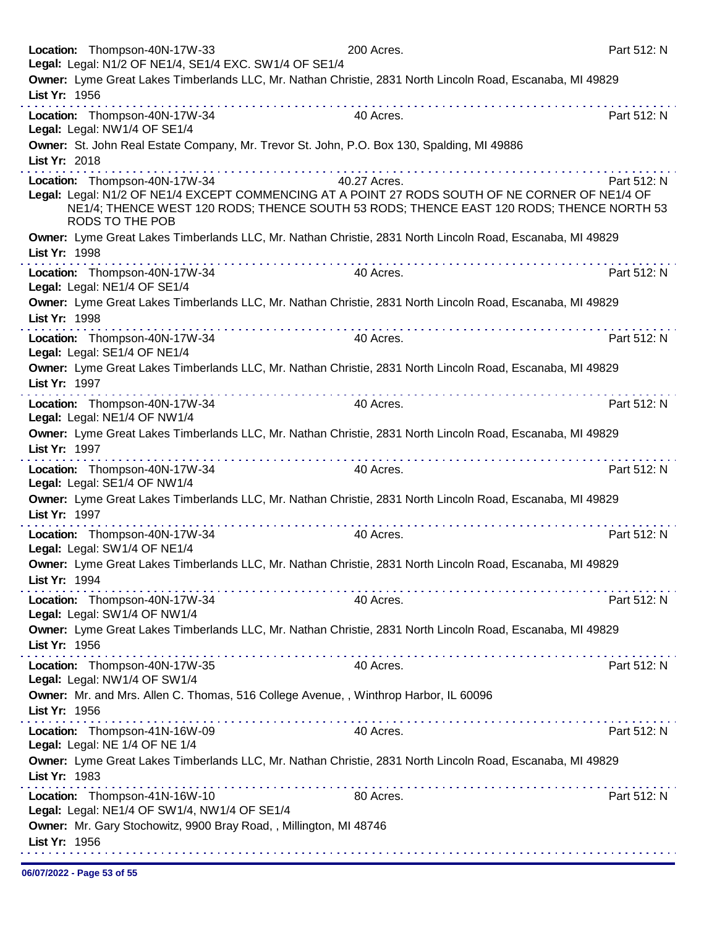|               | Location: Thompson-40N-17W-33<br>Legal: Legal: N1/2 OF NE1/4, SE1/4 EXC. SW1/4 OF SE1/4 |                                                                                                                                                                                                                                                                                                                                                                                                                                                           | 200 Acres.                                                                                                | Part 512: N |
|---------------|-----------------------------------------------------------------------------------------|-----------------------------------------------------------------------------------------------------------------------------------------------------------------------------------------------------------------------------------------------------------------------------------------------------------------------------------------------------------------------------------------------------------------------------------------------------------|-----------------------------------------------------------------------------------------------------------|-------------|
|               |                                                                                         |                                                                                                                                                                                                                                                                                                                                                                                                                                                           | Owner: Lyme Great Lakes Timberlands LLC, Mr. Nathan Christie, 2831 North Lincoln Road, Escanaba, MI 49829 |             |
| List Yr: 1956 |                                                                                         |                                                                                                                                                                                                                                                                                                                                                                                                                                                           |                                                                                                           |             |
|               | Location: Thompson-40N-17W-34                                                           |                                                                                                                                                                                                                                                                                                                                                                                                                                                           | 40 Acres.                                                                                                 | Part 512: N |
|               | Legal: Legal: NW1/4 OF SE1/4                                                            |                                                                                                                                                                                                                                                                                                                                                                                                                                                           |                                                                                                           |             |
|               |                                                                                         |                                                                                                                                                                                                                                                                                                                                                                                                                                                           | Owner: St. John Real Estate Company, Mr. Trevor St. John, P.O. Box 130, Spalding, MI 49886                |             |
| List Yr: 2018 |                                                                                         |                                                                                                                                                                                                                                                                                                                                                                                                                                                           |                                                                                                           |             |
|               | Location: Thompson-40N-17W-34                                                           | 40.27 Acres.                                                                                                                                                                                                                                                                                                                                                                                                                                              |                                                                                                           | Part 512: N |
|               |                                                                                         |                                                                                                                                                                                                                                                                                                                                                                                                                                                           | Legal: Legal: N1/2 OF NE1/4 EXCEPT COMMENCING AT A POINT 27 RODS SOUTH OF NE CORNER OF NE1/4 OF           |             |
|               | RODS TO THE POB                                                                         |                                                                                                                                                                                                                                                                                                                                                                                                                                                           | NE1/4; THENCE WEST 120 RODS; THENCE SOUTH 53 RODS; THENCE EAST 120 RODS; THENCE NORTH 53                  |             |
|               |                                                                                         |                                                                                                                                                                                                                                                                                                                                                                                                                                                           | Owner: Lyme Great Lakes Timberlands LLC, Mr. Nathan Christie, 2831 North Lincoln Road, Escanaba, MI 49829 |             |
| List Yr: 1998 |                                                                                         |                                                                                                                                                                                                                                                                                                                                                                                                                                                           |                                                                                                           |             |
|               | Location: Thompson-40N-17W-34                                                           |                                                                                                                                                                                                                                                                                                                                                                                                                                                           | 40 Acres.                                                                                                 | Part 512: N |
|               | Legal: Legal: NE1/4 OF SE1/4                                                            |                                                                                                                                                                                                                                                                                                                                                                                                                                                           |                                                                                                           |             |
|               |                                                                                         |                                                                                                                                                                                                                                                                                                                                                                                                                                                           | Owner: Lyme Great Lakes Timberlands LLC, Mr. Nathan Christie, 2831 North Lincoln Road, Escanaba, MI 49829 |             |
| List Yr: 1998 |                                                                                         |                                                                                                                                                                                                                                                                                                                                                                                                                                                           |                                                                                                           |             |
|               | Location: Thompson-40N-17W-34                                                           |                                                                                                                                                                                                                                                                                                                                                                                                                                                           | 40 Acres.                                                                                                 | Part 512: N |
|               | Legal: Legal: SE1/4 OF NE1/4                                                            |                                                                                                                                                                                                                                                                                                                                                                                                                                                           |                                                                                                           |             |
|               |                                                                                         |                                                                                                                                                                                                                                                                                                                                                                                                                                                           | Owner: Lyme Great Lakes Timberlands LLC, Mr. Nathan Christie, 2831 North Lincoln Road, Escanaba, MI 49829 |             |
| List Yr: 1997 |                                                                                         | .                                                                                                                                                                                                                                                                                                                                                                                                                                                         |                                                                                                           |             |
|               | Location: Thompson-40N-17W-34                                                           |                                                                                                                                                                                                                                                                                                                                                                                                                                                           | 40 Acres.                                                                                                 | Part 512: N |
|               | Legal: Legal: NE1/4 OF NW1/4                                                            |                                                                                                                                                                                                                                                                                                                                                                                                                                                           |                                                                                                           |             |
| List Yr: 1997 |                                                                                         |                                                                                                                                                                                                                                                                                                                                                                                                                                                           | Owner: Lyme Great Lakes Timberlands LLC, Mr. Nathan Christie, 2831 North Lincoln Road, Escanaba, MI 49829 |             |
|               |                                                                                         |                                                                                                                                                                                                                                                                                                                                                                                                                                                           |                                                                                                           |             |
|               | Location: Thompson-40N-17W-34<br>Legal: Legal: SE1/4 OF NW1/4                           |                                                                                                                                                                                                                                                                                                                                                                                                                                                           | 40 Acres.                                                                                                 | Part 512: N |
|               |                                                                                         |                                                                                                                                                                                                                                                                                                                                                                                                                                                           | Owner: Lyme Great Lakes Timberlands LLC, Mr. Nathan Christie, 2831 North Lincoln Road, Escanaba, MI 49829 |             |
| List Yr: 1997 |                                                                                         |                                                                                                                                                                                                                                                                                                                                                                                                                                                           |                                                                                                           |             |
|               | Location: Thompson-40N-17W-34                                                           | . <b>.</b>                                                                                                                                                                                                                                                                                                                                                                                                                                                | 40 Acres.                                                                                                 | Part 512: N |
|               | Legal: Legal: SW1/4 OF NE1/4                                                            |                                                                                                                                                                                                                                                                                                                                                                                                                                                           |                                                                                                           |             |
|               |                                                                                         |                                                                                                                                                                                                                                                                                                                                                                                                                                                           | Owner: Lyme Great Lakes Timberlands LLC, Mr. Nathan Christie, 2831 North Lincoln Road, Escanaba, MI 49829 |             |
| List Yr: 1994 |                                                                                         | $\label{eq:2.1} \begin{array}{lllllllllllllllllllll} \mathbf{1}_{\mathbf{1}} & \mathbf{1}_{\mathbf{1}} & \mathbf{1}_{\mathbf{1}} & \mathbf{1}_{\mathbf{1}} & \mathbf{1}_{\mathbf{1}} & \mathbf{1}_{\mathbf{1}} & \mathbf{1}_{\mathbf{1}} & \mathbf{1}_{\mathbf{1}} & \mathbf{1}_{\mathbf{1}} & \mathbf{1}_{\mathbf{1}} & \mathbf{1}_{\mathbf{1}} & \mathbf{1}_{\mathbf{1}} & \mathbf{1}_{\mathbf{1}} & \mathbf{1}_{\mathbf{1}} & \mathbf{1}_{\mathbf{1}}$ |                                                                                                           |             |
|               | Location: Thompson-40N-17W-34                                                           |                                                                                                                                                                                                                                                                                                                                                                                                                                                           | 40 Acres.                                                                                                 | Part 512: N |
|               | Legal: Legal: SW1/4 OF NW1/4                                                            |                                                                                                                                                                                                                                                                                                                                                                                                                                                           |                                                                                                           |             |
| List Yr: 1956 |                                                                                         |                                                                                                                                                                                                                                                                                                                                                                                                                                                           | Owner: Lyme Great Lakes Timberlands LLC, Mr. Nathan Christie, 2831 North Lincoln Road, Escanaba, MI 49829 |             |
|               |                                                                                         |                                                                                                                                                                                                                                                                                                                                                                                                                                                           |                                                                                                           |             |
|               | Location: Thompson-40N-17W-35<br>Legal: Legal: NW1/4 OF SW1/4                           |                                                                                                                                                                                                                                                                                                                                                                                                                                                           | 40 Acres.                                                                                                 | Part 512: N |
|               |                                                                                         |                                                                                                                                                                                                                                                                                                                                                                                                                                                           | Owner: Mr. and Mrs. Allen C. Thomas, 516 College Avenue, , Winthrop Harbor, IL 60096                      |             |
| List Yr: 1956 |                                                                                         |                                                                                                                                                                                                                                                                                                                                                                                                                                                           |                                                                                                           |             |
|               | Location: Thompson-41N-16W-09                                                           |                                                                                                                                                                                                                                                                                                                                                                                                                                                           | 40 Acres.                                                                                                 | Part 512: N |
|               | Legal: Legal: NE 1/4 OF NE 1/4                                                          |                                                                                                                                                                                                                                                                                                                                                                                                                                                           |                                                                                                           |             |
|               |                                                                                         |                                                                                                                                                                                                                                                                                                                                                                                                                                                           | Owner: Lyme Great Lakes Timberlands LLC, Mr. Nathan Christie, 2831 North Lincoln Road, Escanaba, MI 49829 |             |
| List Yr: 1983 |                                                                                         |                                                                                                                                                                                                                                                                                                                                                                                                                                                           |                                                                                                           |             |
|               | Location: Thompson-41N-16W-10                                                           |                                                                                                                                                                                                                                                                                                                                                                                                                                                           | 80 Acres.                                                                                                 | Part 512: N |
|               | Legal: Legal: NE1/4 OF SW1/4, NW1/4 OF SE1/4                                            |                                                                                                                                                                                                                                                                                                                                                                                                                                                           |                                                                                                           |             |
|               |                                                                                         | Owner: Mr. Gary Stochowitz, 9900 Bray Road, , Millington, MI 48746                                                                                                                                                                                                                                                                                                                                                                                        |                                                                                                           |             |
| List Yr: 1956 |                                                                                         |                                                                                                                                                                                                                                                                                                                                                                                                                                                           |                                                                                                           |             |
|               |                                                                                         |                                                                                                                                                                                                                                                                                                                                                                                                                                                           |                                                                                                           |             |